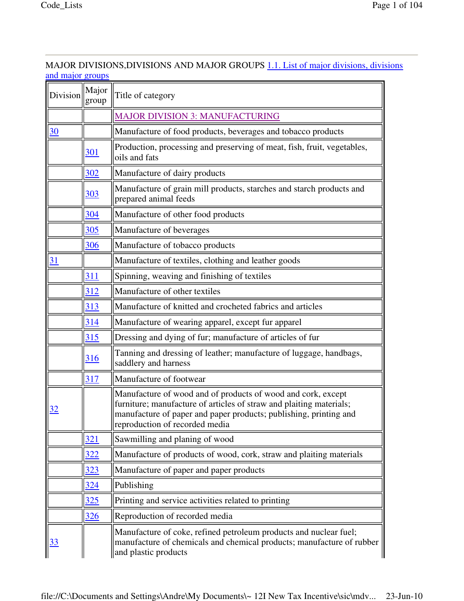# MAJOR DIVISIONS,DIVISIONS AND MAJOR GROUPS 1.1. List of major divisions, divisions and major groups

| Division        | Major<br>group | Title of category                                                                                                                                                                                                                          |
|-----------------|----------------|--------------------------------------------------------------------------------------------------------------------------------------------------------------------------------------------------------------------------------------------|
|                 |                | <b>MAJOR DIVISION 3: MANUFACTURING</b>                                                                                                                                                                                                     |
| $\overline{30}$ |                | Manufacture of food products, beverages and tobacco products                                                                                                                                                                               |
|                 | 301            | Production, processing and preserving of meat, fish, fruit, vegetables,<br>oils and fats                                                                                                                                                   |
|                 | 302            | Manufacture of dairy products                                                                                                                                                                                                              |
|                 | <u>303</u>     | Manufacture of grain mill products, starches and starch products and<br>prepared animal feeds                                                                                                                                              |
|                 | 304            | Manufacture of other food products                                                                                                                                                                                                         |
|                 | 305            | Manufacture of beverages                                                                                                                                                                                                                   |
|                 | 306            | Manufacture of tobacco products                                                                                                                                                                                                            |
| $\overline{31}$ |                | Manufacture of textiles, clothing and leather goods                                                                                                                                                                                        |
|                 | 311            | Spinning, weaving and finishing of textiles                                                                                                                                                                                                |
|                 | 312            | Manufacture of other textiles                                                                                                                                                                                                              |
|                 | 313            | Manufacture of knitted and crocheted fabrics and articles                                                                                                                                                                                  |
|                 | 314            | Manufacture of wearing apparel, except fur apparel                                                                                                                                                                                         |
|                 | 315            | Dressing and dying of fur; manufacture of articles of fur                                                                                                                                                                                  |
|                 | <u>316</u>     | Tanning and dressing of leather; manufacture of luggage, handbags,<br>saddlery and harness                                                                                                                                                 |
|                 | 317            | Manufacture of footwear                                                                                                                                                                                                                    |
| <u>32</u>       |                | Manufacture of wood and of products of wood and cork, except<br>furniture; manufacture of articles of straw and plaiting materials;<br>manufacture of paper and paper products; publishing, printing and<br>reproduction of recorded media |
|                 | 321            | Sawmilling and planing of wood                                                                                                                                                                                                             |
|                 | 322            | Manufacture of products of wood, cork, straw and plaiting materials                                                                                                                                                                        |
|                 | 323            | Manufacture of paper and paper products                                                                                                                                                                                                    |
|                 | 324            | Publishing                                                                                                                                                                                                                                 |
|                 | 325            | Printing and service activities related to printing                                                                                                                                                                                        |
|                 | 326            | Reproduction of recorded media                                                                                                                                                                                                             |
| 33              |                | Manufacture of coke, refined petroleum products and nuclear fuel;<br>manufacture of chemicals and chemical products; manufacture of rubber<br>and plastic products                                                                         |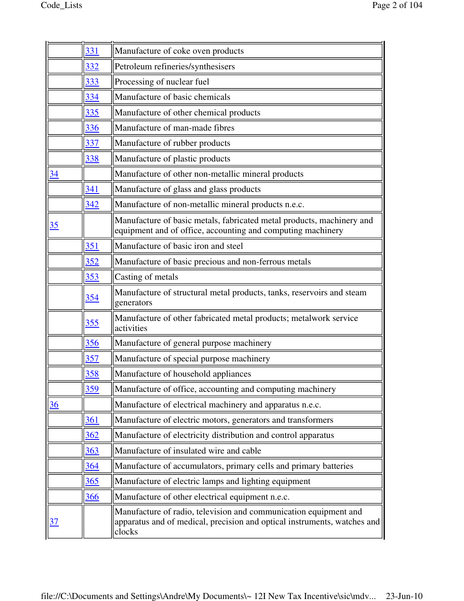|                 | 331        | Manufacture of coke oven products                                                                                                                      |
|-----------------|------------|--------------------------------------------------------------------------------------------------------------------------------------------------------|
|                 | 332        | Petroleum refineries/synthesisers                                                                                                                      |
|                 | 333        | Processing of nuclear fuel                                                                                                                             |
|                 | 334        | Manufacture of basic chemicals                                                                                                                         |
|                 | 335        | Manufacture of other chemical products                                                                                                                 |
|                 | 336        | Manufacture of man-made fibres                                                                                                                         |
|                 | 337        | Manufacture of rubber products                                                                                                                         |
|                 | 338        | Manufacture of plastic products                                                                                                                        |
| $\overline{34}$ |            | Manufacture of other non-metallic mineral products                                                                                                     |
|                 | 341        | Manufacture of glass and glass products                                                                                                                |
|                 | 342        | Manufacture of non-metallic mineral products n.e.c.                                                                                                    |
| 35              |            | Manufacture of basic metals, fabricated metal products, machinery and<br>equipment and of office, accounting and computing machinery                   |
|                 | 351        | Manufacture of basic iron and steel                                                                                                                    |
|                 | 352        | Manufacture of basic precious and non-ferrous metals                                                                                                   |
|                 | 353        | Casting of metals                                                                                                                                      |
|                 | <u>354</u> | Manufacture of structural metal products, tanks, reservoirs and steam<br>generators                                                                    |
|                 | <u>355</u> | Manufacture of other fabricated metal products; metalwork service<br>activities                                                                        |
|                 | 356        | Manufacture of general purpose machinery                                                                                                               |
|                 | 357        | Manufacture of special purpose machinery                                                                                                               |
|                 | 358        | Manufacture of household appliances                                                                                                                    |
|                 | 359        | Manufacture of office, accounting and computing machinery                                                                                              |
| $\frac{36}{5}$  |            | Manufacture of electrical machinery and apparatus n.e.c.                                                                                               |
|                 | 361        | Manufacture of electric motors, generators and transformers                                                                                            |
|                 | 362        | Manufacture of electricity distribution and control apparatus                                                                                          |
|                 | 363        | Manufacture of insulated wire and cable                                                                                                                |
|                 | 364        | Manufacture of accumulators, primary cells and primary batteries                                                                                       |
|                 | 365        | Manufacture of electric lamps and lighting equipment                                                                                                   |
|                 | 366        | Manufacture of other electrical equipment n.e.c.                                                                                                       |
| <u>37</u>       |            | Manufacture of radio, television and communication equipment and<br>apparatus and of medical, precision and optical instruments, watches and<br>clocks |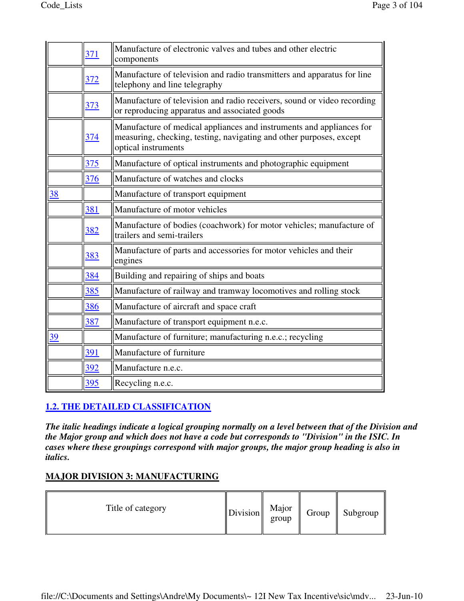| 371        | Manufacture of electronic valves and tubes and other electric<br>components                                                                                        |
|------------|--------------------------------------------------------------------------------------------------------------------------------------------------------------------|
| <u>372</u> | Manufacture of television and radio transmitters and apparatus for line<br>telephony and line telegraphy                                                           |
| 373        | Manufacture of television and radio receivers, sound or video recording<br>or reproducing apparatus and associated goods                                           |
| 374        | Manufacture of medical appliances and instruments and appliances for<br>measuring, checking, testing, navigating and other purposes, except<br>optical instruments |
| 375        | Manufacture of optical instruments and photographic equipment                                                                                                      |
| 376        | Manufacture of watches and clocks                                                                                                                                  |
|            | Manufacture of transport equipment                                                                                                                                 |
| 381        | Manufacture of motor vehicles                                                                                                                                      |
| 382        | Manufacture of bodies (coachwork) for motor vehicles; manufacture of<br>trailers and semi-trailers                                                                 |
| 383        | Manufacture of parts and accessories for motor vehicles and their<br>engines                                                                                       |
| 384        | Building and repairing of ships and boats                                                                                                                          |
| 385        | Manufacture of railway and tramway locomotives and rolling stock                                                                                                   |
| 386        | Manufacture of aircraft and space craft                                                                                                                            |
| 387        | Manufacture of transport equipment n.e.c.                                                                                                                          |
|            | Manufacture of furniture; manufacturing n.e.c.; recycling                                                                                                          |
| 391        | Manufacture of furniture                                                                                                                                           |
| 392        | Manufacture n.e.c.                                                                                                                                                 |
| 395        | Recycling n.e.c.                                                                                                                                                   |
|            |                                                                                                                                                                    |

# **1.2. THE DETAILED CLASSIFICATION**

*The italic headings indicate a logical grouping normally on a level between that of the Division and the Major group and which does not have a code but corresponds to "Division" in the ISIC. In cases where these groupings correspond with major groups, the major group heading is also in italics.*

# **MAJOR DIVISION 3: MANUFACTURING**

| Title of category | $\left\  \text{Division} \right\  \begin{array}{c} \text{Major} \\ \text{group} \end{array}$ |  | Group | $\parallel$ Subgroup |
|-------------------|----------------------------------------------------------------------------------------------|--|-------|----------------------|
|-------------------|----------------------------------------------------------------------------------------------|--|-------|----------------------|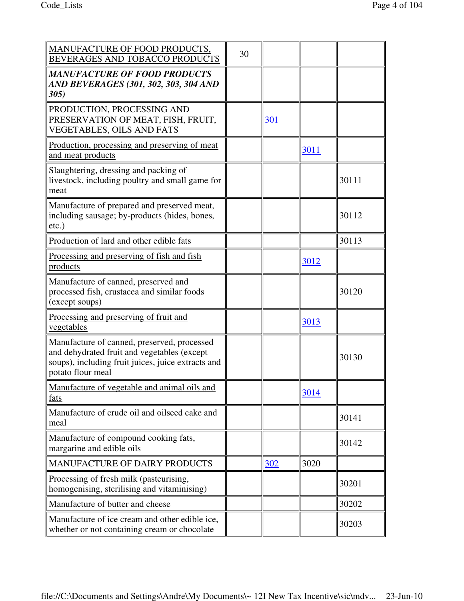| MANUFACTURE OF FOOD PRODUCTS,<br>BEVERAGES AND TOBACCO PRODUCTS                                                                                                       | 30 |     |      |       |
|-----------------------------------------------------------------------------------------------------------------------------------------------------------------------|----|-----|------|-------|
| MANUFACTURE OF FOOD PRODUCTS<br> AND BEVERAGES (301, 302, 303, 304 AND<br>305)                                                                                        |    |     |      |       |
| PRODUCTION, PROCESSING AND<br>PRESERVATION OF MEAT, FISH, FRUIT,<br><b>VEGETABLES, OILS AND FATS</b>                                                                  |    | 301 |      |       |
| <u>Production, processing and preserving of meat</u><br>and meat products                                                                                             |    |     | 3011 |       |
| Slaughtering, dressing and packing of<br>livestock, including poultry and small game for<br>meat                                                                      |    |     |      | 30111 |
| Manufacture of prepared and preserved meat,<br>including sausage; by-products (hides, bones,<br>$etc.$ )                                                              |    |     |      | 30112 |
| Production of lard and other edible fats                                                                                                                              |    |     |      | 30113 |
| Processing and preserving of fish and fish<br>products                                                                                                                |    |     | 3012 |       |
| Manufacture of canned, preserved and<br>processed fish, crustacea and similar foods<br>(except soups)                                                                 |    |     |      | 30120 |
| Processing and preserving of fruit and<br>vegetables                                                                                                                  |    |     | 3013 |       |
| Manufacture of canned, preserved, processed<br>and dehydrated fruit and vegetables (except<br>soups), including fruit juices, juice extracts and<br>potato flour meal |    |     |      | 30130 |
| Manufacture of vegetable and animal oils and<br>fats                                                                                                                  |    |     | 3014 |       |
| Manufacture of crude oil and oilseed cake and<br>meal                                                                                                                 |    |     |      | 30141 |
| Manufacture of compound cooking fats,<br>margarine and edible oils                                                                                                    |    |     |      | 30142 |
| <b>MANUFACTURE OF DAIRY PRODUCTS</b>                                                                                                                                  |    | 302 | 3020 |       |
| Processing of fresh milk (pasteurising,<br>homogenising, sterilising and vitaminising)                                                                                |    |     |      | 30201 |
| Manufacture of butter and cheese                                                                                                                                      |    |     |      | 30202 |
| Manufacture of ice cream and other edible ice,<br>whether or not containing cream or chocolate                                                                        |    |     |      | 30203 |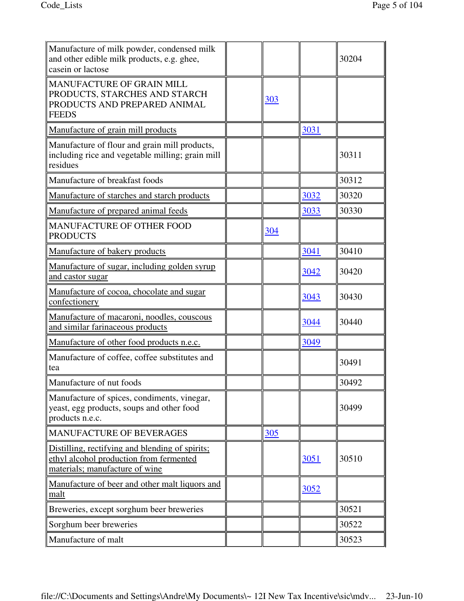| Manufacture of milk powder, condensed milk<br>and other edible milk products, e.g. ghee,<br>casein or lactose                |     |      | 30204 |
|------------------------------------------------------------------------------------------------------------------------------|-----|------|-------|
| MANUFACTURE OF GRAIN MILL<br>PRODUCTS, STARCHES AND STARCH<br>PRODUCTS AND PREPARED ANIMAL<br><b>FEEDS</b>                   | 303 |      |       |
| Manufacture of grain mill products                                                                                           |     | 3031 |       |
| Manufacture of flour and grain mill products,<br>including rice and vegetable milling; grain mill<br>residues                |     |      | 30311 |
| Manufacture of breakfast foods                                                                                               |     |      | 30312 |
| Manufacture of starches and starch products                                                                                  |     | 3032 | 30320 |
| Manufacture of prepared animal feeds                                                                                         |     | 3033 | 30330 |
| <b>MANUFACTURE OF OTHER FOOD</b><br><b>PRODUCTS</b>                                                                          | 304 |      |       |
| Manufacture of bakery products                                                                                               |     | 3041 | 30410 |
| Manufacture of sugar, including golden syrup<br>and castor sugar                                                             |     | 3042 | 30420 |
| Manufacture of cocoa, chocolate and sugar<br>confectionery                                                                   |     | 3043 | 30430 |
| Manufacture of macaroni, noodles, couscous<br>and similar farinaceous products                                               |     | 3044 | 30440 |
| Manufacture of other food products n.e.c.                                                                                    |     | 3049 |       |
| Manufacture of coffee, coffee substitutes and<br>tea                                                                         |     |      | 30491 |
| Manufacture of nut foods                                                                                                     |     |      | 30492 |
| Manufacture of spices, condiments, vinegar,<br>yeast, egg products, soups and other food<br>products n.e.c.                  |     |      | 30499 |
| MANUFACTURE OF BEVERAGES                                                                                                     | 305 |      |       |
| Distilling, rectifying and blending of spirits:<br>ethyl alcohol production from fermented<br>materials; manufacture of wine |     | 3051 | 30510 |
| Manufacture of beer and other malt liquors and<br>malt                                                                       |     | 3052 |       |
| Breweries, except sorghum beer breweries                                                                                     |     |      | 30521 |
| Sorghum beer breweries                                                                                                       |     |      | 30522 |
| Manufacture of malt                                                                                                          |     |      | 30523 |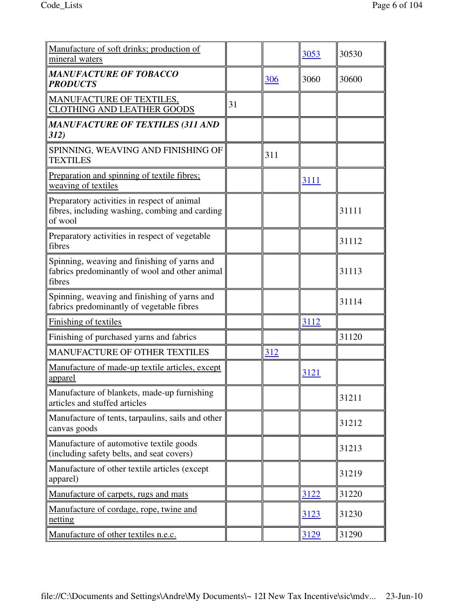| Manufacture of soft drinks; production of<br>mineral waters                                              |    |     | 3053 | 30530 |
|----------------------------------------------------------------------------------------------------------|----|-----|------|-------|
| <b>MANUFACTURE OF TOBACCO</b><br><b>PRODUCTS</b>                                                         |    | 306 | 3060 | 30600 |
| <b>MANUFACTURE OF TEXTILES,</b><br><b>CLOTHING AND LEATHER GOODS</b>                                     | 31 |     |      |       |
| <b>MANUFACTURE OF TEXTILES (311 AND</b><br>312)                                                          |    |     |      |       |
| SPINNING, WEAVING AND FINISHING OF<br><b>TEXTILES</b>                                                    |    | 311 |      |       |
| Preparation and spinning of textile fibres;<br>weaving of textiles                                       |    |     | 3111 |       |
| Preparatory activities in respect of animal<br>fibres, including washing, combing and carding<br>of wool |    |     |      | 31111 |
| Preparatory activities in respect of vegetable<br>fibres                                                 |    |     |      | 31112 |
| Spinning, weaving and finishing of yarns and<br>fabrics predominantly of wool and other animal<br>fibres |    |     |      | 31113 |
| Spinning, weaving and finishing of yarns and<br>fabrics predominantly of vegetable fibres                |    |     |      | 31114 |
| Finishing of textiles                                                                                    |    |     | 3112 |       |
| Finishing of purchased yarns and fabrics                                                                 |    |     |      | 31120 |
| MANUFACTURE OF OTHER TEXTILES                                                                            |    | 312 |      |       |
| Manufacture of made-up textile articles, except<br>apparel                                               |    |     | 3121 |       |
| Manufacture of blankets, made-up furnishing<br>articles and stuffed articles                             |    |     |      | 31211 |
| Manufacture of tents, tarpaulins, sails and other<br>canvas goods                                        |    |     |      | 31212 |
| Manufacture of automotive textile goods<br>(including safety belts, and seat covers)                     |    |     |      | 31213 |
| Manufacture of other textile articles (except<br>apparel)                                                |    |     |      | 31219 |
| Manufacture of carpets, rugs and mats                                                                    |    |     | 3122 | 31220 |
| Manufacture of cordage, rope, twine and<br>netting                                                       |    |     | 3123 | 31230 |
| Manufacture of other textiles n.e.c.                                                                     |    |     | 3129 | 31290 |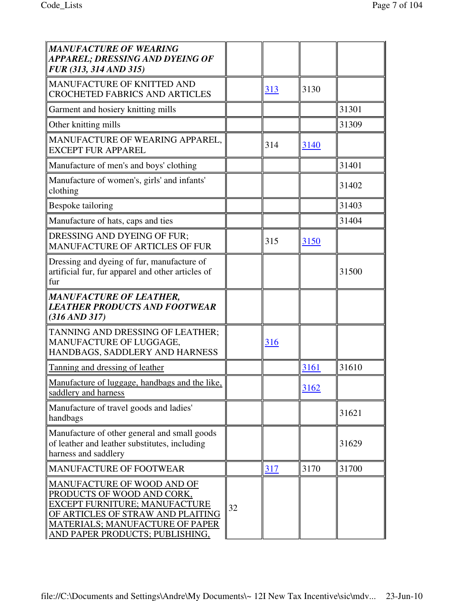| MANUFACTURE OF WEARING<br><b>APPAREL; DRESSING AND DYEING OF</b><br>FUR (313, 314 AND 315)                                                                                                                  |    |     |      |       |
|-------------------------------------------------------------------------------------------------------------------------------------------------------------------------------------------------------------|----|-----|------|-------|
| MANUFACTURE OF KNITTED AND<br><b>CROCHETED FABRICS AND ARTICLES</b>                                                                                                                                         |    | 313 | 3130 |       |
| Garment and hosiery knitting mills                                                                                                                                                                          |    |     |      | 31301 |
| Other knitting mills                                                                                                                                                                                        |    |     |      | 31309 |
| MANUFACTURE OF WEARING APPAREL,<br><b>EXCEPT FUR APPAREL</b>                                                                                                                                                |    | 314 | 3140 |       |
| Manufacture of men's and boys' clothing                                                                                                                                                                     |    |     |      | 31401 |
| Manufacture of women's, girls' and infants'<br>clothing                                                                                                                                                     |    |     |      | 31402 |
| Bespoke tailoring                                                                                                                                                                                           |    |     |      | 31403 |
| Manufacture of hats, caps and ties                                                                                                                                                                          |    |     |      | 31404 |
| DRESSING AND DYEING OF FUR;<br><b>MANUFACTURE OF ARTICLES OF FUR</b>                                                                                                                                        |    | 315 | 3150 |       |
| Dressing and dyeing of fur, manufacture of<br>artificial fur, fur apparel and other articles of<br>  fur                                                                                                    |    |     |      | 31500 |
| MANUFACTURE OF LEATHER,<br><b>LEATHER PRODUCTS AND FOOTWEAR</b><br>$(316 \, \text{AND} \, 317)$                                                                                                             |    |     |      |       |
| TANNING AND DRESSING OF LEATHER;<br>MANUFACTURE OF LUGGAGE,<br>HANDBAGS, SADDLERY AND HARNESS                                                                                                               |    | 316 |      |       |
| Tanning and dressing of leather                                                                                                                                                                             |    |     | 3161 | 31610 |
| Manufacture of luggage, handbags and the like,<br>saddlery and harness                                                                                                                                      |    |     | 3162 |       |
| Manufacture of travel goods and ladies'<br>handbags                                                                                                                                                         |    |     |      | 31621 |
| Manufacture of other general and small goods<br>of leather and leather substitutes, including<br>harness and saddlery                                                                                       |    |     |      | 31629 |
| <b>MANUFACTURE OF FOOTWEAR</b>                                                                                                                                                                              |    | 317 | 3170 | 31700 |
| MANUFACTURE OF WOOD AND OF<br>PRODUCTS OF WOOD AND CORK,<br>EXCEPT FURNITURE; MANUFACTURE<br>OF ARTICLES OF STRAW AND PLAITING<br><b>MATERIALS; MANUFACTURE OF PAPER</b><br>AND PAPER PRODUCTS; PUBLISHING, | 32 |     |      |       |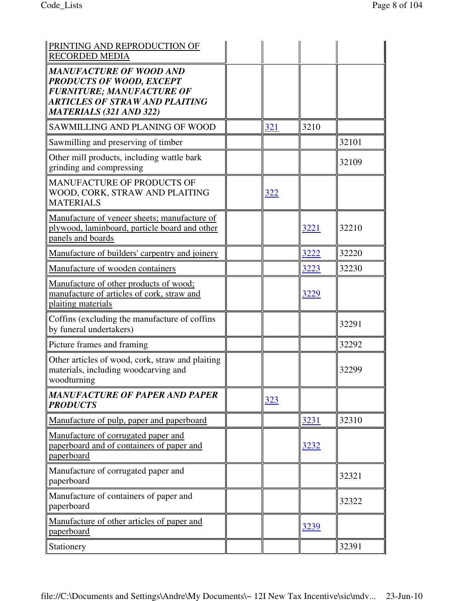| PRINTING AND REPRODUCTION OF<br><b>RECORDED MEDIA</b>                                                                                                                            |     |      |       |
|----------------------------------------------------------------------------------------------------------------------------------------------------------------------------------|-----|------|-------|
| <b>MANUFACTURE OF WOOD AND</b><br><b>PRODUCTS OF WOOD, EXCEPT</b><br><b>FURNITURE; MANUFACTURE OF</b><br><b>ARTICLES OF STRAW AND PLAITING</b><br><b>MATERIALS (321 AND 322)</b> |     |      |       |
| SAWMILLING AND PLANING OF WOOD                                                                                                                                                   | 321 | 3210 |       |
| Sawmilling and preserving of timber                                                                                                                                              |     |      | 32101 |
| Other mill products, including wattle bark<br>grinding and compressing                                                                                                           |     |      | 32109 |
| MANUFACTURE OF PRODUCTS OF<br>WOOD, CORK, STRAW AND PLAITING<br><b>MATERIALS</b>                                                                                                 | 322 |      |       |
| Manufacture of veneer sheets; manufacture of<br>plywood, laminboard, particle board and other<br>panels and boards                                                               |     | 3221 | 32210 |
| Manufacture of builders' carpentry and joinery                                                                                                                                   |     | 3222 | 32220 |
| Manufacture of wooden containers                                                                                                                                                 |     | 3223 | 32230 |
| Manufacture of other products of wood;<br>manufacture of articles of cork, straw and<br>plaiting materials                                                                       |     | 3229 |       |
| Coffins (excluding the manufacture of coffins<br>by funeral undertakers)                                                                                                         |     |      | 32291 |
| Picture frames and framing                                                                                                                                                       |     |      | 32292 |
| Other articles of wood, cork, straw and plaiting<br>materials, including woodcarving and<br>woodturning                                                                          |     |      | 32299 |
| <b>MANUFACTURE OF PAPER AND PAPER</b><br><b>PRODUCTS</b>                                                                                                                         | 323 |      |       |
| Manufacture of pulp, paper and paperboard                                                                                                                                        |     | 3231 | 32310 |
| Manufacture of corrugated paper and<br>paperboard and of containers of paper and<br>paperboard                                                                                   |     | 3232 |       |
| Manufacture of corrugated paper and<br>paperboard                                                                                                                                |     |      | 32321 |
| Manufacture of containers of paper and<br>paperboard                                                                                                                             |     |      | 32322 |
| Manufacture of other articles of paper and<br>paperboard                                                                                                                         |     | 3239 |       |
| Stationery                                                                                                                                                                       |     |      | 32391 |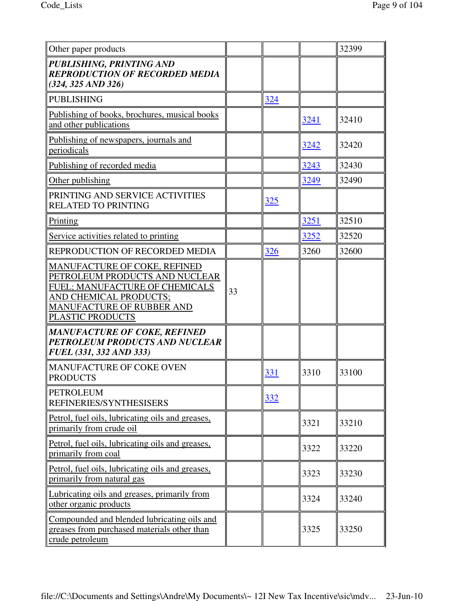| Other paper products                                                                                                                                                        |    |            |      | 32399 |
|-----------------------------------------------------------------------------------------------------------------------------------------------------------------------------|----|------------|------|-------|
| PUBLISHING, PRINTING AND<br><b>REPRODUCTION OF RECORDED MEDIA</b><br>$(324, 325 \text{ AND } 326)$                                                                          |    |            |      |       |
| PUBLISHING                                                                                                                                                                  |    | 324        |      |       |
| Publishing of books, brochures, musical books<br>and other publications                                                                                                     |    |            | 3241 | 32410 |
| Publishing of newspapers, journals and<br>periodicals                                                                                                                       |    |            | 3242 | 32420 |
| Publishing of recorded media                                                                                                                                                |    |            | 3243 | 32430 |
| Other publishing                                                                                                                                                            |    |            | 3249 | 32490 |
| PRINTING AND SERVICE ACTIVITIES<br><b>RELATED TO PRINTING</b>                                                                                                               |    | <u>325</u> |      |       |
| Printing                                                                                                                                                                    |    |            | 3251 | 32510 |
| Service activities related to printing                                                                                                                                      |    |            | 3252 | 32520 |
| REPRODUCTION OF RECORDED MEDIA                                                                                                                                              |    | 326        | 3260 | 32600 |
| MANUFACTURE OF COKE, REFINED<br>PETROLEUM PRODUCTS AND NUCLEAR<br>FUEL; MANUFACTURE OF CHEMICALS<br>AND CHEMICAL PRODUCTS;<br>MANUFACTURE OF RUBBER AND<br>PLASTIC PRODUCTS | 33 |            |      |       |
| MANUFACTURE OF COKE, REFINED<br>PETROLEUM PRODUCTS AND NUCLEAR<br><b>FUEL (331, 332 AND 333)</b>                                                                            |    |            |      |       |
| MANUFACTURE OF COKE OVEN<br><b>PRODUCTS</b>                                                                                                                                 |    | 331        | 3310 | 33100 |
| PETROLEUM<br>REFINERIES/SYNTHESISERS                                                                                                                                        |    | 332        |      |       |
| Petrol, fuel oils, lubricating oils and greases,<br>primarily from crude oil                                                                                                |    |            | 3321 | 33210 |
| Petrol, fuel oils, lubricating oils and greases,<br>primarily from coal                                                                                                     |    |            | 3322 | 33220 |
| Petrol, fuel oils, lubricating oils and greases,<br>primarily from natural gas                                                                                              |    |            | 3323 | 33230 |
| Lubricating oils and greases, primarily from<br>other organic products                                                                                                      |    |            | 3324 | 33240 |
| Compounded and blended lubricating oils and<br>greases from purchased materials other than<br>crude petroleum                                                               |    |            | 3325 | 33250 |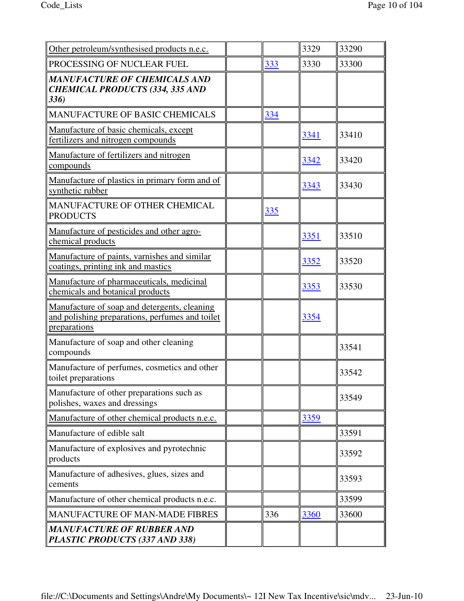| Other petroleum/synthesised products n.e.c.                                                                     |     | 3329 | 33290 |
|-----------------------------------------------------------------------------------------------------------------|-----|------|-------|
| PROCESSING OF NUCLEAR FUEL                                                                                      | 333 | 3330 | 33300 |
| <b>MANUFACTURE OF CHEMICALS AND</b><br><b>CHEMICAL PRODUCTS (334, 335 AND</b><br>336)                           |     |      |       |
| MANUFACTURE OF BASIC CHEMICALS                                                                                  | 334 |      |       |
| Manufacture of basic chemicals, except<br>fertilizers and nitrogen compounds                                    |     | 3341 | 33410 |
| Manufacture of fertilizers and nitrogen<br>compounds                                                            |     | 3342 | 33420 |
| Manufacture of plastics in primary form and of<br>synthetic rubber                                              |     | 3343 | 33430 |
| MANUFACTURE OF OTHER CHEMICAL<br><b>PRODUCTS</b>                                                                | 335 |      |       |
| Manufacture of pesticides and other agro-<br>chemical products                                                  |     | 3351 | 33510 |
| Manufacture of paints, varnishes and similar<br>coatings, printing ink and mastics                              |     | 3352 | 33520 |
| Manufacture of pharmaceuticals, medicinal<br>chemicals and botanical products                                   |     | 3353 | 33530 |
| Manufacture of soap and detergents, cleaning<br>and polishing preparations, perfumes and toilet<br>preparations |     | 3354 |       |
| Manufacture of soap and other cleaning<br>compounds                                                             |     |      | 33541 |
| Manufacture of perfumes, cosmetics and other<br>toilet preparations                                             |     |      | 33542 |
| Manufacture of other preparations such as<br>polishes, waxes and dressings                                      |     |      | 33549 |
| Manufacture of other chemical products n.e.c.                                                                   |     | 3359 |       |
| Manufacture of edible salt                                                                                      |     |      | 33591 |
| Manufacture of explosives and pyrotechnic<br>products                                                           |     |      | 33592 |
| Manufacture of adhesives, glues, sizes and<br>cements                                                           |     |      | 33593 |
| Manufacture of other chemical products n.e.c.                                                                   |     |      | 33599 |
| <b>MANUFACTURE OF MAN-MADE FIBRES</b>                                                                           | 336 | 3360 | 33600 |
| <b>MANUFACTURE OF RUBBER AND</b><br>PLASTIC PRODUCTS (337 AND 338)                                              |     |      |       |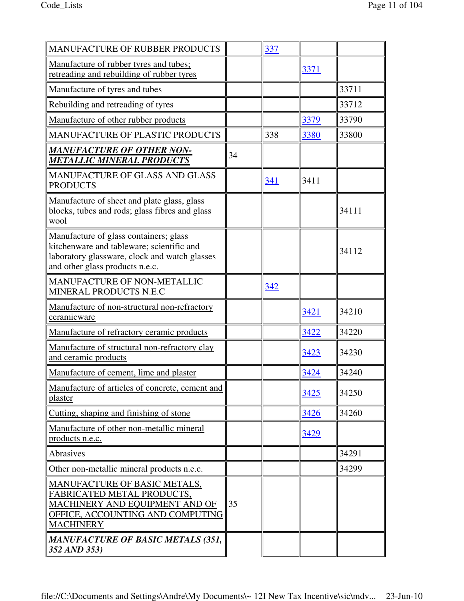| <b>MANUFACTURE OF RUBBER PRODUCTS</b>                                                                                                                                   |    | 337 |             |       |
|-------------------------------------------------------------------------------------------------------------------------------------------------------------------------|----|-----|-------------|-------|
| Manufacture of rubber tyres and tubes;<br>retreading and rebuilding of rubber tyres                                                                                     |    |     | 3371        |       |
| Manufacture of tyres and tubes                                                                                                                                          |    |     |             | 33711 |
| Rebuilding and retreading of tyres                                                                                                                                      |    |     |             | 33712 |
| Manufacture of other rubber products                                                                                                                                    |    |     | 3379        | 33790 |
| <b>MANUFACTURE OF PLASTIC PRODUCTS</b>                                                                                                                                  |    | 338 | 3380        | 33800 |
| <b>MANUFACTURE OF OTHER NON-</b><br><b>METALLIC MINERAL PRODUCTS</b>                                                                                                    | 34 |     |             |       |
| <b>MANUFACTURE OF GLASS AND GLASS</b><br><b>PRODUCTS</b>                                                                                                                |    | 341 | 3411        |       |
| Manufacture of sheet and plate glass, glass<br>blocks, tubes and rods; glass fibres and glass<br>wool                                                                   |    |     |             | 34111 |
| Manufacture of glass containers; glass<br>kitchenware and tableware; scientific and<br>laboratory glassware, clock and watch glasses<br>and other glass products n.e.c. |    |     |             | 34112 |
| MANUFACTURE OF NON-METALLIC<br>MINERAL PRODUCTS N.E.C                                                                                                                   |    | 342 |             |       |
| Manufacture of non-structural non-refractory<br>ceramicware                                                                                                             |    |     | 3421        | 34210 |
| Manufacture of refractory ceramic products                                                                                                                              |    |     | 3422        | 34220 |
| Manufacture of structural non-refractory clay<br>and ceramic products                                                                                                   |    |     | 3423        | 34230 |
| Manufacture of cement, lime and plaster                                                                                                                                 |    |     | 3424        | 34240 |
| Manufacture of articles of concrete, cement and<br>plaster                                                                                                              |    |     | 3425        | 34250 |
| Cutting, shaping and finishing of stone                                                                                                                                 |    |     | 3426        | 34260 |
| Manufacture of other non-metallic mineral<br>products n.e.c.                                                                                                            |    |     | <u>3429</u> |       |
| Abrasives                                                                                                                                                               |    |     |             | 34291 |
| Other non-metallic mineral products n.e.c.                                                                                                                              |    |     |             | 34299 |
| MANUFACTURE OF BASIC METALS,<br>FABRICATED METAL PRODUCTS,<br>MACHINERY AND EQUIPMENT AND OF<br>OFFICE, ACCOUNTING AND COMPUTING<br><b>MACHINERY</b>                    | 35 |     |             |       |
| <b>MANUFACTURE OF BASIC METALS (351,</b><br>352 AND 353)                                                                                                                |    |     |             |       |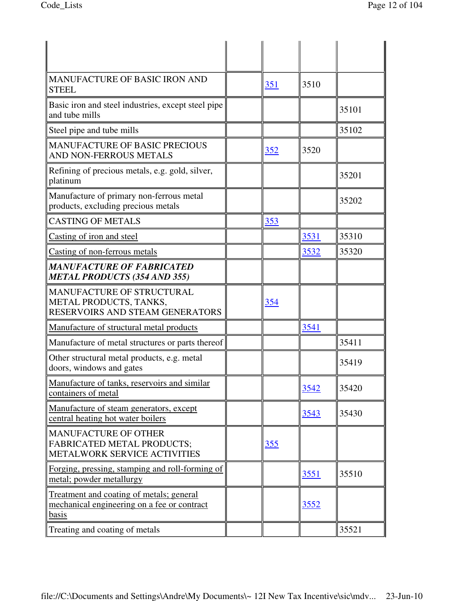| <b>MANUFACTURE OF BASIC IRON AND</b><br><b>STEEL</b>                                                    | 351        | 3510 |       |
|---------------------------------------------------------------------------------------------------------|------------|------|-------|
| Basic iron and steel industries, except steel pipe<br>and tube mills                                    |            |      | 35101 |
| Steel pipe and tube mills                                                                               |            |      | 35102 |
| <b>MANUFACTURE OF BASIC PRECIOUS</b><br>AND NON-FERROUS METALS                                          | 352        | 3520 |       |
| Refining of precious metals, e.g. gold, silver,<br>platinum                                             |            |      | 35201 |
| Manufacture of primary non-ferrous metal<br>products, excluding precious metals                         |            |      | 35202 |
| <b>CASTING OF METALS</b>                                                                                | 353        |      |       |
| Casting of iron and steel                                                                               |            | 3531 | 35310 |
| Casting of non-ferrous metals                                                                           |            | 3532 | 35320 |
| <b>MANUFACTURE OF FABRICATED</b><br><b>METAL PRODUCTS (354 AND 355)</b>                                 |            |      |       |
| MANUFACTURE OF STRUCTURAL<br>METAL PRODUCTS, TANKS,<br>RESERVOIRS AND STEAM GENERATORS                  | 354        |      |       |
| Manufacture of structural metal products                                                                |            | 3541 |       |
| Manufacture of metal structures or parts thereof                                                        |            |      | 35411 |
| Other structural metal products, e.g. metal<br>doors, windows and gates                                 |            |      | 35419 |
| Manufacture of tanks, reservoirs and similar<br>containers of metal                                     |            | 3542 | 35420 |
| Manufacture of steam generators, except<br>central heating hot water boilers                            |            | 3543 | 35430 |
| MANUFACTURE OF OTHER<br><b>FABRICATED METAL PRODUCTS;</b><br>METALWORK SERVICE ACTIVITIES               | <u>355</u> |      |       |
| Forging, pressing, stamping and roll-forming of<br>metal; powder metallurgy                             |            | 3551 | 35510 |
| Treatment and coating of metals; general<br>mechanical engineering on a fee or contract<br><b>basis</b> |            | 3552 |       |
| Treating and coating of metals                                                                          |            |      | 35521 |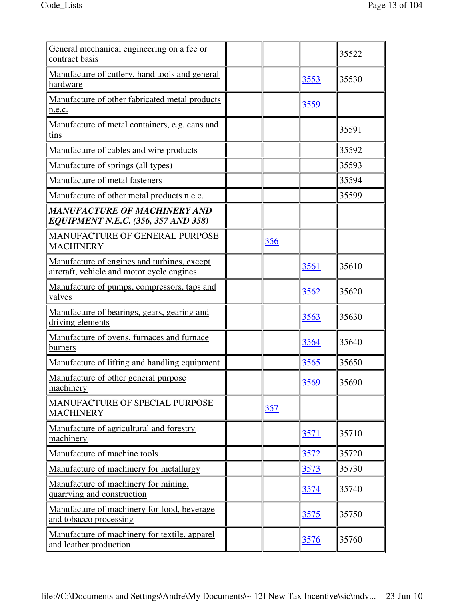| General mechanical engineering on a fee or<br>contract basis                             |     |      | 35522 |
|------------------------------------------------------------------------------------------|-----|------|-------|
| Manufacture of cutlery, hand tools and general<br>hardware                               |     | 3553 | 35530 |
| Manufacture of other fabricated metal products<br>n.e.c.                                 |     | 3559 |       |
| Manufacture of metal containers, e.g. cans and<br>tins                                   |     |      | 35591 |
| Manufacture of cables and wire products                                                  |     |      | 35592 |
| Manufacture of springs (all types)                                                       |     |      | 35593 |
| Manufacture of metal fasteners                                                           |     |      | 35594 |
| Manufacture of other metal products n.e.c.                                               |     |      | 35599 |
| <b>MANUFACTURE OF MACHINERY AND</b><br>EQUIPMENT N.E.C. (356, 357 AND 358)               |     |      |       |
| MANUFACTURE OF GENERAL PURPOSE<br><b>MACHINERY</b>                                       | 356 |      |       |
| Manufacture of engines and turbines, except<br>aircraft, vehicle and motor cycle engines |     | 3561 | 35610 |
| Manufacture of pumps, compressors, taps and<br>valves                                    |     | 3562 | 35620 |
| Manufacture of bearings, gears, gearing and<br>driving elements                          |     | 3563 | 35630 |
| Manufacture of ovens, furnaces and furnace<br>burners                                    |     | 3564 | 35640 |
| Manufacture of lifting and handling equipment                                            |     | 3565 | 35650 |
| Manufacture of other general purpose<br>machinery                                        |     | 3569 | 35690 |
| MANUFACTURE OF SPECIAL PURPOSE<br><b>MACHINERY</b>                                       | 357 |      |       |
| Manufacture of agricultural and forestry<br>machinery                                    |     | 3571 | 35710 |
| Manufacture of machine tools                                                             |     | 3572 | 35720 |
| Manufacture of machinery for metallurgy                                                  |     | 3573 | 35730 |
| Manufacture of machinery for mining,<br>quarrying and construction                       |     | 3574 | 35740 |
| Manufacture of machinery for food, beverage<br>and tobacco processing                    |     | 3575 | 35750 |
| Manufacture of machinery for textile, apparel<br>and leather production                  |     | 3576 | 35760 |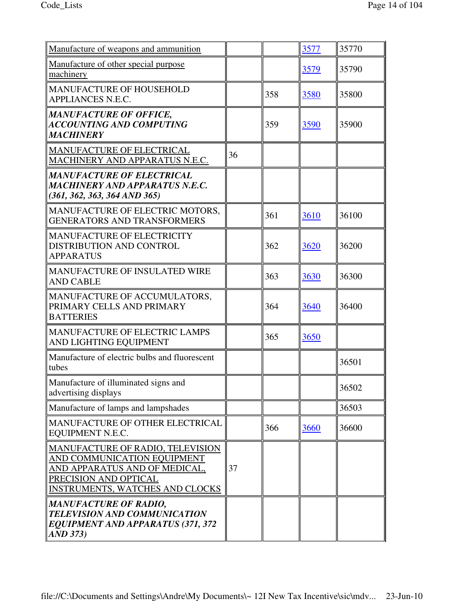| Manufacture of weapons and ammunition                                                                                                                               |    |     | 3577 | 35770 |
|---------------------------------------------------------------------------------------------------------------------------------------------------------------------|----|-----|------|-------|
| Manufacture of other special purpose<br>machinery                                                                                                                   |    |     | 3579 | 35790 |
| <b>MANUFACTURE OF HOUSEHOLD</b><br>APPLIANCES N.E.C.                                                                                                                |    | 358 | 3580 | 35800 |
| <b>MANUFACTURE OF OFFICE,</b><br><b>ACCOUNTING AND COMPUTING</b><br><b>MACHINERY</b>                                                                                |    | 359 | 3590 | 35900 |
| <b>MANUFACTURE OF ELECTRICAL</b><br>MACHINERY AND APPARATUS N.E.C.                                                                                                  | 36 |     |      |       |
| <b>MANUFACTURE OF ELECTRICAL</b><br>MACHINERY AND APPARATUS N.E.C.<br>$(361, 362, 363, 364 \text{ AND } 365)$                                                       |    |     |      |       |
| MANUFACTURE OF ELECTRIC MOTORS,<br><b>GENERATORS AND TRANSFORMERS</b>                                                                                               |    | 361 | 3610 | 36100 |
| <b>MANUFACTURE OF ELECTRICITY</b><br>DISTRIBUTION AND CONTROL<br><b>APPARATUS</b>                                                                                   |    | 362 | 3620 | 36200 |
| <b>MANUFACTURE OF INSULATED WIRE</b><br><b>AND CABLE</b>                                                                                                            |    | 363 | 3630 | 36300 |
| MANUFACTURE OF ACCUMULATORS,<br>PRIMARY CELLS AND PRIMARY<br><b>BATTERIES</b>                                                                                       |    | 364 | 3640 | 36400 |
| <b>MANUFACTURE OF ELECTRIC LAMPS</b><br>AND LIGHTING EQUIPMENT                                                                                                      |    | 365 | 3650 |       |
| Manufacture of electric bulbs and fluorescent<br>tubes                                                                                                              |    |     |      | 36501 |
| Manufacture of illuminated signs and<br>advertising displays                                                                                                        |    |     |      | 36502 |
| Manufacture of lamps and lampshades                                                                                                                                 |    |     |      | 36503 |
| MANUFACTURE OF OTHER ELECTRICAL<br>EQUIPMENT N.E.C.                                                                                                                 |    | 366 | 3660 | 36600 |
| MANUFACTURE OF RADIO, TELEVISION<br>AND COMMUNICATION EQUIPMENT<br>AND APPARATUS AND OF MEDICAL,<br>PRECISION AND OPTICAL<br><b>INSTRUMENTS, WATCHES AND CLOCKS</b> | 37 |     |      |       |
| <b>MANUFACTURE OF RADIO,</b><br>TELEVISION AND COMMUNICATION<br><b>EQUIPMENT AND APPARATUS (371, 372</b><br>AND 373)                                                |    |     |      |       |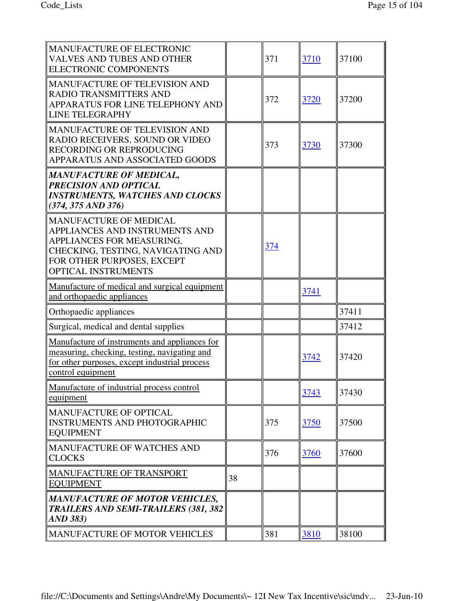| MANUFACTURE OF ELECTRONIC<br><b>VALVES AND TUBES AND OTHER</b><br><b>ELECTRONIC COMPONENTS</b>                                                                                         |    | 371 | 3710        | 37100 |
|----------------------------------------------------------------------------------------------------------------------------------------------------------------------------------------|----|-----|-------------|-------|
| MANUFACTURE OF TELEVISION AND<br><b>RADIO TRANSMITTERS AND</b><br>APPARATUS FOR LINE TELEPHONY AND<br>LINE TELEGRAPHY                                                                  |    | 372 | 3720        | 37200 |
| <b>MANUFACTURE OF TELEVISION AND</b><br>RADIO RECEIVERS, SOUND OR VIDEO<br>RECORDING OR REPRODUCING<br>APPARATUS AND ASSOCIATED GOODS                                                  |    | 373 | 3730        | 37300 |
| <b>MANUFACTURE OF MEDICAL,</b><br><b>PRECISION AND OPTICAL</b><br><b>INSTRUMENTS, WATCHES AND CLOCKS</b><br>$(374, 375 \text{ AND } 376)$                                              |    |     |             |       |
| <b>MANUFACTURE OF MEDICAL</b><br>APPLIANCES AND INSTRUMENTS AND<br>APPLIANCES FOR MEASURING,<br>CHECKING, TESTING, NAVIGATING AND<br>FOR OTHER PURPOSES, EXCEPT<br>OPTICAL INSTRUMENTS |    | 374 |             |       |
| Manufacture of medical and surgical equipment<br>and orthopaedic appliances                                                                                                            |    |     | 3741        |       |
| Orthopaedic appliances                                                                                                                                                                 |    |     |             | 37411 |
| Surgical, medical and dental supplies                                                                                                                                                  |    |     |             | 37412 |
| Manufacture of instruments and appliances for<br>measuring, checking, testing, navigating and<br>for other purposes, except industrial process<br>control equipment                    |    |     | 3742        | 37420 |
| Manufacture of industrial process control<br>equipment                                                                                                                                 |    |     | 3743        | 37430 |
| MANUFACTURE OF OPTICAL<br><b>INSTRUMENTS AND PHOTOGRAPHIC</b><br><b>EQUIPMENT</b>                                                                                                      |    | 375 | <u>3750</u> | 37500 |
| MANUFACTURE OF WATCHES AND<br><b>CLOCKS</b>                                                                                                                                            |    | 376 | 3760        | 37600 |
| <b>MANUFACTURE OF TRANSPORT</b><br><b>EQUIPMENT</b>                                                                                                                                    | 38 |     |             |       |
| MANUFACTURE OF MOTOR VEHICLES,<br><b>TRAILERS AND SEMI-TRAILERS (381, 382</b><br>$AND$ 383)                                                                                            |    |     |             |       |
| MANUFACTURE OF MOTOR VEHICLES                                                                                                                                                          |    | 381 | 3810        | 38100 |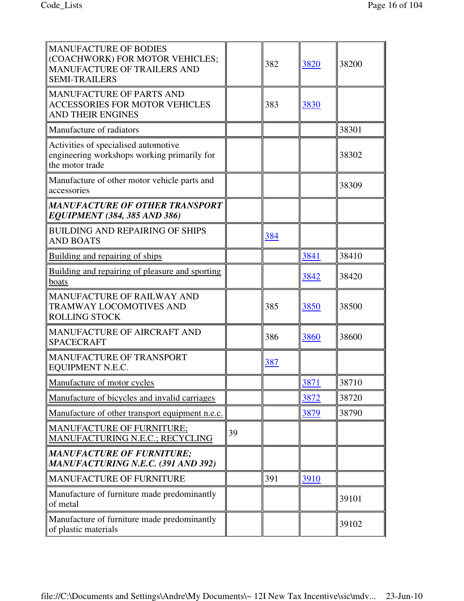| <b>MANUFACTURE OF BODIES</b><br>(COACHWORK) FOR MOTOR VEHICLES;<br>MANUFACTURE OF TRAILERS AND<br><b>SEMI-TRAILERS</b> |    | 382 | 3820 | 38200 |
|------------------------------------------------------------------------------------------------------------------------|----|-----|------|-------|
| <b>MANUFACTURE OF PARTS AND</b><br><b>ACCESSORIES FOR MOTOR VEHICLES</b><br><b>AND THEIR ENGINES</b>                   |    | 383 | 3830 |       |
| Manufacture of radiators                                                                                               |    |     |      | 38301 |
| Activities of specialised automotive<br>engineering workshops working primarily for<br>the motor trade                 |    |     |      | 38302 |
| Manufacture of other motor vehicle parts and<br>accessories                                                            |    |     |      | 38309 |
| <b>MANUFACTURE OF OTHER TRANSPORT</b><br><b>EQUIPMENT (384, 385 AND 386)</b>                                           |    |     |      |       |
| <b>BUILDING AND REPAIRING OF SHIPS</b><br><b>AND BOATS</b>                                                             |    | 384 |      |       |
| Building and repairing of ships                                                                                        |    |     | 3841 | 38410 |
| Building and repairing of pleasure and sporting<br>boats                                                               |    |     | 3842 | 38420 |
| <b>MANUFACTURE OF RAILWAY AND</b><br>TRAMWAY LOCOMOTIVES AND<br><b>ROLLING STOCK</b>                                   |    | 385 | 3850 | 38500 |
| MANUFACTURE OF AIRCRAFT AND<br><b>SPACECRAFT</b>                                                                       |    | 386 | 3860 | 38600 |
| <b>MANUFACTURE OF TRANSPORT</b><br>EQUIPMENT N.E.C.                                                                    |    | 387 |      |       |
| Manufacture of motor cycles                                                                                            |    |     | 3871 | 38710 |
| Manufacture of bicycles and invalid carriages                                                                          |    |     | 3872 | 38720 |
| Manufacture of other transport equipment n.e.c.                                                                        |    |     | 3879 | 38790 |
| <b>MANUFACTURE OF FURNITURE;</b><br>MANUFACTURING N.E.C.; RECYCLING                                                    | 39 |     |      |       |
| <b>MANUFACTURE OF FURNITURE;</b><br><b>MANUFACTURING N.E.C. (391 AND 392)</b>                                          |    |     |      |       |
| <b>MANUFACTURE OF FURNITURE</b>                                                                                        |    | 391 | 3910 |       |
| Manufacture of furniture made predominantly<br>of metal                                                                |    |     |      | 39101 |
| Manufacture of furniture made predominantly<br>of plastic materials                                                    |    |     |      | 39102 |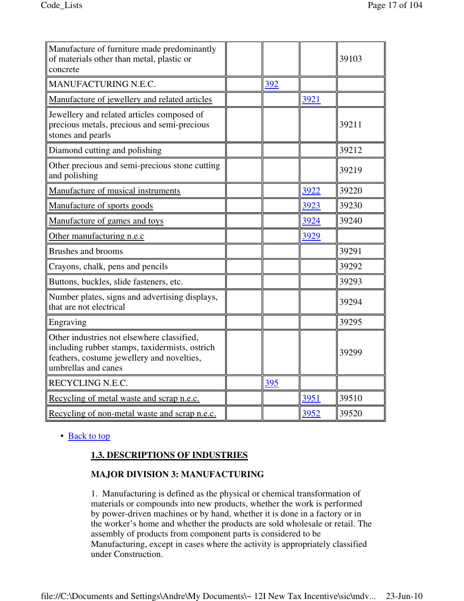| Manufacture of furniture made predominantly<br>of materials other than metal, plastic or<br>concrete                                                              |     |      | 39103 |
|-------------------------------------------------------------------------------------------------------------------------------------------------------------------|-----|------|-------|
| MANUFACTURING N.E.C.                                                                                                                                              | 392 |      |       |
| Manufacture of jewellery and related articles                                                                                                                     |     | 3921 |       |
| Jewellery and related articles composed of<br>precious metals, precious and semi-precious<br>stones and pearls                                                    |     |      | 39211 |
| Diamond cutting and polishing                                                                                                                                     |     |      | 39212 |
| Other precious and semi-precious stone cutting<br>and polishing                                                                                                   |     |      | 39219 |
| Manufacture of musical instruments                                                                                                                                |     | 3922 | 39220 |
| Manufacture of sports goods                                                                                                                                       |     | 3923 | 39230 |
| Manufacture of games and toys                                                                                                                                     |     | 3924 | 39240 |
| Other manufacturing n.e.c                                                                                                                                         |     | 3929 |       |
| <b>Brushes and brooms</b>                                                                                                                                         |     |      | 39291 |
| Crayons, chalk, pens and pencils                                                                                                                                  |     |      | 39292 |
| Buttons, buckles, slide fasteners, etc.                                                                                                                           |     |      | 39293 |
| Number plates, signs and advertising displays,<br>that are not electrical                                                                                         |     |      | 39294 |
| Engraving                                                                                                                                                         |     |      | 39295 |
| Other industries not elsewhere classified,<br>including rubber stamps, taxidermists, ostrich<br>feathers, costume jewellery and novelties,<br>umbrellas and canes |     |      | 39299 |
| RECYCLING N.E.C.                                                                                                                                                  | 395 |      |       |
| Recycling of metal waste and scrap n.e.c.                                                                                                                         |     | 3951 | 39510 |
| Recycling of non-metal waste and scrap n.e.c.                                                                                                                     |     | 3952 | 39520 |

# • Back to top

# **1.3. DESCRIPTIONS OF INDUSTRIES**

# **MAJOR DIVISION 3: MANUFACTURING**

1. Manufacturing is defined as the physical or chemical transformation of materials or compounds into new products, whether the work is performed by power-driven machines or by hand, whether it is done in a factory or in the worker's home and whether the products are sold wholesale or retail. The assembly of products from component parts is considered to be Manufacturing, except in cases where the activity is appropriately classified under Construction.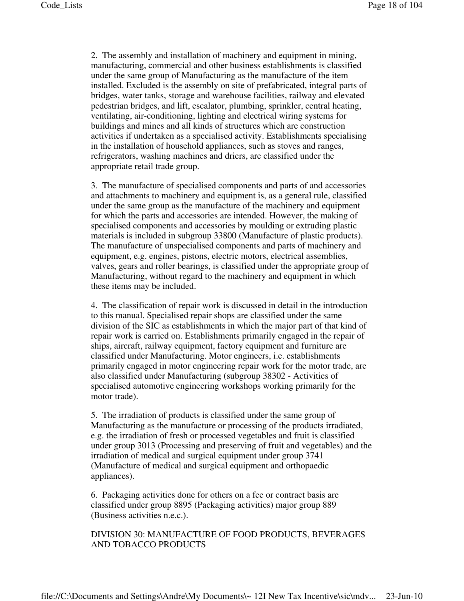2. The assembly and installation of machinery and equipment in mining, manufacturing, commercial and other business establishments is classified under the same group of Manufacturing as the manufacture of the item installed. Excluded is the assembly on site of prefabricated, integral parts of bridges, water tanks, storage and warehouse facilities, railway and elevated pedestrian bridges, and lift, escalator, plumbing, sprinkler, central heating, ventilating, air-conditioning, lighting and electrical wiring systems for buildings and mines and all kinds of structures which are construction activities if undertaken as a specialised activity. Establishments specialising in the installation of household appliances, such as stoves and ranges, refrigerators, washing machines and driers, are classified under the appropriate retail trade group.

3. The manufacture of specialised components and parts of and accessories and attachments to machinery and equipment is, as a general rule, classified under the same group as the manufacture of the machinery and equipment for which the parts and accessories are intended. However, the making of specialised components and accessories by moulding or extruding plastic materials is included in subgroup 33800 (Manufacture of plastic products). The manufacture of unspecialised components and parts of machinery and equipment, e.g. engines, pistons, electric motors, electrical assemblies, valves, gears and roller bearings, is classified under the appropriate group of Manufacturing, without regard to the machinery and equipment in which these items may be included.

4. The classification of repair work is discussed in detail in the introduction to this manual. Specialised repair shops are classified under the same division of the SIC as establishments in which the major part of that kind of repair work is carried on. Establishments primarily engaged in the repair of ships, aircraft, railway equipment, factory equipment and furniture are classified under Manufacturing. Motor engineers, i.e. establishments primarily engaged in motor engineering repair work for the motor trade, are also classified under Manufacturing (subgroup 38302 - Activities of specialised automotive engineering workshops working primarily for the motor trade).

5. The irradiation of products is classified under the same group of Manufacturing as the manufacture or processing of the products irradiated, e.g. the irradiation of fresh or processed vegetables and fruit is classified under group 3013 (Processing and preserving of fruit and vegetables) and the irradiation of medical and surgical equipment under group 3741 (Manufacture of medical and surgical equipment and orthopaedic appliances).

6. Packaging activities done for others on a fee or contract basis are classified under group 8895 (Packaging activities) major group 889 (Business activities n.e.c.).

# DIVISION 30: MANUFACTURE OF FOOD PRODUCTS, BEVERAGES AND TOBACCO PRODUCTS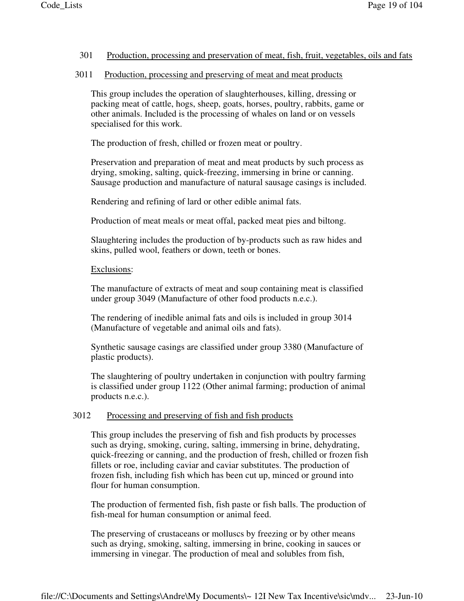#### 301 Production, processing and preservation of meat, fish, fruit, vegetables, oils and fats

#### 3011 Production, processing and preserving of meat and meat products

This group includes the operation of slaughterhouses, killing, dressing or packing meat of cattle, hogs, sheep, goats, horses, poultry, rabbits, game or other animals. Included is the processing of whales on land or on vessels specialised for this work.

The production of fresh, chilled or frozen meat or poultry.

Preservation and preparation of meat and meat products by such process as drying, smoking, salting, quick-freezing, immersing in brine or canning. Sausage production and manufacture of natural sausage casings is included.

Rendering and refining of lard or other edible animal fats.

Production of meat meals or meat offal, packed meat pies and biltong.

Slaughtering includes the production of by-products such as raw hides and skins, pulled wool, feathers or down, teeth or bones.

#### Exclusions:

The manufacture of extracts of meat and soup containing meat is classified under group 3049 (Manufacture of other food products n.e.c.).

The rendering of inedible animal fats and oils is included in group 3014 (Manufacture of vegetable and animal oils and fats).

Synthetic sausage casings are classified under group 3380 (Manufacture of plastic products).

The slaughtering of poultry undertaken in conjunction with poultry farming is classified under group 1122 (Other animal farming; production of animal products n.e.c.).

#### 3012 Processing and preserving of fish and fish products

This group includes the preserving of fish and fish products by processes such as drying, smoking, curing, salting, immersing in brine, dehydrating, quick-freezing or canning, and the production of fresh, chilled or frozen fish fillets or roe, including caviar and caviar substitutes. The production of frozen fish, including fish which has been cut up, minced or ground into flour for human consumption.

The production of fermented fish, fish paste or fish balls. The production of fish-meal for human consumption or animal feed.

The preserving of crustaceans or molluscs by freezing or by other means such as drying, smoking, salting, immersing in brine, cooking in sauces or immersing in vinegar. The production of meal and solubles from fish,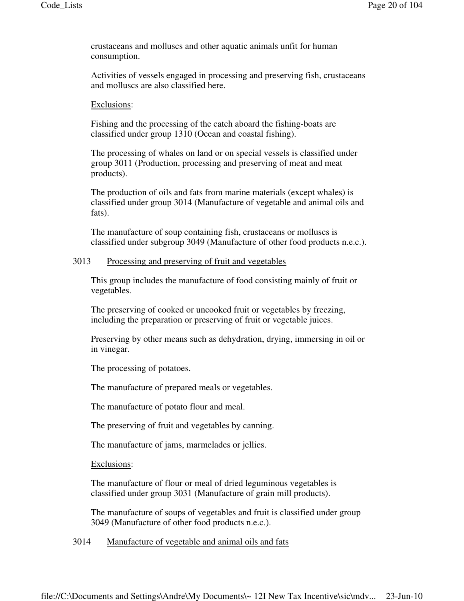crustaceans and molluscs and other aquatic animals unfit for human consumption.

Activities of vessels engaged in processing and preserving fish, crustaceans and molluscs are also classified here.

#### Exclusions:

Fishing and the processing of the catch aboard the fishing-boats are classified under group 1310 (Ocean and coastal fishing).

The processing of whales on land or on special vessels is classified under group 3011 (Production, processing and preserving of meat and meat products).

The production of oils and fats from marine materials (except whales) is classified under group 3014 (Manufacture of vegetable and animal oils and fats).

The manufacture of soup containing fish, crustaceans or molluscs is classified under subgroup 3049 (Manufacture of other food products n.e.c.).

#### 3013 Processing and preserving of fruit and vegetables

This group includes the manufacture of food consisting mainly of fruit or vegetables.

The preserving of cooked or uncooked fruit or vegetables by freezing, including the preparation or preserving of fruit or vegetable juices.

Preserving by other means such as dehydration, drying, immersing in oil or in vinegar.

The processing of potatoes.

The manufacture of prepared meals or vegetables.

The manufacture of potato flour and meal.

The preserving of fruit and vegetables by canning.

The manufacture of jams, marmelades or jellies.

Exclusions:

The manufacture of flour or meal of dried leguminous vegetables is classified under group 3031 (Manufacture of grain mill products).

The manufacture of soups of vegetables and fruit is classified under group 3049 (Manufacture of other food products n.e.c.).

3014 Manufacture of vegetable and animal oils and fats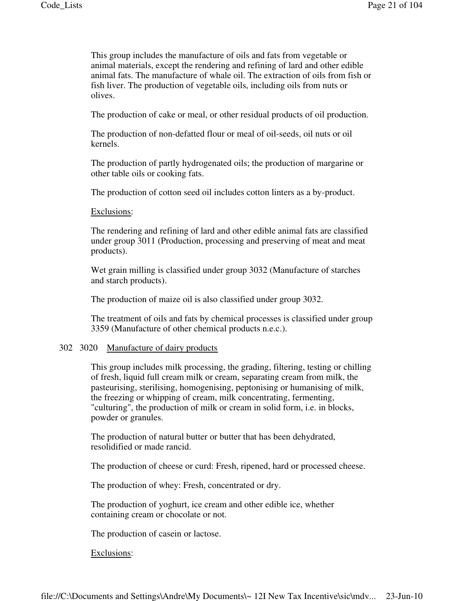This group includes the manufacture of oils and fats from vegetable or animal materials, except the rendering and refining of lard and other edible animal fats. The manufacture of whale oil. The extraction of oils from fish or fish liver. The production of vegetable oils, including oils from nuts or olives.

The production of cake or meal, or other residual products of oil production.

The production of non-defatted flour or meal of oil-seeds, oil nuts or oil kernels.

The production of partly hydrogenated oils; the production of margarine or other table oils or cooking fats.

The production of cotton seed oil includes cotton linters as a by-product.

#### Exclusions:

The rendering and refining of lard and other edible animal fats are classified under group 3011 (Production, processing and preserving of meat and meat products).

Wet grain milling is classified under group 3032 (Manufacture of starches and starch products).

The production of maize oil is also classified under group 3032.

The treatment of oils and fats by chemical processes is classified under group 3359 (Manufacture of other chemical products n.e.c.).

#### 302 3020 Manufacture of dairy products

This group includes milk processing, the grading, filtering, testing or chilling of fresh, liquid full cream milk or cream, separating cream from milk, the pasteurising, sterilising, homogenising, peptonising or humanising of milk, the freezing or whipping of cream, milk concentrating, fermenting, "culturing", the production of milk or cream in solid form, i.e. in blocks, powder or granules.

The production of natural butter or butter that has been dehydrated, resolidified or made rancid.

The production of cheese or curd: Fresh, ripened, hard or processed cheese.

The production of whey: Fresh, concentrated or dry.

The production of yoghurt, ice cream and other edible ice, whether containing cream or chocolate or not.

The production of casein or lactose.

Exclusions: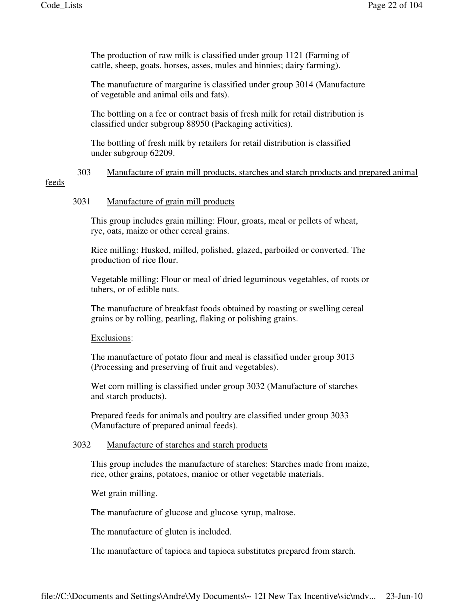The production of raw milk is classified under group 1121 (Farming of cattle, sheep, goats, horses, asses, mules and hinnies; dairy farming).

The manufacture of margarine is classified under group 3014 (Manufacture of vegetable and animal oils and fats).

The bottling on a fee or contract basis of fresh milk for retail distribution is classified under subgroup 88950 (Packaging activities).

The bottling of fresh milk by retailers for retail distribution is classified under subgroup 62209.

# 303 Manufacture of grain mill products, starches and starch products and prepared animal

## feeds

#### 3031 Manufacture of grain mill products

This group includes grain milling: Flour, groats, meal or pellets of wheat, rye, oats, maize or other cereal grains.

Rice milling: Husked, milled, polished, glazed, parboiled or converted. The production of rice flour.

Vegetable milling: Flour or meal of dried leguminous vegetables, of roots or tubers, or of edible nuts.

The manufacture of breakfast foods obtained by roasting or swelling cereal grains or by rolling, pearling, flaking or polishing grains.

# Exclusions:

The manufacture of potato flour and meal is classified under group 3013 (Processing and preserving of fruit and vegetables).

Wet corn milling is classified under group 3032 (Manufacture of starches and starch products).

Prepared feeds for animals and poultry are classified under group 3033 (Manufacture of prepared animal feeds).

#### 3032 Manufacture of starches and starch products

This group includes the manufacture of starches: Starches made from maize, rice, other grains, potatoes, manioc or other vegetable materials.

Wet grain milling.

The manufacture of glucose and glucose syrup, maltose.

The manufacture of gluten is included.

The manufacture of tapioca and tapioca substitutes prepared from starch.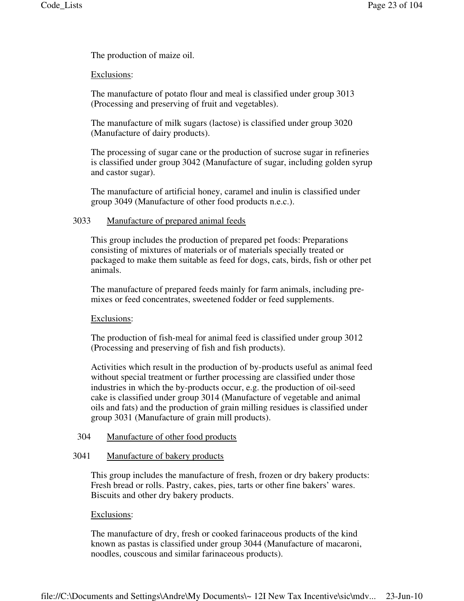The production of maize oil.

## Exclusions:

The manufacture of potato flour and meal is classified under group 3013 (Processing and preserving of fruit and vegetables).

The manufacture of milk sugars (lactose) is classified under group 3020 (Manufacture of dairy products).

The processing of sugar cane or the production of sucrose sugar in refineries is classified under group 3042 (Manufacture of sugar, including golden syrup and castor sugar).

The manufacture of artificial honey, caramel and inulin is classified under group 3049 (Manufacture of other food products n.e.c.).

#### 3033 Manufacture of prepared animal feeds

This group includes the production of prepared pet foods: Preparations consisting of mixtures of materials or of materials specially treated or packaged to make them suitable as feed for dogs, cats, birds, fish or other pet animals.

The manufacture of prepared feeds mainly for farm animals, including premixes or feed concentrates, sweetened fodder or feed supplements.

#### Exclusions:

The production of fish-meal for animal feed is classified under group 3012 (Processing and preserving of fish and fish products).

Activities which result in the production of by-products useful as animal feed without special treatment or further processing are classified under those industries in which the by-products occur, e.g. the production of oil-seed cake is classified under group 3014 (Manufacture of vegetable and animal oils and fats) and the production of grain milling residues is classified under group 3031 (Manufacture of grain mill products).

#### 304 Manufacture of other food products

#### 3041 Manufacture of bakery products

This group includes the manufacture of fresh, frozen or dry bakery products: Fresh bread or rolls. Pastry, cakes, pies, tarts or other fine bakers' wares. Biscuits and other dry bakery products.

#### Exclusions:

The manufacture of dry, fresh or cooked farinaceous products of the kind known as pastas is classified under group 3044 (Manufacture of macaroni, noodles, couscous and similar farinaceous products).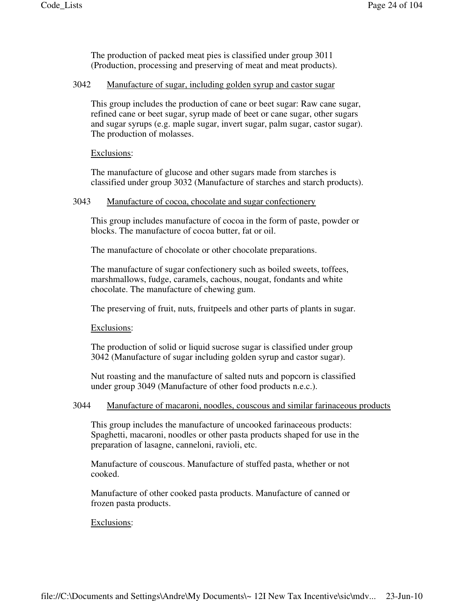The production of packed meat pies is classified under group 3011 (Production, processing and preserving of meat and meat products).

#### 3042 Manufacture of sugar, including golden syrup and castor sugar

This group includes the production of cane or beet sugar: Raw cane sugar, refined cane or beet sugar, syrup made of beet or cane sugar, other sugars and sugar syrups (e.g. maple sugar, invert sugar, palm sugar, castor sugar). The production of molasses.

## Exclusions:

The manufacture of glucose and other sugars made from starches is classified under group 3032 (Manufacture of starches and starch products).

#### 3043 Manufacture of cocoa, chocolate and sugar confectionery

This group includes manufacture of cocoa in the form of paste, powder or blocks. The manufacture of cocoa butter, fat or oil.

The manufacture of chocolate or other chocolate preparations.

The manufacture of sugar confectionery such as boiled sweets, toffees, marshmallows, fudge, caramels, cachous, nougat, fondants and white chocolate. The manufacture of chewing gum.

The preserving of fruit, nuts, fruitpeels and other parts of plants in sugar.

#### Exclusions:

The production of solid or liquid sucrose sugar is classified under group 3042 (Manufacture of sugar including golden syrup and castor sugar).

Nut roasting and the manufacture of salted nuts and popcorn is classified under group 3049 (Manufacture of other food products n.e.c.).

## 3044 Manufacture of macaroni, noodles, couscous and similar farinaceous products

This group includes the manufacture of uncooked farinaceous products: Spaghetti, macaroni, noodles or other pasta products shaped for use in the preparation of lasagne, canneloni, ravioli, etc.

Manufacture of couscous. Manufacture of stuffed pasta, whether or not cooked.

Manufacture of other cooked pasta products. Manufacture of canned or frozen pasta products.

#### Exclusions: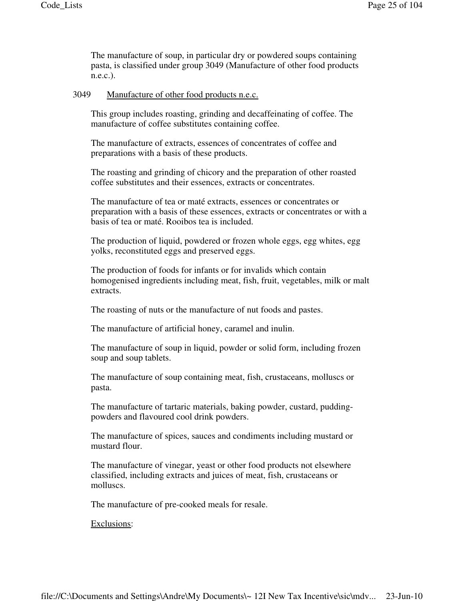The manufacture of soup, in particular dry or powdered soups containing pasta, is classified under group 3049 (Manufacture of other food products n.e.c.).

#### 3049 Manufacture of other food products n.e.c.

This group includes roasting, grinding and decaffeinating of coffee. The manufacture of coffee substitutes containing coffee.

The manufacture of extracts, essences of concentrates of coffee and preparations with a basis of these products.

The roasting and grinding of chicory and the preparation of other roasted coffee substitutes and their essences, extracts or concentrates.

The manufacture of tea or maté extracts, essences or concentrates or preparation with a basis of these essences, extracts or concentrates or with a basis of tea or maté. Rooibos tea is included.

The production of liquid, powdered or frozen whole eggs, egg whites, egg yolks, reconstituted eggs and preserved eggs.

The production of foods for infants or for invalids which contain homogenised ingredients including meat, fish, fruit, vegetables, milk or malt extracts.

The roasting of nuts or the manufacture of nut foods and pastes.

The manufacture of artificial honey, caramel and inulin.

The manufacture of soup in liquid, powder or solid form, including frozen soup and soup tablets.

The manufacture of soup containing meat, fish, crustaceans, molluscs or pasta.

The manufacture of tartaric materials, baking powder, custard, puddingpowders and flavoured cool drink powders.

The manufacture of spices, sauces and condiments including mustard or mustard flour.

The manufacture of vinegar, yeast or other food products not elsewhere classified, including extracts and juices of meat, fish, crustaceans or molluscs.

The manufacture of pre-cooked meals for resale.

Exclusions: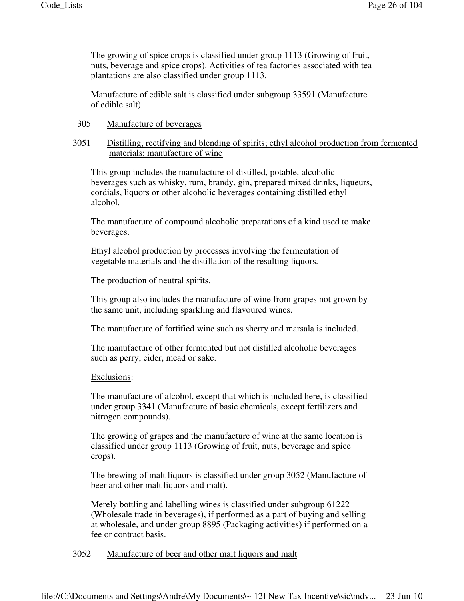The growing of spice crops is classified under group 1113 (Growing of fruit, nuts, beverage and spice crops). Activities of tea factories associated with tea plantations are also classified under group 1113.

Manufacture of edible salt is classified under subgroup 33591 (Manufacture of edible salt).

#### 305 Manufacture of beverages

## 3051 Distilling, rectifying and blending of spirits; ethyl alcohol production from fermented materials; manufacture of wine

This group includes the manufacture of distilled, potable, alcoholic beverages such as whisky, rum, brandy, gin, prepared mixed drinks, liqueurs, cordials, liquors or other alcoholic beverages containing distilled ethyl alcohol.

The manufacture of compound alcoholic preparations of a kind used to make beverages.

Ethyl alcohol production by processes involving the fermentation of vegetable materials and the distillation of the resulting liquors.

The production of neutral spirits.

This group also includes the manufacture of wine from grapes not grown by the same unit, including sparkling and flavoured wines.

The manufacture of fortified wine such as sherry and marsala is included.

The manufacture of other fermented but not distilled alcoholic beverages such as perry, cider, mead or sake.

#### Exclusions:

The manufacture of alcohol, except that which is included here, is classified under group 3341 (Manufacture of basic chemicals, except fertilizers and nitrogen compounds).

The growing of grapes and the manufacture of wine at the same location is classified under group 1113 (Growing of fruit, nuts, beverage and spice crops).

The brewing of malt liquors is classified under group 3052 (Manufacture of beer and other malt liquors and malt).

Merely bottling and labelling wines is classified under subgroup 61222 (Wholesale trade in beverages), if performed as a part of buying and selling at wholesale, and under group 8895 (Packaging activities) if performed on a fee or contract basis.

# 3052 Manufacture of beer and other malt liquors and malt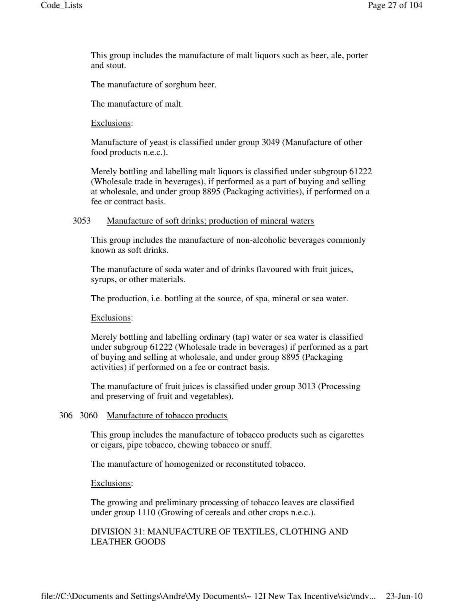This group includes the manufacture of malt liquors such as beer, ale, porter and stout.

The manufacture of sorghum beer.

The manufacture of malt.

Exclusions:

Manufacture of yeast is classified under group 3049 (Manufacture of other food products n.e.c.).

Merely bottling and labelling malt liquors is classified under subgroup 61222 (Wholesale trade in beverages), if performed as a part of buying and selling at wholesale, and under group 8895 (Packaging activities), if performed on a fee or contract basis.

#### 3053 Manufacture of soft drinks; production of mineral waters

This group includes the manufacture of non-alcoholic beverages commonly known as soft drinks.

The manufacture of soda water and of drinks flavoured with fruit juices, syrups, or other materials.

The production, i.e. bottling at the source, of spa, mineral or sea water.

Exclusions:

Merely bottling and labelling ordinary (tap) water or sea water is classified under subgroup 61222 (Wholesale trade in beverages) if performed as a part of buying and selling at wholesale, and under group 8895 (Packaging activities) if performed on a fee or contract basis.

The manufacture of fruit juices is classified under group 3013 (Processing and preserving of fruit and vegetables).

## 306 3060 Manufacture of tobacco products

This group includes the manufacture of tobacco products such as cigarettes or cigars, pipe tobacco, chewing tobacco or snuff.

The manufacture of homogenized or reconstituted tobacco.

Exclusions:

The growing and preliminary processing of tobacco leaves are classified under group 1110 (Growing of cereals and other crops n.e.c.).

## DIVISION 31: MANUFACTURE OF TEXTILES, CLOTHING AND LEATHER GOODS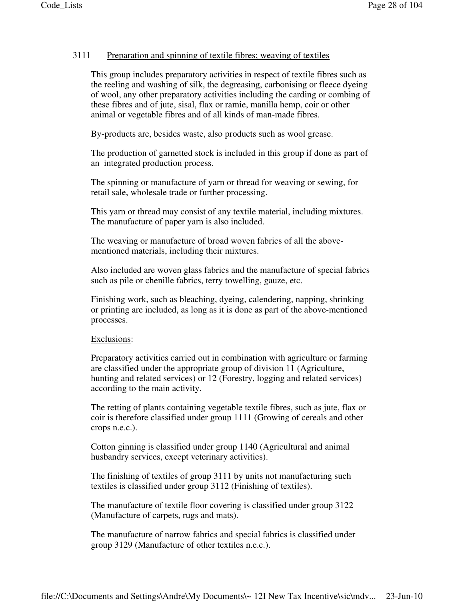# 3111 Preparation and spinning of textile fibres; weaving of textiles

This group includes preparatory activities in respect of textile fibres such as the reeling and washing of silk, the degreasing, carbonising or fleece dyeing of wool, any other preparatory activities including the carding or combing of these fibres and of jute, sisal, flax or ramie, manilla hemp, coir or other animal or vegetable fibres and of all kinds of man-made fibres.

By-products are, besides waste, also products such as wool grease.

The production of garnetted stock is included in this group if done as part of an integrated production process.

The spinning or manufacture of yarn or thread for weaving or sewing, for retail sale, wholesale trade or further processing.

This yarn or thread may consist of any textile material, including mixtures. The manufacture of paper yarn is also included.

The weaving or manufacture of broad woven fabrics of all the abovementioned materials, including their mixtures.

Also included are woven glass fabrics and the manufacture of special fabrics such as pile or chenille fabrics, terry towelling, gauze, etc.

Finishing work, such as bleaching, dyeing, calendering, napping, shrinking or printing are included, as long as it is done as part of the above-mentioned processes.

#### Exclusions:

Preparatory activities carried out in combination with agriculture or farming are classified under the appropriate group of division 11 (Agriculture, hunting and related services) or 12 (Forestry, logging and related services) according to the main activity.

The retting of plants containing vegetable textile fibres, such as jute, flax or coir is therefore classified under group 1111 (Growing of cereals and other crops n.e.c.).

Cotton ginning is classified under group 1140 (Agricultural and animal husbandry services, except veterinary activities).

The finishing of textiles of group 3111 by units not manufacturing such textiles is classified under group 3112 (Finishing of textiles).

The manufacture of textile floor covering is classified under group 3122 (Manufacture of carpets, rugs and mats).

The manufacture of narrow fabrics and special fabrics is classified under group 3129 (Manufacture of other textiles n.e.c.).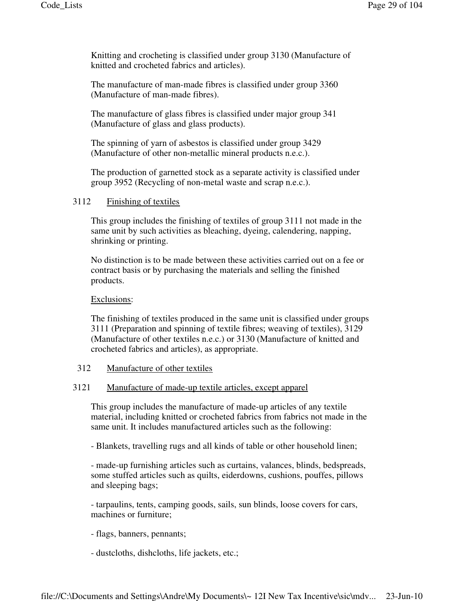Knitting and crocheting is classified under group 3130 (Manufacture of knitted and crocheted fabrics and articles).

The manufacture of man-made fibres is classified under group 3360 (Manufacture of man-made fibres).

The manufacture of glass fibres is classified under major group 341 (Manufacture of glass and glass products).

The spinning of yarn of asbestos is classified under group 3429 (Manufacture of other non-metallic mineral products n.e.c.).

The production of garnetted stock as a separate activity is classified under group 3952 (Recycling of non-metal waste and scrap n.e.c.).

## 3112 Finishing of textiles

This group includes the finishing of textiles of group 3111 not made in the same unit by such activities as bleaching, dyeing, calendering, napping, shrinking or printing.

No distinction is to be made between these activities carried out on a fee or contract basis or by purchasing the materials and selling the finished products.

## Exclusions:

The finishing of textiles produced in the same unit is classified under groups 3111 (Preparation and spinning of textile fibres; weaving of textiles), 3129 (Manufacture of other textiles n.e.c.) or 3130 (Manufacture of knitted and crocheted fabrics and articles), as appropriate.

# 312 Manufacture of other textiles

#### 3121 Manufacture of made-up textile articles, except apparel

This group includes the manufacture of made-up articles of any textile material, including knitted or crocheted fabrics from fabrics not made in the same unit. It includes manufactured articles such as the following:

- Blankets, travelling rugs and all kinds of table or other household linen;

- made-up furnishing articles such as curtains, valances, blinds, bedspreads, some stuffed articles such as quilts, eiderdowns, cushions, pouffes, pillows and sleeping bags;

- tarpaulins, tents, camping goods, sails, sun blinds, loose covers for cars, machines or furniture;

- flags, banners, pennants;

- dustcloths, dishcloths, life jackets, etc.;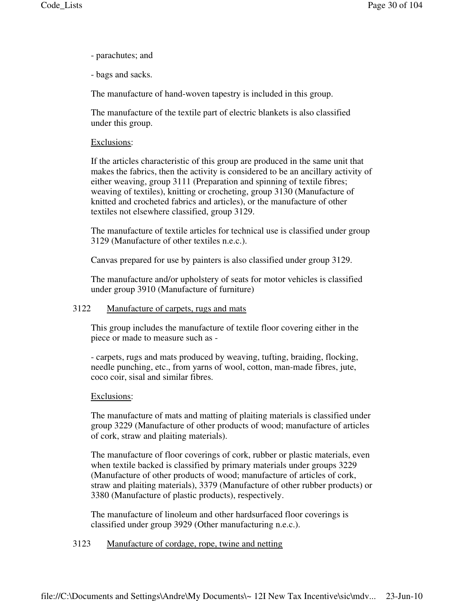- parachutes; and
- bags and sacks.

The manufacture of hand-woven tapestry is included in this group.

The manufacture of the textile part of electric blankets is also classified under this group.

## Exclusions:

If the articles characteristic of this group are produced in the same unit that makes the fabrics, then the activity is considered to be an ancillary activity of either weaving, group 3111 (Preparation and spinning of textile fibres; weaving of textiles), knitting or crocheting, group 3130 (Manufacture of knitted and crocheted fabrics and articles), or the manufacture of other textiles not elsewhere classified, group 3129.

The manufacture of textile articles for technical use is classified under group 3129 (Manufacture of other textiles n.e.c.).

Canvas prepared for use by painters is also classified under group 3129.

The manufacture and/or upholstery of seats for motor vehicles is classified under group 3910 (Manufacture of furniture)

#### 3122 Manufacture of carpets, rugs and mats

This group includes the manufacture of textile floor covering either in the piece or made to measure such as -

- carpets, rugs and mats produced by weaving, tufting, braiding, flocking, needle punching, etc., from yarns of wool, cotton, man-made fibres, jute, coco coir, sisal and similar fibres.

# Exclusions:

The manufacture of mats and matting of plaiting materials is classified under group 3229 (Manufacture of other products of wood; manufacture of articles of cork, straw and plaiting materials).

The manufacture of floor coverings of cork, rubber or plastic materials, even when textile backed is classified by primary materials under groups 3229 (Manufacture of other products of wood; manufacture of articles of cork, straw and plaiting materials), 3379 (Manufacture of other rubber products) or 3380 (Manufacture of plastic products), respectively.

The manufacture of linoleum and other hardsurfaced floor coverings is classified under group 3929 (Other manufacturing n.e.c.).

# 3123 Manufacture of cordage, rope, twine and netting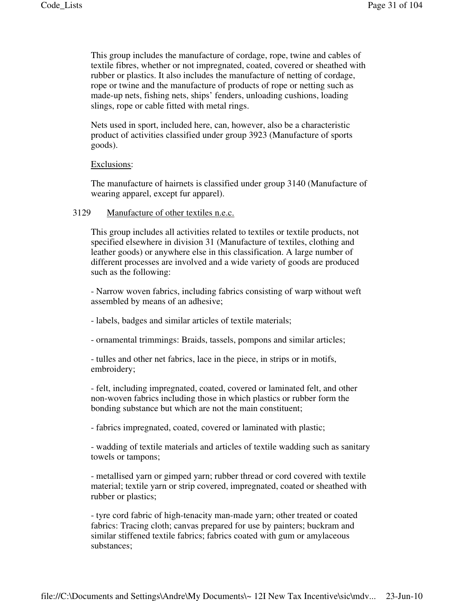This group includes the manufacture of cordage, rope, twine and cables of textile fibres, whether or not impregnated, coated, covered or sheathed with rubber or plastics. It also includes the manufacture of netting of cordage, rope or twine and the manufacture of products of rope or netting such as made-up nets, fishing nets, ships' fenders, unloading cushions, loading slings, rope or cable fitted with metal rings.

Nets used in sport, included here, can, however, also be a characteristic product of activities classified under group 3923 (Manufacture of sports goods).

#### Exclusions:

The manufacture of hairnets is classified under group 3140 (Manufacture of wearing apparel, except fur apparel).

#### 3129 Manufacture of other textiles n.e.c.

This group includes all activities related to textiles or textile products, not specified elsewhere in division 31 (Manufacture of textiles, clothing and leather goods) or anywhere else in this classification. A large number of different processes are involved and a wide variety of goods are produced such as the following:

- Narrow woven fabrics, including fabrics consisting of warp without weft assembled by means of an adhesive;

- labels, badges and similar articles of textile materials;

- ornamental trimmings: Braids, tassels, pompons and similar articles;

- tulles and other net fabrics, lace in the piece, in strips or in motifs, embroidery;

- felt, including impregnated, coated, covered or laminated felt, and other non-woven fabrics including those in which plastics or rubber form the bonding substance but which are not the main constituent;

- fabrics impregnated, coated, covered or laminated with plastic;

- wadding of textile materials and articles of textile wadding such as sanitary towels or tampons;

- metallised yarn or gimped yarn; rubber thread or cord covered with textile material; textile yarn or strip covered, impregnated, coated or sheathed with rubber or plastics;

- tyre cord fabric of high-tenacity man-made yarn; other treated or coated fabrics: Tracing cloth; canvas prepared for use by painters; buckram and similar stiffened textile fabrics; fabrics coated with gum or amylaceous substances;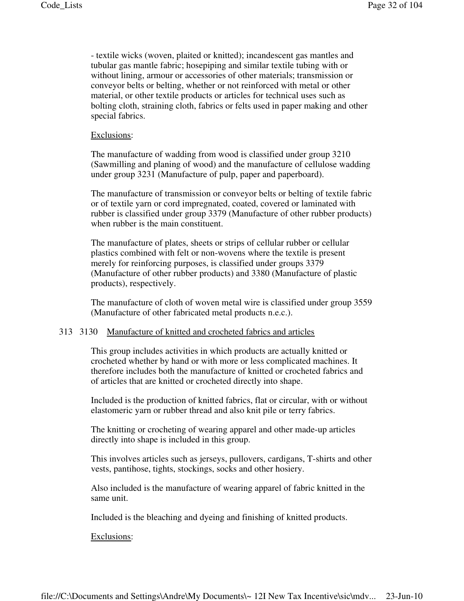- textile wicks (woven, plaited or knitted); incandescent gas mantles and tubular gas mantle fabric; hosepiping and similar textile tubing with or without lining, armour or accessories of other materials; transmission or conveyor belts or belting, whether or not reinforced with metal or other material, or other textile products or articles for technical uses such as bolting cloth, straining cloth, fabrics or felts used in paper making and other special fabrics.

#### Exclusions:

The manufacture of wadding from wood is classified under group 3210 (Sawmilling and planing of wood) and the manufacture of cellulose wadding under group 3231 (Manufacture of pulp, paper and paperboard).

The manufacture of transmission or conveyor belts or belting of textile fabric or of textile yarn or cord impregnated, coated, covered or laminated with rubber is classified under group 3379 (Manufacture of other rubber products) when rubber is the main constituent.

The manufacture of plates, sheets or strips of cellular rubber or cellular plastics combined with felt or non-wovens where the textile is present merely for reinforcing purposes, is classified under groups 3379 (Manufacture of other rubber products) and 3380 (Manufacture of plastic products), respectively.

The manufacture of cloth of woven metal wire is classified under group 3559 (Manufacture of other fabricated metal products n.e.c.).

#### 313 3130 Manufacture of knitted and crocheted fabrics and articles

This group includes activities in which products are actually knitted or crocheted whether by hand or with more or less complicated machines. It therefore includes both the manufacture of knitted or crocheted fabrics and of articles that are knitted or crocheted directly into shape.

Included is the production of knitted fabrics, flat or circular, with or without elastomeric yarn or rubber thread and also knit pile or terry fabrics.

The knitting or crocheting of wearing apparel and other made-up articles directly into shape is included in this group.

This involves articles such as jerseys, pullovers, cardigans, T-shirts and other vests, pantihose, tights, stockings, socks and other hosiery.

Also included is the manufacture of wearing apparel of fabric knitted in the same unit.

Included is the bleaching and dyeing and finishing of knitted products.

Exclusions: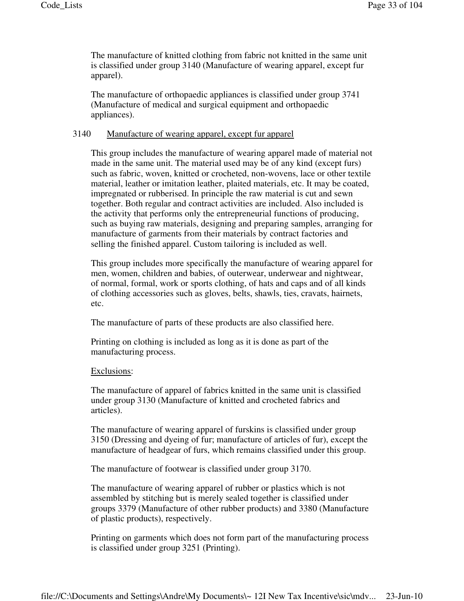The manufacture of knitted clothing from fabric not knitted in the same unit is classified under group 3140 (Manufacture of wearing apparel, except fur apparel).

The manufacture of orthopaedic appliances is classified under group 3741 (Manufacture of medical and surgical equipment and orthopaedic appliances).

# 3140 Manufacture of wearing apparel, except fur apparel

This group includes the manufacture of wearing apparel made of material not made in the same unit. The material used may be of any kind (except furs) such as fabric, woven, knitted or crocheted, non-wovens, lace or other textile material, leather or imitation leather, plaited materials, etc. It may be coated, impregnated or rubberised. In principle the raw material is cut and sewn together. Both regular and contract activities are included. Also included is the activity that performs only the entrepreneurial functions of producing, such as buying raw materials, designing and preparing samples, arranging for manufacture of garments from their materials by contract factories and selling the finished apparel. Custom tailoring is included as well.

This group includes more specifically the manufacture of wearing apparel for men, women, children and babies, of outerwear, underwear and nightwear, of normal, formal, work or sports clothing, of hats and caps and of all kinds of clothing accessories such as gloves, belts, shawls, ties, cravats, hairnets, etc.

The manufacture of parts of these products are also classified here.

Printing on clothing is included as long as it is done as part of the manufacturing process.

#### Exclusions:

The manufacture of apparel of fabrics knitted in the same unit is classified under group 3130 (Manufacture of knitted and crocheted fabrics and articles).

The manufacture of wearing apparel of furskins is classified under group 3150 (Dressing and dyeing of fur; manufacture of articles of fur), except the manufacture of headgear of furs, which remains classified under this group.

The manufacture of footwear is classified under group 3170.

The manufacture of wearing apparel of rubber or plastics which is not assembled by stitching but is merely sealed together is classified under groups 3379 (Manufacture of other rubber products) and 3380 (Manufacture of plastic products), respectively.

Printing on garments which does not form part of the manufacturing process is classified under group 3251 (Printing).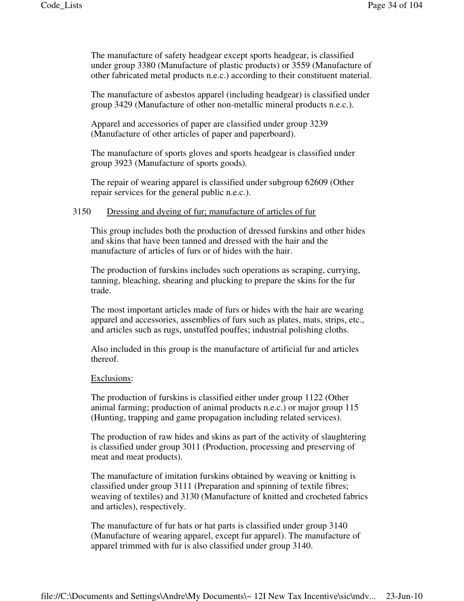The manufacture of safety headgear except sports headgear, is classified under group 3380 (Manufacture of plastic products) or 3559 (Manufacture of other fabricated metal products n.e.c.) according to their constituent material.

The manufacture of asbestos apparel (including headgear) is classified under group 3429 (Manufacture of other non-metallic mineral products n.e.c.).

Apparel and accessories of paper are classified under group 3239 (Manufacture of other articles of paper and paperboard).

The manufacture of sports gloves and sports headgear is classified under group 3923 (Manufacture of sports goods).

The repair of wearing apparel is classified under subgroup 62609 (Other repair services for the general public n.e.c.).

#### 3150 Dressing and dyeing of fur; manufacture of articles of fur

This group includes both the production of dressed furskins and other hides and skins that have been tanned and dressed with the hair and the manufacture of articles of furs or of hides with the hair.

The production of furskins includes such operations as scraping, currying, tanning, bleaching, shearing and plucking to prepare the skins for the fur trade.

The most important articles made of furs or hides with the hair are wearing apparel and accessories, assemblies of furs such as plates, mats, strips, etc., and articles such as rugs, unstuffed pouffes; industrial polishing cloths.

Also included in this group is the manufacture of artificial fur and articles thereof.

#### Exclusions:

The production of furskins is classified either under group 1122 (Other animal farming; production of animal products n.e.c.) or major group 115 (Hunting, trapping and game propagation including related services).

The production of raw hides and skins as part of the activity of slaughtering is classified under group 3011 (Production, processing and preserving of meat and meat products).

The manufacture of imitation furskins obtained by weaving or knitting is classified under group 3111 (Preparation and spinning of textile fibres; weaving of textiles) and 3130 (Manufacture of knitted and crocheted fabrics and articles), respectively.

The manufacture of fur hats or hat parts is classified under group 3140 (Manufacture of wearing apparel, except fur apparel). The manufacture of apparel trimmed with fur is also classified under group 3140.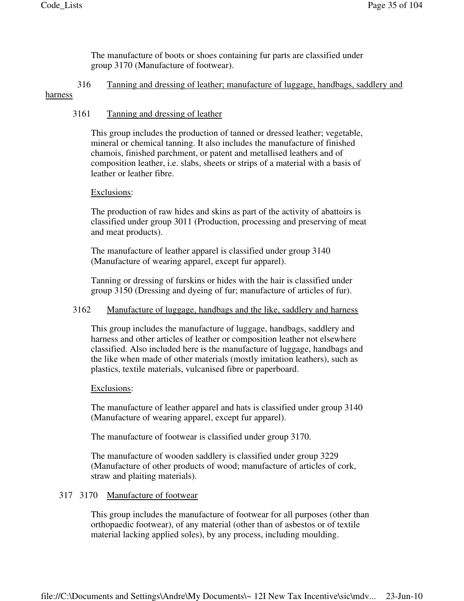The manufacture of boots or shoes containing fur parts are classified under group 3170 (Manufacture of footwear).

# 316 Tanning and dressing of leather; manufacture of luggage, handbags, saddlery and harness

## 3161 Tanning and dressing of leather

This group includes the production of tanned or dressed leather; vegetable, mineral or chemical tanning. It also includes the manufacture of finished chamois, finished parchment, or patent and metallised leathers and of composition leather, i.e. slabs, sheets or strips of a material with a basis of leather or leather fibre.

## Exclusions:

The production of raw hides and skins as part of the activity of abattoirs is classified under group 3011 (Production, processing and preserving of meat and meat products).

The manufacture of leather apparel is classified under group 3140 (Manufacture of wearing apparel, except fur apparel).

Tanning or dressing of furskins or hides with the hair is classified under group 3150 (Dressing and dyeing of fur; manufacture of articles of fur).

# 3162 Manufacture of luggage, handbags and the like, saddlery and harness

This group includes the manufacture of luggage, handbags, saddlery and harness and other articles of leather or composition leather not elsewhere classified. Also included here is the manufacture of luggage, handbags and the like when made of other materials (mostly imitation leathers), such as plastics, textile materials, vulcanised fibre or paperboard.

#### Exclusions:

The manufacture of leather apparel and hats is classified under group 3140 (Manufacture of wearing apparel, except fur apparel).

The manufacture of footwear is classified under group 3170.

The manufacture of wooden saddlery is classified under group 3229 (Manufacture of other products of wood; manufacture of articles of cork, straw and plaiting materials).

#### 317 3170 Manufacture of footwear

This group includes the manufacture of footwear for all purposes (other than orthopaedic footwear), of any material (other than of asbestos or of textile material lacking applied soles), by any process, including moulding.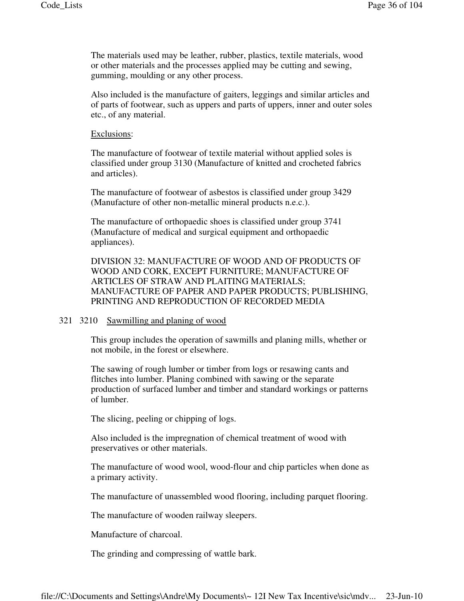The materials used may be leather, rubber, plastics, textile materials, wood or other materials and the processes applied may be cutting and sewing, gumming, moulding or any other process.

Also included is the manufacture of gaiters, leggings and similar articles and of parts of footwear, such as uppers and parts of uppers, inner and outer soles etc., of any material.

Exclusions:

The manufacture of footwear of textile material without applied soles is classified under group 3130 (Manufacture of knitted and crocheted fabrics and articles).

The manufacture of footwear of asbestos is classified under group 3429 (Manufacture of other non-metallic mineral products n.e.c.).

The manufacture of orthopaedic shoes is classified under group 3741 (Manufacture of medical and surgical equipment and orthopaedic appliances).

DIVISION 32: MANUFACTURE OF WOOD AND OF PRODUCTS OF WOOD AND CORK, EXCEPT FURNITURE; MANUFACTURE OF ARTICLES OF STRAW AND PLAITING MATERIALS; MANUFACTURE OF PAPER AND PAPER PRODUCTS; PUBLISHING, PRINTING AND REPRODUCTION OF RECORDED MEDIA

#### 321 3210 Sawmilling and planing of wood

This group includes the operation of sawmills and planing mills, whether or not mobile, in the forest or elsewhere.

The sawing of rough lumber or timber from logs or resawing cants and flitches into lumber. Planing combined with sawing or the separate production of surfaced lumber and timber and standard workings or patterns of lumber.

The slicing, peeling or chipping of logs.

Also included is the impregnation of chemical treatment of wood with preservatives or other materials.

The manufacture of wood wool, wood-flour and chip particles when done as a primary activity.

The manufacture of unassembled wood flooring, including parquet flooring.

The manufacture of wooden railway sleepers.

Manufacture of charcoal.

The grinding and compressing of wattle bark.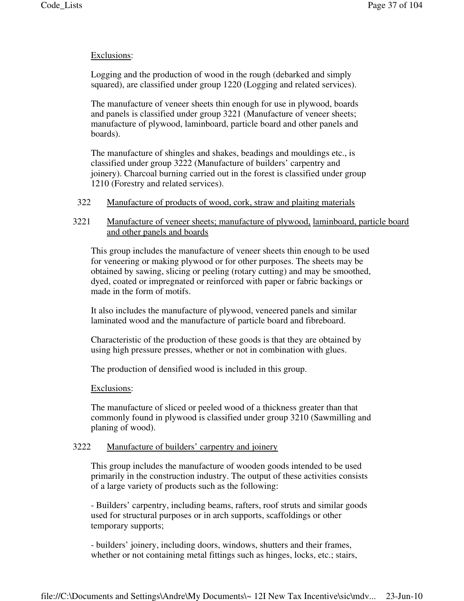# Exclusions:

Logging and the production of wood in the rough (debarked and simply squared), are classified under group 1220 (Logging and related services).

The manufacture of veneer sheets thin enough for use in plywood, boards and panels is classified under group 3221 (Manufacture of veneer sheets; manufacture of plywood, laminboard, particle board and other panels and boards).

The manufacture of shingles and shakes, beadings and mouldings etc., is classified under group 3222 (Manufacture of builders' carpentry and joinery). Charcoal burning carried out in the forest is classified under group 1210 (Forestry and related services).

322 Manufacture of products of wood, cork, straw and plaiting materials

# 3221 Manufacture of veneer sheets; manufacture of plywood, laminboard, particle board and other panels and boards

This group includes the manufacture of veneer sheets thin enough to be used for veneering or making plywood or for other purposes. The sheets may be obtained by sawing, slicing or peeling (rotary cutting) and may be smoothed, dyed, coated or impregnated or reinforced with paper or fabric backings or made in the form of motifs.

It also includes the manufacture of plywood, veneered panels and similar laminated wood and the manufacture of particle board and fibreboard.

Characteristic of the production of these goods is that they are obtained by using high pressure presses, whether or not in combination with glues.

The production of densified wood is included in this group.

## Exclusions:

The manufacture of sliced or peeled wood of a thickness greater than that commonly found in plywood is classified under group 3210 (Sawmilling and planing of wood).

# 3222 Manufacture of builders' carpentry and joinery

This group includes the manufacture of wooden goods intended to be used primarily in the construction industry. The output of these activities consists of a large variety of products such as the following:

- Builders' carpentry, including beams, rafters, roof struts and similar goods used for structural purposes or in arch supports, scaffoldings or other temporary supports;

- builders' joinery, including doors, windows, shutters and their frames, whether or not containing metal fittings such as hinges, locks, etc.; stairs,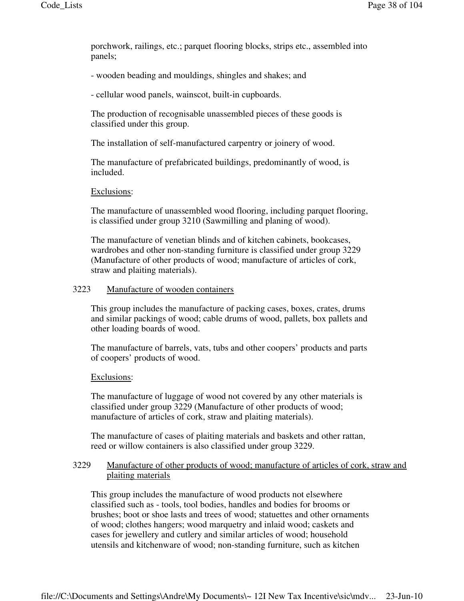porchwork, railings, etc.; parquet flooring blocks, strips etc., assembled into panels;

- wooden beading and mouldings, shingles and shakes; and

- cellular wood panels, wainscot, built-in cupboards.

The production of recognisable unassembled pieces of these goods is classified under this group.

The installation of self-manufactured carpentry or joinery of wood.

The manufacture of prefabricated buildings, predominantly of wood, is included.

### Exclusions:

The manufacture of unassembled wood flooring, including parquet flooring, is classified under group 3210 (Sawmilling and planing of wood).

The manufacture of venetian blinds and of kitchen cabinets, bookcases, wardrobes and other non-standing furniture is classified under group 3229 (Manufacture of other products of wood; manufacture of articles of cork, straw and plaiting materials).

### 3223 Manufacture of wooden containers

This group includes the manufacture of packing cases, boxes, crates, drums and similar packings of wood; cable drums of wood, pallets, box pallets and other loading boards of wood.

The manufacture of barrels, vats, tubs and other coopers' products and parts of coopers' products of wood.

#### Exclusions:

The manufacture of luggage of wood not covered by any other materials is classified under group 3229 (Manufacture of other products of wood; manufacture of articles of cork, straw and plaiting materials).

The manufacture of cases of plaiting materials and baskets and other rattan, reed or willow containers is also classified under group 3229.

## 3229 Manufacture of other products of wood; manufacture of articles of cork, straw and plaiting materials

This group includes the manufacture of wood products not elsewhere classified such as - tools, tool bodies, handles and bodies for brooms or brushes; boot or shoe lasts and trees of wood; statuettes and other ornaments of wood; clothes hangers; wood marquetry and inlaid wood; caskets and cases for jewellery and cutlery and similar articles of wood; household utensils and kitchenware of wood; non-standing furniture, such as kitchen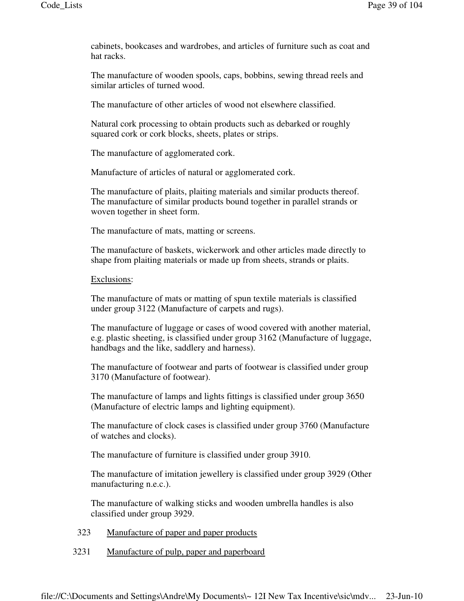cabinets, bookcases and wardrobes, and articles of furniture such as coat and hat racks.

The manufacture of wooden spools, caps, bobbins, sewing thread reels and similar articles of turned wood.

The manufacture of other articles of wood not elsewhere classified.

Natural cork processing to obtain products such as debarked or roughly squared cork or cork blocks, sheets, plates or strips.

The manufacture of agglomerated cork.

Manufacture of articles of natural or agglomerated cork.

The manufacture of plaits, plaiting materials and similar products thereof. The manufacture of similar products bound together in parallel strands or woven together in sheet form.

The manufacture of mats, matting or screens.

The manufacture of baskets, wickerwork and other articles made directly to shape from plaiting materials or made up from sheets, strands or plaits.

### Exclusions:

The manufacture of mats or matting of spun textile materials is classified under group 3122 (Manufacture of carpets and rugs).

The manufacture of luggage or cases of wood covered with another material, e.g. plastic sheeting, is classified under group 3162 (Manufacture of luggage, handbags and the like, saddlery and harness).

The manufacture of footwear and parts of footwear is classified under group 3170 (Manufacture of footwear).

The manufacture of lamps and lights fittings is classified under group 3650 (Manufacture of electric lamps and lighting equipment).

The manufacture of clock cases is classified under group 3760 (Manufacture of watches and clocks).

The manufacture of furniture is classified under group 3910.

The manufacture of imitation jewellery is classified under group 3929 (Other manufacturing n.e.c.).

The manufacture of walking sticks and wooden umbrella handles is also classified under group 3929.

- 323 Manufacture of paper and paper products
- 3231 Manufacture of pulp, paper and paperboard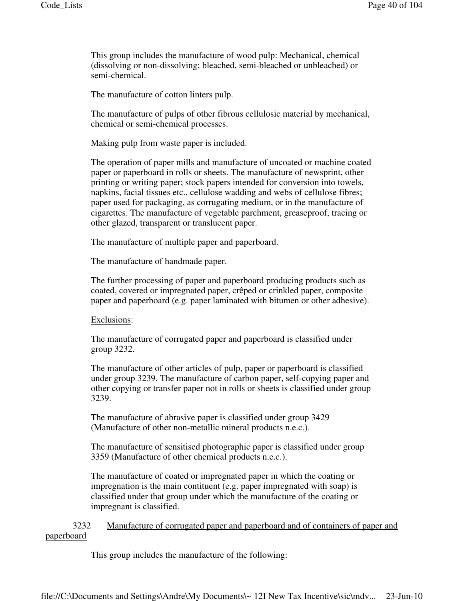This group includes the manufacture of wood pulp: Mechanical, chemical (dissolving or non-dissolving; bleached, semi-bleached or unbleached) or semi-chemical.

The manufacture of cotton linters pulp.

The manufacture of pulps of other fibrous cellulosic material by mechanical, chemical or semi-chemical processes.

Making pulp from waste paper is included.

The operation of paper mills and manufacture of uncoated or machine coated paper or paperboard in rolls or sheets. The manufacture of newsprint, other printing or writing paper; stock papers intended for conversion into towels, napkins, facial tissues etc., cellulose wadding and webs of cellulose fibres; paper used for packaging, as corrugating medium, or in the manufacture of cigarettes. The manufacture of vegetable parchment, greaseproof, tracing or other glazed, transparent or translucent paper.

The manufacture of multiple paper and paperboard.

The manufacture of handmade paper.

The further processing of paper and paperboard producing products such as coated, covered or impregnated paper, crêped or crinkled paper, composite paper and paperboard (e.g. paper laminated with bitumen or other adhesive).

#### Exclusions:

The manufacture of corrugated paper and paperboard is classified under group 3232.

The manufacture of other articles of pulp, paper or paperboard is classified under group 3239. The manufacture of carbon paper, self-copying paper and other copying or transfer paper not in rolls or sheets is classified under group 3239.

The manufacture of abrasive paper is classified under group 3429 (Manufacture of other non-metallic mineral products n.e.c.).

The manufacture of sensitised photographic paper is classified under group 3359 (Manufacture of other chemical products n.e.c.).

The manufacture of coated or impregnated paper in which the coating or impregnation is the main contituent (e.g. paper impregnated with soap) is classified under that group under which the manufacture of the coating or impregnant is classified.

 3232 Manufacture of corrugated paper and paperboard and of containers of paper and paperboard

This group includes the manufacture of the following: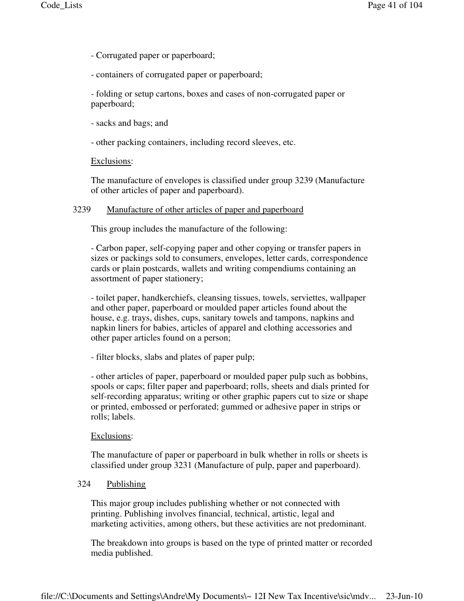- Corrugated paper or paperboard;
- containers of corrugated paper or paperboard;

- folding or setup cartons, boxes and cases of non-corrugated paper or paperboard;

- sacks and bags; and
- other packing containers, including record sleeves, etc.

### Exclusions:

The manufacture of envelopes is classified under group 3239 (Manufacture of other articles of paper and paperboard).

## 3239 Manufacture of other articles of paper and paperboard

This group includes the manufacture of the following:

- Carbon paper, self-copying paper and other copying or transfer papers in sizes or packings sold to consumers, envelopes, letter cards, correspondence cards or plain postcards, wallets and writing compendiums containing an assortment of paper stationery;

- toilet paper, handkerchiefs, cleansing tissues, towels, serviettes, wallpaper and other paper, paperboard or moulded paper articles found about the house, e.g. trays, dishes, cups, sanitary towels and tampons, napkins and napkin liners for babies, articles of apparel and clothing accessories and other paper articles found on a person;

- filter blocks, slabs and plates of paper pulp;

- other articles of paper, paperboard or moulded paper pulp such as bobbins, spools or caps; filter paper and paperboard; rolls, sheets and dials printed for self-recording apparatus; writing or other graphic papers cut to size or shape or printed, embossed or perforated; gummed or adhesive paper in strips or rolls; labels.

#### Exclusions:

The manufacture of paper or paperboard in bulk whether in rolls or sheets is classified under group 3231 (Manufacture of pulp, paper and paperboard).

# 324 Publishing

This major group includes publishing whether or not connected with printing. Publishing involves financial, technical, artistic, legal and marketing activities, among others, but these activities are not predominant.

The breakdown into groups is based on the type of printed matter or recorded media published.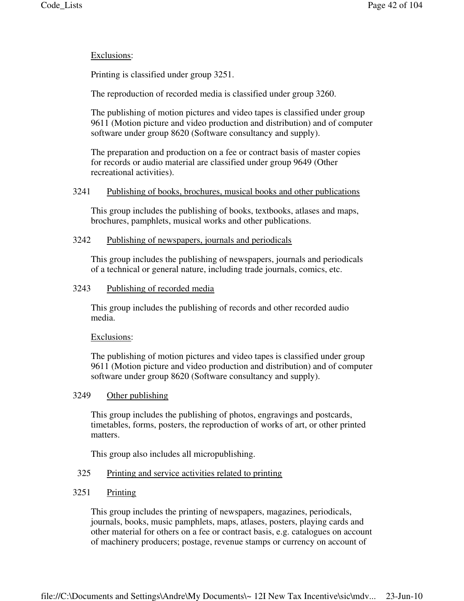# Exclusions:

Printing is classified under group 3251.

The reproduction of recorded media is classified under group 3260.

The publishing of motion pictures and video tapes is classified under group 9611 (Motion picture and video production and distribution) and of computer software under group 8620 (Software consultancy and supply).

The preparation and production on a fee or contract basis of master copies for records or audio material are classified under group 9649 (Other recreational activities).

## 3241 Publishing of books, brochures, musical books and other publications

This group includes the publishing of books, textbooks, atlases and maps, brochures, pamphlets, musical works and other publications.

### 3242 Publishing of newspapers, journals and periodicals

This group includes the publishing of newspapers, journals and periodicals of a technical or general nature, including trade journals, comics, etc.

### 3243 Publishing of recorded media

This group includes the publishing of records and other recorded audio media.

## Exclusions:

The publishing of motion pictures and video tapes is classified under group 9611 (Motion picture and video production and distribution) and of computer software under group 8620 (Software consultancy and supply).

## 3249 Other publishing

This group includes the publishing of photos, engravings and postcards, timetables, forms, posters, the reproduction of works of art, or other printed matters.

This group also includes all micropublishing.

## 325 Printing and service activities related to printing

# 3251 Printing

This group includes the printing of newspapers, magazines, periodicals, journals, books, music pamphlets, maps, atlases, posters, playing cards and other material for others on a fee or contract basis, e.g. catalogues on account of machinery producers; postage, revenue stamps or currency on account of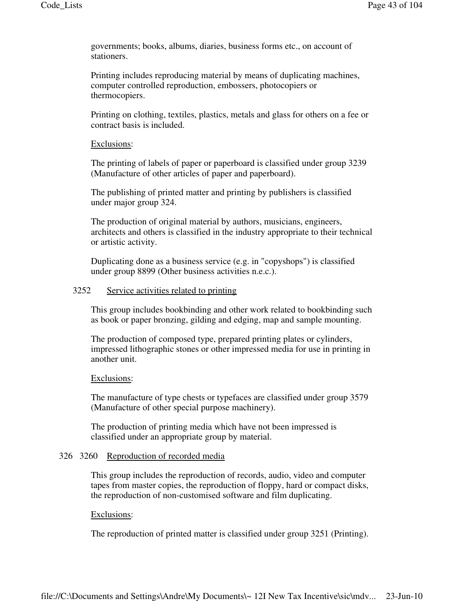governments; books, albums, diaries, business forms etc., on account of stationers.

Printing includes reproducing material by means of duplicating machines, computer controlled reproduction, embossers, photocopiers or thermocopiers.

Printing on clothing, textiles, plastics, metals and glass for others on a fee or contract basis is included.

### Exclusions:

The printing of labels of paper or paperboard is classified under group 3239 (Manufacture of other articles of paper and paperboard).

The publishing of printed matter and printing by publishers is classified under major group 324.

The production of original material by authors, musicians, engineers, architects and others is classified in the industry appropriate to their technical or artistic activity.

Duplicating done as a business service (e.g. in "copyshops") is classified under group 8899 (Other business activities n.e.c.).

### 3252 Service activities related to printing

This group includes bookbinding and other work related to bookbinding such as book or paper bronzing, gilding and edging, map and sample mounting.

The production of composed type, prepared printing plates or cylinders, impressed lithographic stones or other impressed media for use in printing in another unit.

#### Exclusions:

The manufacture of type chests or typefaces are classified under group 3579 (Manufacture of other special purpose machinery).

The production of printing media which have not been impressed is classified under an appropriate group by material.

#### 326 3260 Reproduction of recorded media

This group includes the reproduction of records, audio, video and computer tapes from master copies, the reproduction of floppy, hard or compact disks, the reproduction of non-customised software and film duplicating.

#### Exclusions:

The reproduction of printed matter is classified under group 3251 (Printing).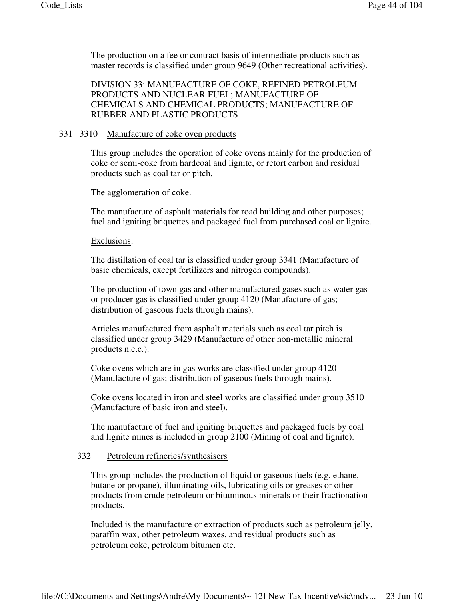The production on a fee or contract basis of intermediate products such as master records is classified under group 9649 (Other recreational activities).

DIVISION 33: MANUFACTURE OF COKE, REFINED PETROLEUM PRODUCTS AND NUCLEAR FUEL; MANUFACTURE OF CHEMICALS AND CHEMICAL PRODUCTS; MANUFACTURE OF RUBBER AND PLASTIC PRODUCTS

# 331 3310 Manufacture of coke oven products

This group includes the operation of coke ovens mainly for the production of coke or semi-coke from hardcoal and lignite, or retort carbon and residual products such as coal tar or pitch.

The agglomeration of coke.

The manufacture of asphalt materials for road building and other purposes; fuel and igniting briquettes and packaged fuel from purchased coal or lignite.

#### Exclusions:

The distillation of coal tar is classified under group 3341 (Manufacture of basic chemicals, except fertilizers and nitrogen compounds).

The production of town gas and other manufactured gases such as water gas or producer gas is classified under group 4120 (Manufacture of gas; distribution of gaseous fuels through mains).

Articles manufactured from asphalt materials such as coal tar pitch is classified under group 3429 (Manufacture of other non-metallic mineral products n.e.c.).

Coke ovens which are in gas works are classified under group 4120 (Manufacture of gas; distribution of gaseous fuels through mains).

Coke ovens located in iron and steel works are classified under group 3510 (Manufacture of basic iron and steel).

The manufacture of fuel and igniting briquettes and packaged fuels by coal and lignite mines is included in group 2100 (Mining of coal and lignite).

#### 332 Petroleum refineries/synthesisers

This group includes the production of liquid or gaseous fuels (e.g. ethane, butane or propane), illuminating oils, lubricating oils or greases or other products from crude petroleum or bituminous minerals or their fractionation products.

Included is the manufacture or extraction of products such as petroleum jelly, paraffin wax, other petroleum waxes, and residual products such as petroleum coke, petroleum bitumen etc.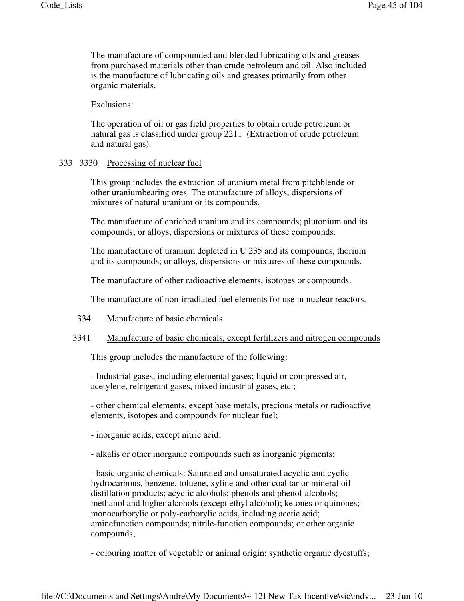The manufacture of compounded and blended lubricating oils and greases from purchased materials other than crude petroleum and oil. Also included is the manufacture of lubricating oils and greases primarily from other organic materials.

Exclusions:

The operation of oil or gas field properties to obtain crude petroleum or natural gas is classified under group 2211 (Extraction of crude petroleum and natural gas).

### 333 3330 Processing of nuclear fuel

This group includes the extraction of uranium metal from pitchblende or other uraniumbearing ores. The manufacture of alloys, dispersions of mixtures of natural uranium or its compounds.

The manufacture of enriched uranium and its compounds; plutonium and its compounds; or alloys, dispersions or mixtures of these compounds.

The manufacture of uranium depleted in U 235 and its compounds, thorium and its compounds; or alloys, dispersions or mixtures of these compounds.

The manufacture of other radioactive elements, isotopes or compounds.

The manufacture of non-irradiated fuel elements for use in nuclear reactors.

## 334 Manufacture of basic chemicals

## 3341 Manufacture of basic chemicals, except fertilizers and nitrogen compounds

This group includes the manufacture of the following:

- Industrial gases, including elemental gases; liquid or compressed air, acetylene, refrigerant gases, mixed industrial gases, etc.;

- other chemical elements, except base metals, precious metals or radioactive elements, isotopes and compounds for nuclear fuel;

- inorganic acids, except nitric acid;

- alkalis or other inorganic compounds such as inorganic pigments;

- basic organic chemicals: Saturated and unsaturated acyclic and cyclic hydrocarbons, benzene, toluene, xyline and other coal tar or mineral oil distillation products; acyclic alcohols; phenols and phenol-alcohols; methanol and higher alcohols (except ethyl alcohol); ketones or quinones; monocarborylic or poly-carborylic acids, including acetic acid; aminefunction compounds; nitrile-function compounds; or other organic compounds;

- colouring matter of vegetable or animal origin; synthetic organic dyestuffs;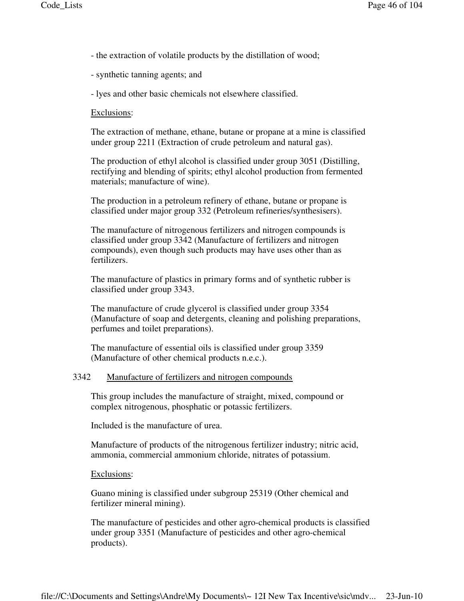- the extraction of volatile products by the distillation of wood;
- synthetic tanning agents; and
- lyes and other basic chemicals not elsewhere classified.

### Exclusions:

The extraction of methane, ethane, butane or propane at a mine is classified under group 2211 (Extraction of crude petroleum and natural gas).

The production of ethyl alcohol is classified under group 3051 (Distilling, rectifying and blending of spirits; ethyl alcohol production from fermented materials; manufacture of wine).

The production in a petroleum refinery of ethane, butane or propane is classified under major group 332 (Petroleum refineries/synthesisers).

The manufacture of nitrogenous fertilizers and nitrogen compounds is classified under group 3342 (Manufacture of fertilizers and nitrogen compounds), even though such products may have uses other than as fertilizers.

The manufacture of plastics in primary forms and of synthetic rubber is classified under group 3343.

The manufacture of crude glycerol is classified under group 3354 (Manufacture of soap and detergents, cleaning and polishing preparations, perfumes and toilet preparations).

The manufacture of essential oils is classified under group 3359 (Manufacture of other chemical products n.e.c.).

## 3342 Manufacture of fertilizers and nitrogen compounds

This group includes the manufacture of straight, mixed, compound or complex nitrogenous, phosphatic or potassic fertilizers.

Included is the manufacture of urea.

Manufacture of products of the nitrogenous fertilizer industry; nitric acid, ammonia, commercial ammonium chloride, nitrates of potassium.

#### Exclusions:

Guano mining is classified under subgroup 25319 (Other chemical and fertilizer mineral mining).

The manufacture of pesticides and other agro-chemical products is classified under group 3351 (Manufacture of pesticides and other agro-chemical products).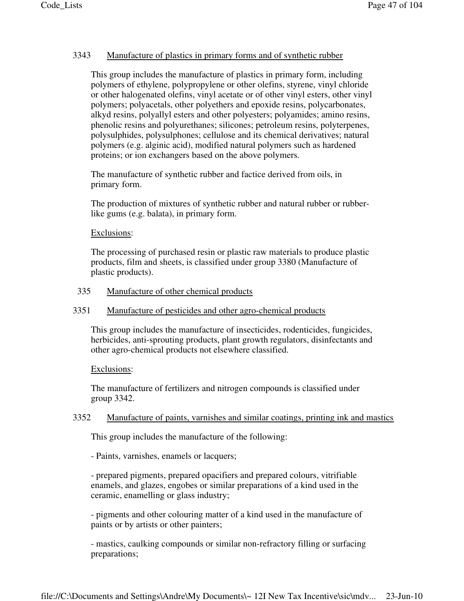# 3343 Manufacture of plastics in primary forms and of synthetic rubber

This group includes the manufacture of plastics in primary form, including polymers of ethylene, polypropylene or other olefins, styrene, vinyl chloride or other halogenated olefins, vinyl acetate or of other vinyl esters, other vinyl polymers; polyacetals, other polyethers and epoxide resins, polycarbonates, alkyd resins, polyallyl esters and other polyesters; polyamides; amino resins, phenolic resins and polyurethanes; silicones; petroleum resins, polyterpenes, polysulphides, polysulphones; cellulose and its chemical derivatives; natural polymers (e.g. alginic acid), modified natural polymers such as hardened proteins; or ion exchangers based on the above polymers.

The manufacture of synthetic rubber and factice derived from oils, in primary form.

The production of mixtures of synthetic rubber and natural rubber or rubberlike gums (e.g. balata), in primary form.

## Exclusions:

The processing of purchased resin or plastic raw materials to produce plastic products, film and sheets, is classified under group 3380 (Manufacture of plastic products).

# 335 Manufacture of other chemical products

## 3351 Manufacture of pesticides and other agro-chemical products

This group includes the manufacture of insecticides, rodenticides, fungicides, herbicides, anti-sprouting products, plant growth regulators, disinfectants and other agro-chemical products not elsewhere classified.

## Exclusions:

The manufacture of fertilizers and nitrogen compounds is classified under group 3342.

# 3352 Manufacture of paints, varnishes and similar coatings, printing ink and mastics

This group includes the manufacture of the following:

- Paints, varnishes, enamels or lacquers;

- prepared pigments, prepared opacifiers and prepared colours, vitrifiable enamels, and glazes, engobes or similar preparations of a kind used in the ceramic, enamelling or glass industry;

- pigments and other colouring matter of a kind used in the manufacture of paints or by artists or other painters;

- mastics, caulking compounds or similar non-refractory filling or surfacing preparations;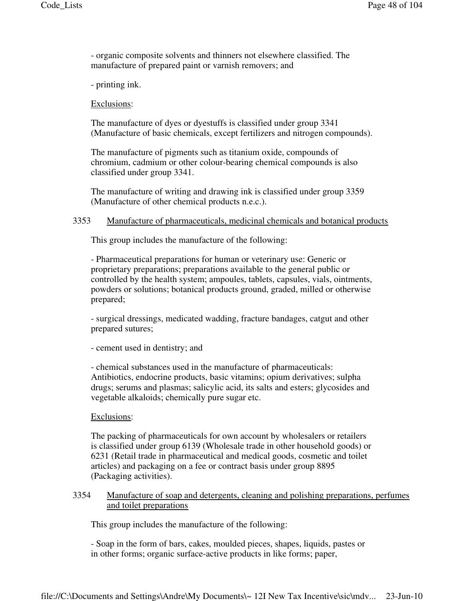- organic composite solvents and thinners not elsewhere classified. The manufacture of prepared paint or varnish removers; and

- printing ink.

Exclusions:

The manufacture of dyes or dyestuffs is classified under group 3341 (Manufacture of basic chemicals, except fertilizers and nitrogen compounds).

The manufacture of pigments such as titanium oxide, compounds of chromium, cadmium or other colour-bearing chemical compounds is also classified under group 3341.

The manufacture of writing and drawing ink is classified under group 3359 (Manufacture of other chemical products n.e.c.).

## 3353 Manufacture of pharmaceuticals, medicinal chemicals and botanical products

This group includes the manufacture of the following:

- Pharmaceutical preparations for human or veterinary use: Generic or proprietary preparations; preparations available to the general public or controlled by the health system; ampoules, tablets, capsules, vials, ointments, powders or solutions; botanical products ground, graded, milled or otherwise prepared;

- surgical dressings, medicated wadding, fracture bandages, catgut and other prepared sutures;

- cement used in dentistry; and

- chemical substances used in the manufacture of pharmaceuticals: Antibiotics, endocrine products, basic vitamins; opium derivatives; sulpha drugs; serums and plasmas; salicylic acid, its salts and esters; glycosides and vegetable alkaloids; chemically pure sugar etc.

## Exclusions:

The packing of pharmaceuticals for own account by wholesalers or retailers is classified under group 6139 (Wholesale trade in other household goods) or 6231 (Retail trade in pharmaceutical and medical goods, cosmetic and toilet articles) and packaging on a fee or contract basis under group 8895 (Packaging activities).

## 3354 Manufacture of soap and detergents, cleaning and polishing preparations, perfumes and toilet preparations

This group includes the manufacture of the following:

- Soap in the form of bars, cakes, moulded pieces, shapes, liquids, pastes or in other forms; organic surface-active products in like forms; paper,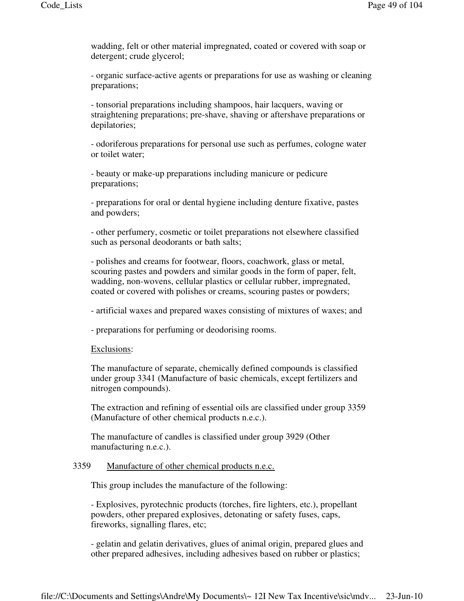wadding, felt or other material impregnated, coated or covered with soap or detergent; crude glycerol;

- organic surface-active agents or preparations for use as washing or cleaning preparations;

- tonsorial preparations including shampoos, hair lacquers, waving or straightening preparations; pre-shave, shaving or aftershave preparations or depilatories;

- odoriferous preparations for personal use such as perfumes, cologne water or toilet water;

- beauty or make-up preparations including manicure or pedicure preparations;

- preparations for oral or dental hygiene including denture fixative, pastes and powders;

- other perfumery, cosmetic or toilet preparations not elsewhere classified such as personal deodorants or bath salts;

- polishes and creams for footwear, floors, coachwork, glass or metal, scouring pastes and powders and similar goods in the form of paper, felt, wadding, non-wovens, cellular plastics or cellular rubber, impregnated, coated or covered with polishes or creams, scouring pastes or powders;

- artificial waxes and prepared waxes consisting of mixtures of waxes; and

- preparations for perfuming or deodorising rooms.

#### Exclusions:

The manufacture of separate, chemically defined compounds is classified under group 3341 (Manufacture of basic chemicals, except fertilizers and nitrogen compounds).

The extraction and refining of essential oils are classified under group 3359 (Manufacture of other chemical products n.e.c.).

The manufacture of candles is classified under group 3929 (Other manufacturing n.e.c.).

## 3359 Manufacture of other chemical products n.e.c.

This group includes the manufacture of the following:

- Explosives, pyrotechnic products (torches, fire lighters, etc.), propellant powders, other prepared explosives, detonating or safety fuses, caps, fireworks, signalling flares, etc;

- gelatin and gelatin derivatives, glues of animal origin, prepared glues and other prepared adhesives, including adhesives based on rubber or plastics;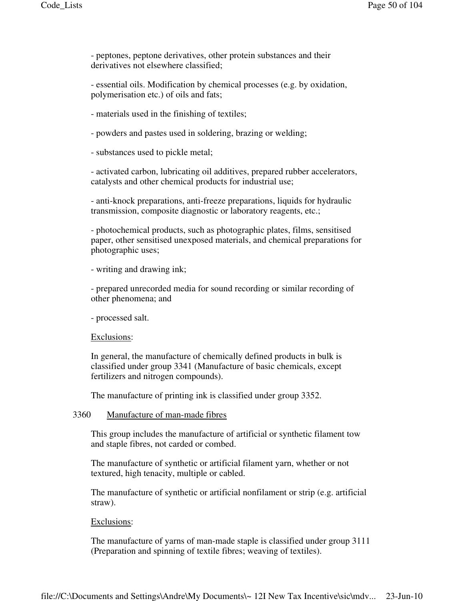- peptones, peptone derivatives, other protein substances and their derivatives not elsewhere classified;

- essential oils. Modification by chemical processes (e.g. by oxidation, polymerisation etc.) of oils and fats;

- materials used in the finishing of textiles;

- powders and pastes used in soldering, brazing or welding;

- substances used to pickle metal;

- activated carbon, lubricating oil additives, prepared rubber accelerators, catalysts and other chemical products for industrial use;

- anti-knock preparations, anti-freeze preparations, liquids for hydraulic transmission, composite diagnostic or laboratory reagents, etc.;

- photochemical products, such as photographic plates, films, sensitised paper, other sensitised unexposed materials, and chemical preparations for photographic uses;

- writing and drawing ink;

- prepared unrecorded media for sound recording or similar recording of other phenomena; and

- processed salt.

#### Exclusions:

In general, the manufacture of chemically defined products in bulk is classified under group 3341 (Manufacture of basic chemicals, except fertilizers and nitrogen compounds).

The manufacture of printing ink is classified under group 3352.

## 3360 Manufacture of man-made fibres

This group includes the manufacture of artificial or synthetic filament tow and staple fibres, not carded or combed.

The manufacture of synthetic or artificial filament yarn, whether or not textured, high tenacity, multiple or cabled.

The manufacture of synthetic or artificial nonfilament or strip (e.g. artificial straw).

### Exclusions:

The manufacture of yarns of man-made staple is classified under group 3111 (Preparation and spinning of textile fibres; weaving of textiles).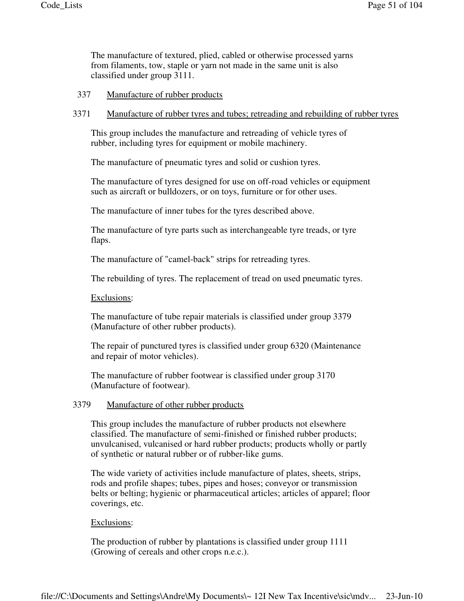The manufacture of textured, plied, cabled or otherwise processed yarns from filaments, tow, staple or yarn not made in the same unit is also classified under group 3111.

- 337 Manufacture of rubber products
- 3371 Manufacture of rubber tyres and tubes; retreading and rebuilding of rubber tyres

This group includes the manufacture and retreading of vehicle tyres of rubber, including tyres for equipment or mobile machinery.

The manufacture of pneumatic tyres and solid or cushion tyres.

The manufacture of tyres designed for use on off-road vehicles or equipment such as aircraft or bulldozers, or on toys, furniture or for other uses.

The manufacture of inner tubes for the tyres described above.

The manufacture of tyre parts such as interchangeable tyre treads, or tyre flaps.

The manufacture of "camel-back" strips for retreading tyres.

The rebuilding of tyres. The replacement of tread on used pneumatic tyres.

Exclusions:

The manufacture of tube repair materials is classified under group 3379 (Manufacture of other rubber products).

The repair of punctured tyres is classified under group 6320 (Maintenance and repair of motor vehicles).

The manufacture of rubber footwear is classified under group 3170 (Manufacture of footwear).

### 3379 Manufacture of other rubber products

This group includes the manufacture of rubber products not elsewhere classified. The manufacture of semi-finished or finished rubber products; unvulcanised, vulcanised or hard rubber products; products wholly or partly of synthetic or natural rubber or of rubber-like gums.

The wide variety of activities include manufacture of plates, sheets, strips, rods and profile shapes; tubes, pipes and hoses; conveyor or transmission belts or belting; hygienic or pharmaceutical articles; articles of apparel; floor coverings, etc.

#### Exclusions:

The production of rubber by plantations is classified under group 1111 (Growing of cereals and other crops n.e.c.).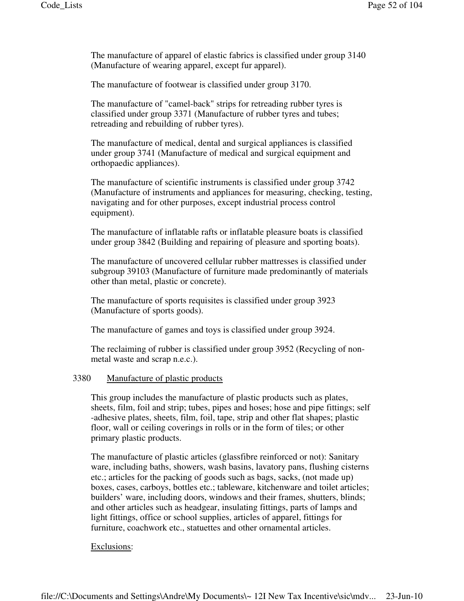The manufacture of apparel of elastic fabrics is classified under group 3140 (Manufacture of wearing apparel, except fur apparel).

The manufacture of footwear is classified under group 3170.

The manufacture of "camel-back" strips for retreading rubber tyres is classified under group 3371 (Manufacture of rubber tyres and tubes; retreading and rebuilding of rubber tyres).

The manufacture of medical, dental and surgical appliances is classified under group 3741 (Manufacture of medical and surgical equipment and orthopaedic appliances).

The manufacture of scientific instruments is classified under group 3742 (Manufacture of instruments and appliances for measuring, checking, testing, navigating and for other purposes, except industrial process control equipment).

The manufacture of inflatable rafts or inflatable pleasure boats is classified under group 3842 (Building and repairing of pleasure and sporting boats).

The manufacture of uncovered cellular rubber mattresses is classified under subgroup 39103 (Manufacture of furniture made predominantly of materials other than metal, plastic or concrete).

The manufacture of sports requisites is classified under group 3923 (Manufacture of sports goods).

The manufacture of games and toys is classified under group 3924.

The reclaiming of rubber is classified under group 3952 (Recycling of nonmetal waste and scrap n.e.c.).

## 3380 Manufacture of plastic products

This group includes the manufacture of plastic products such as plates, sheets, film, foil and strip; tubes, pipes and hoses; hose and pipe fittings; self -adhesive plates, sheets, film, foil, tape, strip and other flat shapes; plastic floor, wall or ceiling coverings in rolls or in the form of tiles; or other primary plastic products.

The manufacture of plastic articles (glassfibre reinforced or not): Sanitary ware, including baths, showers, wash basins, lavatory pans, flushing cisterns etc.; articles for the packing of goods such as bags, sacks, (not made up) boxes, cases, carboys, bottles etc.; tableware, kitchenware and toilet articles; builders' ware, including doors, windows and their frames, shutters, blinds; and other articles such as headgear, insulating fittings, parts of lamps and light fittings, office or school supplies, articles of apparel, fittings for furniture, coachwork etc., statuettes and other ornamental articles.

## Exclusions: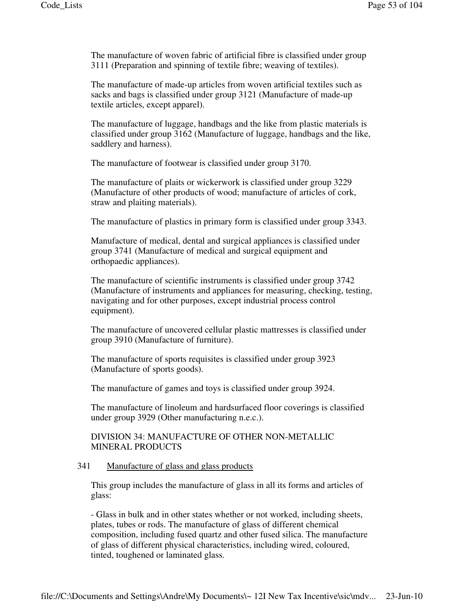The manufacture of woven fabric of artificial fibre is classified under group 3111 (Preparation and spinning of textile fibre; weaving of textiles).

The manufacture of made-up articles from woven artificial textiles such as sacks and bags is classified under group 3121 (Manufacture of made-up textile articles, except apparel).

The manufacture of luggage, handbags and the like from plastic materials is classified under group 3162 (Manufacture of luggage, handbags and the like, saddlery and harness).

The manufacture of footwear is classified under group 3170.

The manufacture of plaits or wickerwork is classified under group 3229 (Manufacture of other products of wood; manufacture of articles of cork, straw and plaiting materials).

The manufacture of plastics in primary form is classified under group 3343.

Manufacture of medical, dental and surgical appliances is classified under group 3741 (Manufacture of medical and surgical equipment and orthopaedic appliances).

The manufacture of scientific instruments is classified under group 3742 (Manufacture of instruments and appliances for measuring, checking, testing, navigating and for other purposes, except industrial process control equipment).

The manufacture of uncovered cellular plastic mattresses is classified under group 3910 (Manufacture of furniture).

The manufacture of sports requisites is classified under group 3923 (Manufacture of sports goods).

The manufacture of games and toys is classified under group 3924.

The manufacture of linoleum and hardsurfaced floor coverings is classified under group 3929 (Other manufacturing n.e.c.).

# DIVISION 34: MANUFACTURE OF OTHER NON-METALLIC MINERAL PRODUCTS

### 341 Manufacture of glass and glass products

This group includes the manufacture of glass in all its forms and articles of glass:

- Glass in bulk and in other states whether or not worked, including sheets, plates, tubes or rods. The manufacture of glass of different chemical composition, including fused quartz and other fused silica. The manufacture of glass of different physical characteristics, including wired, coloured, tinted, toughened or laminated glass.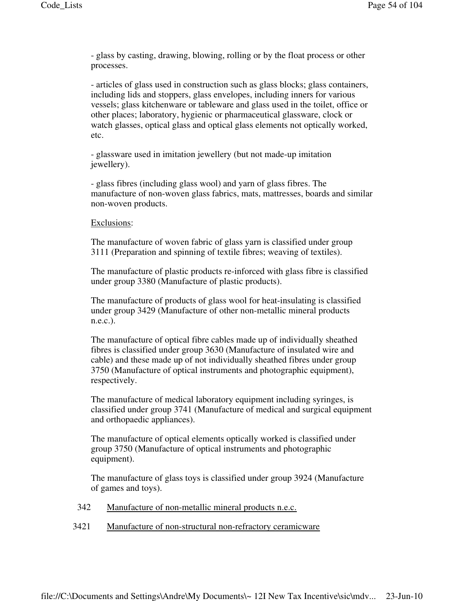- glass by casting, drawing, blowing, rolling or by the float process or other processes.

- articles of glass used in construction such as glass blocks; glass containers, including lids and stoppers, glass envelopes, including inners for various vessels; glass kitchenware or tableware and glass used in the toilet, office or other places; laboratory, hygienic or pharmaceutical glassware, clock or watch glasses, optical glass and optical glass elements not optically worked, etc.

- glassware used in imitation jewellery (but not made-up imitation jewellery).

- glass fibres (including glass wool) and yarn of glass fibres. The manufacture of non-woven glass fabrics, mats, mattresses, boards and similar non-woven products.

## Exclusions:

The manufacture of woven fabric of glass yarn is classified under group 3111 (Preparation and spinning of textile fibres; weaving of textiles).

The manufacture of plastic products re-inforced with glass fibre is classified under group 3380 (Manufacture of plastic products).

The manufacture of products of glass wool for heat-insulating is classified under group 3429 (Manufacture of other non-metallic mineral products n.e.c.).

The manufacture of optical fibre cables made up of individually sheathed fibres is classified under group 3630 (Manufacture of insulated wire and cable) and these made up of not individually sheathed fibres under group 3750 (Manufacture of optical instruments and photographic equipment), respectively.

The manufacture of medical laboratory equipment including syringes, is classified under group 3741 (Manufacture of medical and surgical equipment and orthopaedic appliances).

The manufacture of optical elements optically worked is classified under group 3750 (Manufacture of optical instruments and photographic equipment).

The manufacture of glass toys is classified under group 3924 (Manufacture of games and toys).

- 342 Manufacture of non-metallic mineral products n.e.c.
- 3421 Manufacture of non-structural non-refractory ceramicware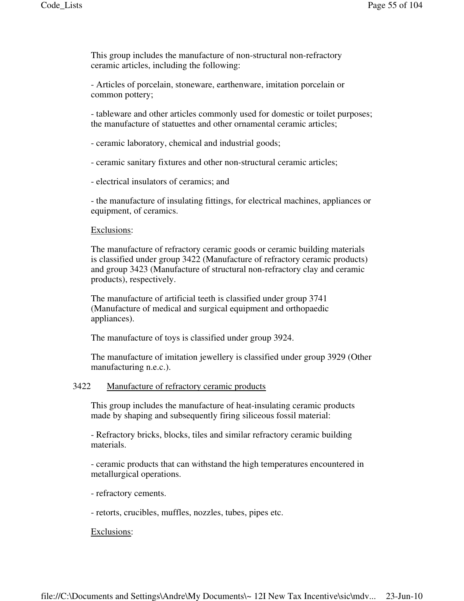This group includes the manufacture of non-structural non-refractory ceramic articles, including the following:

- Articles of porcelain, stoneware, earthenware, imitation porcelain or common pottery;

- tableware and other articles commonly used for domestic or toilet purposes; the manufacture of statuettes and other ornamental ceramic articles;

- ceramic laboratory, chemical and industrial goods;

- ceramic sanitary fixtures and other non-structural ceramic articles;

- electrical insulators of ceramics; and

- the manufacture of insulating fittings, for electrical machines, appliances or equipment, of ceramics.

#### Exclusions:

The manufacture of refractory ceramic goods or ceramic building materials is classified under group 3422 (Manufacture of refractory ceramic products) and group 3423 (Manufacture of structural non-refractory clay and ceramic products), respectively.

The manufacture of artificial teeth is classified under group 3741 (Manufacture of medical and surgical equipment and orthopaedic appliances).

The manufacture of toys is classified under group 3924.

The manufacture of imitation jewellery is classified under group 3929 (Other manufacturing n.e.c.).

### 3422 Manufacture of refractory ceramic products

This group includes the manufacture of heat-insulating ceramic products made by shaping and subsequently firing siliceous fossil material:

- Refractory bricks, blocks, tiles and similar refractory ceramic building materials.

- ceramic products that can withstand the high temperatures encountered in metallurgical operations.

- refractory cements.

- retorts, crucibles, muffles, nozzles, tubes, pipes etc.

## Exclusions: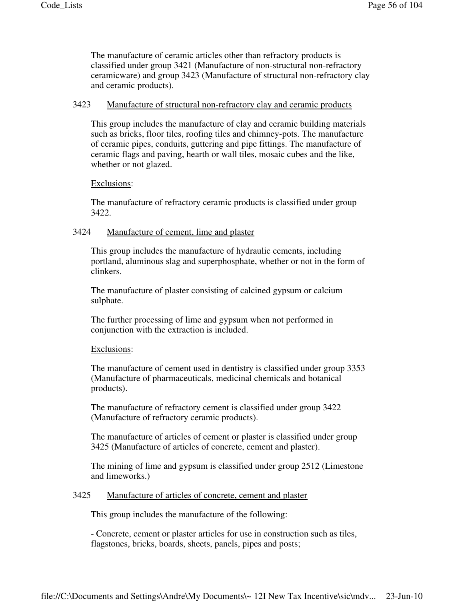The manufacture of ceramic articles other than refractory products is classified under group 3421 (Manufacture of non-structural non-refractory ceramicware) and group 3423 (Manufacture of structural non-refractory clay and ceramic products).

### 3423 Manufacture of structural non-refractory clay and ceramic products

This group includes the manufacture of clay and ceramic building materials such as bricks, floor tiles, roofing tiles and chimney-pots. The manufacture of ceramic pipes, conduits, guttering and pipe fittings. The manufacture of ceramic flags and paving, hearth or wall tiles, mosaic cubes and the like, whether or not glazed.

### Exclusions:

The manufacture of refractory ceramic products is classified under group 3422.

### 3424 Manufacture of cement, lime and plaster

This group includes the manufacture of hydraulic cements, including portland, aluminous slag and superphosphate, whether or not in the form of clinkers.

The manufacture of plaster consisting of calcined gypsum or calcium sulphate.

The further processing of lime and gypsum when not performed in conjunction with the extraction is included.

#### Exclusions:

The manufacture of cement used in dentistry is classified under group 3353 (Manufacture of pharmaceuticals, medicinal chemicals and botanical products).

The manufacture of refractory cement is classified under group 3422 (Manufacture of refractory ceramic products).

The manufacture of articles of cement or plaster is classified under group 3425 (Manufacture of articles of concrete, cement and plaster).

The mining of lime and gypsum is classified under group 2512 (Limestone and limeworks.)

## 3425 Manufacture of articles of concrete, cement and plaster

This group includes the manufacture of the following:

- Concrete, cement or plaster articles for use in construction such as tiles, flagstones, bricks, boards, sheets, panels, pipes and posts;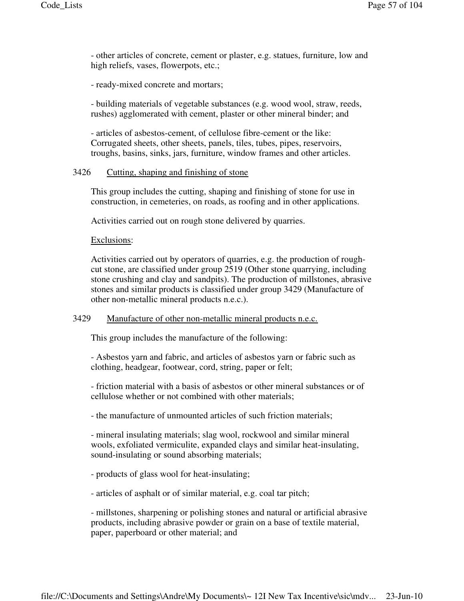- other articles of concrete, cement or plaster, e.g. statues, furniture, low and high reliefs, vases, flowerpots, etc.;

- ready-mixed concrete and mortars;

- building materials of vegetable substances (e.g. wood wool, straw, reeds, rushes) agglomerated with cement, plaster or other mineral binder; and

- articles of asbestos-cement, of cellulose fibre-cement or the like: Corrugated sheets, other sheets, panels, tiles, tubes, pipes, reservoirs, troughs, basins, sinks, jars, furniture, window frames and other articles.

#### 3426 Cutting, shaping and finishing of stone

This group includes the cutting, shaping and finishing of stone for use in construction, in cemeteries, on roads, as roofing and in other applications.

Activities carried out on rough stone delivered by quarries.

### Exclusions:

Activities carried out by operators of quarries, e.g. the production of roughcut stone, are classified under group 2519 (Other stone quarrying, including stone crushing and clay and sandpits). The production of millstones, abrasive stones and similar products is classified under group 3429 (Manufacture of other non-metallic mineral products n.e.c.).

### 3429 Manufacture of other non-metallic mineral products n.e.c.

This group includes the manufacture of the following:

- Asbestos yarn and fabric, and articles of asbestos yarn or fabric such as clothing, headgear, footwear, cord, string, paper or felt;

- friction material with a basis of asbestos or other mineral substances or of cellulose whether or not combined with other materials;

- the manufacture of unmounted articles of such friction materials;

- mineral insulating materials; slag wool, rockwool and similar mineral wools, exfoliated vermiculite, expanded clays and similar heat-insulating, sound-insulating or sound absorbing materials;

- products of glass wool for heat-insulating;

- articles of asphalt or of similar material, e.g. coal tar pitch;

- millstones, sharpening or polishing stones and natural or artificial abrasive products, including abrasive powder or grain on a base of textile material, paper, paperboard or other material; and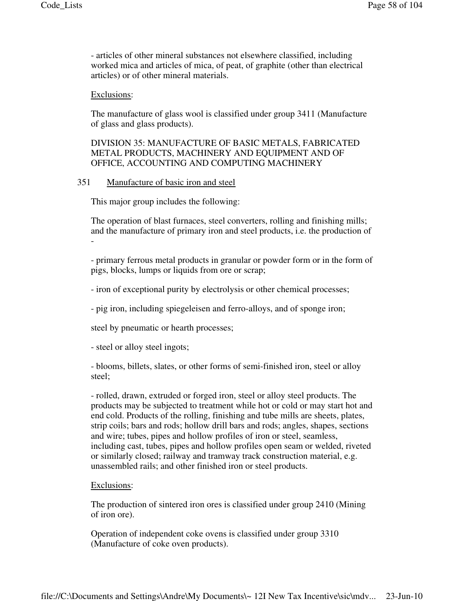- articles of other mineral substances not elsewhere classified, including worked mica and articles of mica, of peat, of graphite (other than electrical articles) or of other mineral materials.

### Exclusions:

The manufacture of glass wool is classified under group 3411 (Manufacture of glass and glass products).

# DIVISION 35: MANUFACTURE OF BASIC METALS, FABRICATED METAL PRODUCTS, MACHINERY AND EQUIPMENT AND OF OFFICE, ACCOUNTING AND COMPUTING MACHINERY

## 351 Manufacture of basic iron and steel

This major group includes the following:

The operation of blast furnaces, steel converters, rolling and finishing mills; and the manufacture of primary iron and steel products, i.e. the production of -

- primary ferrous metal products in granular or powder form or in the form of pigs, blocks, lumps or liquids from ore or scrap;

- iron of exceptional purity by electrolysis or other chemical processes;

- pig iron, including spiegeleisen and ferro-alloys, and of sponge iron;

steel by pneumatic or hearth processes;

- steel or alloy steel ingots;

- blooms, billets, slates, or other forms of semi-finished iron, steel or alloy steel;

- rolled, drawn, extruded or forged iron, steel or alloy steel products. The products may be subjected to treatment while hot or cold or may start hot and end cold. Products of the rolling, finishing and tube mills are sheets, plates, strip coils; bars and rods; hollow drill bars and rods; angles, shapes, sections and wire; tubes, pipes and hollow profiles of iron or steel, seamless, including cast, tubes, pipes and hollow profiles open seam or welded, riveted or similarly closed; railway and tramway track construction material, e.g. unassembled rails; and other finished iron or steel products.

#### Exclusions:

The production of sintered iron ores is classified under group 2410 (Mining of iron ore).

Operation of independent coke ovens is classified under group 3310 (Manufacture of coke oven products).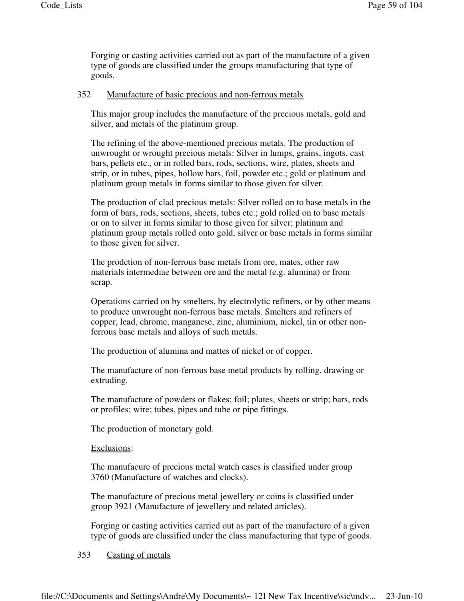Forging or casting activities carried out as part of the manufacture of a given type of goods are classified under the groups manufacturing that type of goods.

## 352 Manufacture of basic precious and non-ferrous metals

This major group includes the manufacture of the precious metals, gold and silver, and metals of the platinum group.

The refining of the above-mentioned precious metals. The production of unwrought or wrought precious metals: Silver in lumps, grains, ingots, cast bars, pellets etc., or in rolled bars, rods, sections, wire, plates, sheets and strip, or in tubes, pipes, hollow bars, foil, powder etc.; gold or platinum and platinum group metals in forms similar to those given for silver.

The production of clad precious metals: Silver rolled on to base metals in the form of bars, rods, sections, sheets, tubes etc.; gold rolled on to base metals or on to silver in forms similar to those given for silver; platinum and platinum group metals rolled onto gold, silver or base metals in forms similar to those given for silver.

The prodction of non-ferrous base metals from ore, mates, other raw materials intermediae between ore and the metal (e.g. alumina) or from scrap.

Operations carried on by smelters, by electrolytic refiners, or by other means to produce unwrought non-ferrous base metals. Smelters and refiners of copper, lead, chrome, manganese, zinc, aluminium, nickel, tin or other nonferrous base metals and alloys of such metals.

The production of alumina and mattes of nickel or of copper.

The manufacture of non-ferrous base metal products by rolling, drawing or extruding.

The manufacture of powders or flakes; foil; plates, sheets or strip; bars, rods or profiles; wire; tubes, pipes and tube or pipe fittings.

The production of monetary gold.

Exclusions:

The manufacure of precious metal watch cases is classified under group 3760 (Manufacture of watches and clocks).

The manufacture of precious metal jewellery or coins is classified under group 3921 (Manufacture of jewellery and related articles).

Forging or casting activities carried out as part of the manufacture of a given type of goods are classified under the class manufacturing that type of goods.

## 353 Casting of metals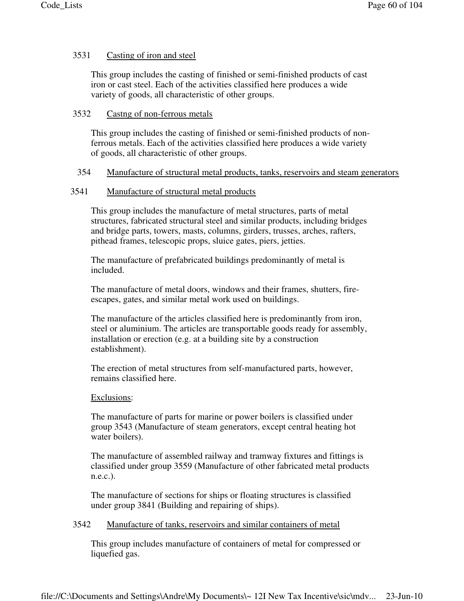# 3531 Casting of iron and steel

This group includes the casting of finished or semi-finished products of cast iron or cast steel. Each of the activities classified here produces a wide variety of goods, all characteristic of other groups.

# 3532 Castng of non-ferrous metals

This group includes the casting of finished or semi-finished products of nonferrous metals. Each of the activities classified here produces a wide variety of goods, all characteristic of other groups.

# 354 Manufacture of structural metal products, tanks, reservoirs and steam generators

# 3541 Manufacture of structural metal products

This group includes the manufacture of metal structures, parts of metal structures, fabricated structural steel and similar products, including bridges and bridge parts, towers, masts, columns, girders, trusses, arches, rafters, pithead frames, telescopic props, sluice gates, piers, jetties.

The manufacture of prefabricated buildings predominantly of metal is included.

The manufacture of metal doors, windows and their frames, shutters, fireescapes, gates, and similar metal work used on buildings.

The manufacture of the articles classified here is predominantly from iron, steel or aluminium. The articles are transportable goods ready for assembly, installation or erection (e.g. at a building site by a construction establishment).

The erection of metal structures from self-manufactured parts, however, remains classified here.

# Exclusions:

The manufacture of parts for marine or power boilers is classified under group 3543 (Manufacture of steam generators, except central heating hot water boilers).

The manufacture of assembled railway and tramway fixtures and fittings is classified under group 3559 (Manufacture of other fabricated metal products n.e.c.).

The manufacture of sections for ships or floating structures is classified under group 3841 (Building and repairing of ships).

# 3542 Manufacture of tanks, reservoirs and similar containers of metal

This group includes manufacture of containers of metal for compressed or liquefied gas.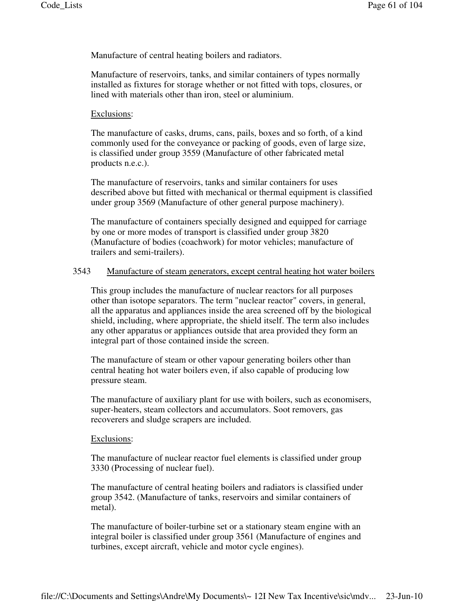Manufacture of central heating boilers and radiators.

Manufacture of reservoirs, tanks, and similar containers of types normally installed as fixtures for storage whether or not fitted with tops, closures, or lined with materials other than iron, steel or aluminium.

### Exclusions:

The manufacture of casks, drums, cans, pails, boxes and so forth, of a kind commonly used for the conveyance or packing of goods, even of large size, is classified under group 3559 (Manufacture of other fabricated metal products n.e.c.).

The manufacture of reservoirs, tanks and similar containers for uses described above but fitted with mechanical or thermal equipment is classified under group 3569 (Manufacture of other general purpose machinery).

The manufacture of containers specially designed and equipped for carriage by one or more modes of transport is classified under group 3820 (Manufacture of bodies (coachwork) for motor vehicles; manufacture of trailers and semi-trailers).

### 3543 Manufacture of steam generators, except central heating hot water boilers

This group includes the manufacture of nuclear reactors for all purposes other than isotope separators. The term "nuclear reactor" covers, in general, all the apparatus and appliances inside the area screened off by the biological shield, including, where appropriate, the shield itself. The term also includes any other apparatus or appliances outside that area provided they form an integral part of those contained inside the screen.

The manufacture of steam or other vapour generating boilers other than central heating hot water boilers even, if also capable of producing low pressure steam.

The manufacture of auxiliary plant for use with boilers, such as economisers, super-heaters, steam collectors and accumulators. Soot removers, gas recoverers and sludge scrapers are included.

#### Exclusions:

The manufacture of nuclear reactor fuel elements is classified under group 3330 (Processing of nuclear fuel).

The manufacture of central heating boilers and radiators is classified under group 3542. (Manufacture of tanks, reservoirs and similar containers of metal).

The manufacture of boiler-turbine set or a stationary steam engine with an integral boiler is classified under group 3561 (Manufacture of engines and turbines, except aircraft, vehicle and motor cycle engines).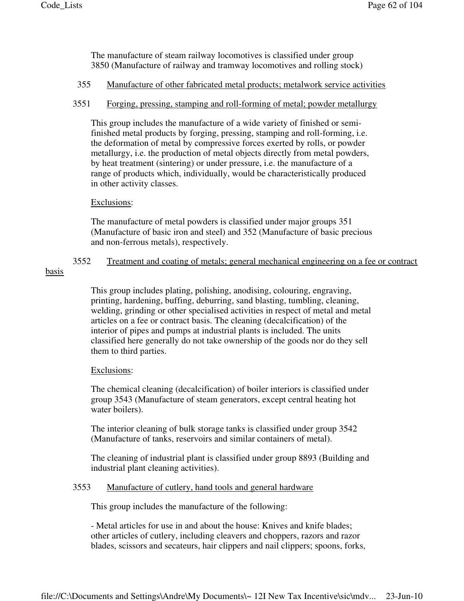The manufacture of steam railway locomotives is classified under group 3850 (Manufacture of railway and tramway locomotives and rolling stock)

## 355 Manufacture of other fabricated metal products; metalwork service activities

## 3551 Forging, pressing, stamping and roll-forming of metal; powder metallurgy

This group includes the manufacture of a wide variety of finished or semifinished metal products by forging, pressing, stamping and roll-forming, i.e. the deformation of metal by compressive forces exerted by rolls, or powder metallurgy, i.e. the production of metal objects directly from metal powders, by heat treatment (sintering) or under pressure, i.e. the manufacture of a range of products which, individually, would be characteristically produced in other activity classes.

# Exclusions:

The manufacture of metal powders is classified under major groups 351 (Manufacture of basic iron and steel) and 352 (Manufacture of basic precious and non-ferrous metals), respectively.

# 3552 Treatment and coating of metals; general mechanical engineering on a fee or contract

# basis

This group includes plating, polishing, anodising, colouring, engraving, printing, hardening, buffing, deburring, sand blasting, tumbling, cleaning, welding, grinding or other specialised activities in respect of metal and metal articles on a fee or contract basis. The cleaning (decalcification) of the interior of pipes and pumps at industrial plants is included. The units classified here generally do not take ownership of the goods nor do they sell them to third parties.

# Exclusions:

The chemical cleaning (decalcification) of boiler interiors is classified under group 3543 (Manufacture of steam generators, except central heating hot water boilers).

The interior cleaning of bulk storage tanks is classified under group 3542 (Manufacture of tanks, reservoirs and similar containers of metal).

The cleaning of industrial plant is classified under group 8893 (Building and industrial plant cleaning activities).

## 3553 Manufacture of cutlery, hand tools and general hardware

This group includes the manufacture of the following:

- Metal articles for use in and about the house: Knives and knife blades; other articles of cutlery, including cleavers and choppers, razors and razor blades, scissors and secateurs, hair clippers and nail clippers; spoons, forks,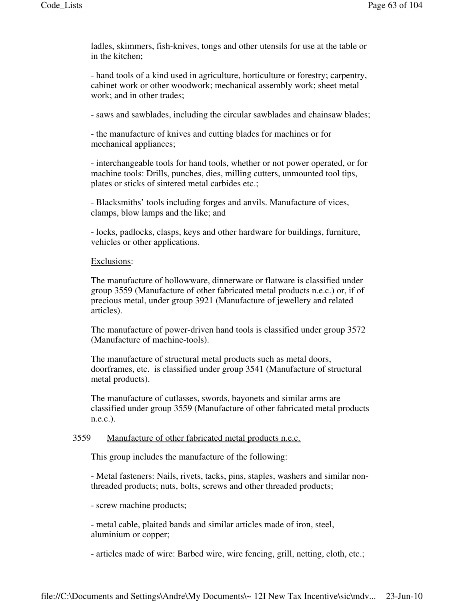ladles, skimmers, fish-knives, tongs and other utensils for use at the table or in the kitchen;

- hand tools of a kind used in agriculture, horticulture or forestry; carpentry, cabinet work or other woodwork; mechanical assembly work; sheet metal work; and in other trades;

- saws and sawblades, including the circular sawblades and chainsaw blades;

- the manufacture of knives and cutting blades for machines or for mechanical appliances;

- interchangeable tools for hand tools, whether or not power operated, or for machine tools: Drills, punches, dies, milling cutters, unmounted tool tips, plates or sticks of sintered metal carbides etc.;

- Blacksmiths' tools including forges and anvils. Manufacture of vices, clamps, blow lamps and the like; and

- locks, padlocks, clasps, keys and other hardware for buildings, furniture, vehicles or other applications.

### Exclusions:

The manufacture of hollowware, dinnerware or flatware is classified under group 3559 (Manufacture of other fabricated metal products n.e.c.) or, if of precious metal, under group 3921 (Manufacture of jewellery and related articles).

The manufacture of power-driven hand tools is classified under group 3572 (Manufacture of machine-tools).

The manufacture of structural metal products such as metal doors, doorframes, etc. is classified under group 3541 (Manufacture of structural metal products).

The manufacture of cutlasses, swords, bayonets and similar arms are classified under group 3559 (Manufacture of other fabricated metal products n.e.c.).

## 3559 Manufacture of other fabricated metal products n.e.c.

This group includes the manufacture of the following:

- Metal fasteners: Nails, rivets, tacks, pins, staples, washers and similar nonthreaded products; nuts, bolts, screws and other threaded products;

- screw machine products;

- metal cable, plaited bands and similar articles made of iron, steel, aluminium or copper;

- articles made of wire: Barbed wire, wire fencing, grill, netting, cloth, etc.;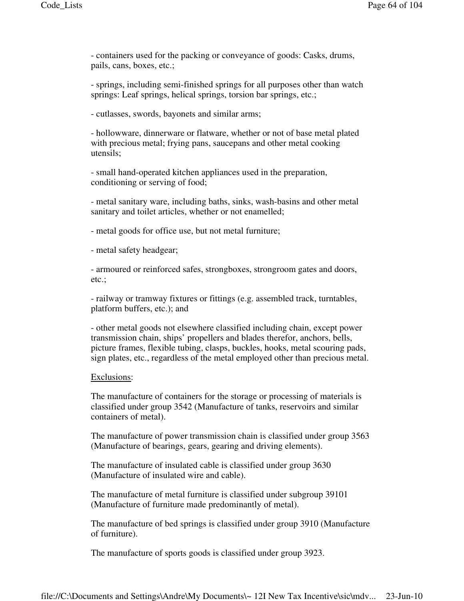- containers used for the packing or conveyance of goods: Casks, drums, pails, cans, boxes, etc.;

- springs, including semi-finished springs for all purposes other than watch springs: Leaf springs, helical springs, torsion bar springs, etc.;

- cutlasses, swords, bayonets and similar arms;

- hollowware, dinnerware or flatware, whether or not of base metal plated with precious metal; frying pans, saucepans and other metal cooking utensils;

- small hand-operated kitchen appliances used in the preparation, conditioning or serving of food;

- metal sanitary ware, including baths, sinks, wash-basins and other metal sanitary and toilet articles, whether or not enamelled;

- metal goods for office use, but not metal furniture;

- metal safety headgear;

- armoured or reinforced safes, strongboxes, strongroom gates and doors, etc.;

- railway or tramway fixtures or fittings (e.g. assembled track, turntables, platform buffers, etc.); and

- other metal goods not elsewhere classified including chain, except power transmission chain, ships' propellers and blades therefor, anchors, bells, picture frames, flexible tubing, clasps, buckles, hooks, metal scouring pads, sign plates, etc., regardless of the metal employed other than precious metal.

#### Exclusions:

The manufacture of containers for the storage or processing of materials is classified under group 3542 (Manufacture of tanks, reservoirs and similar containers of metal).

The manufacture of power transmission chain is classified under group 3563 (Manufacture of bearings, gears, gearing and driving elements).

The manufacture of insulated cable is classified under group 3630 (Manufacture of insulated wire and cable).

The manufacture of metal furniture is classified under subgroup 39101 (Manufacture of furniture made predominantly of metal).

The manufacture of bed springs is classified under group 3910 (Manufacture of furniture).

The manufacture of sports goods is classified under group 3923.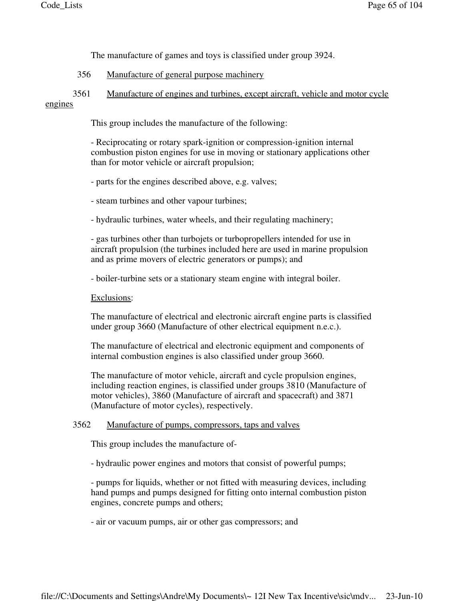The manufacture of games and toys is classified under group 3924.

# 356 Manufacture of general purpose machinery

# 3561 Manufacture of engines and turbines, except aircraft, vehicle and motor cycle engines

This group includes the manufacture of the following:

- Reciprocating or rotary spark-ignition or compression-ignition internal combustion piston engines for use in moving or stationary applications other than for motor vehicle or aircraft propulsion;

- parts for the engines described above, e.g. valves;

- steam turbines and other vapour turbines;

- hydraulic turbines, water wheels, and their regulating machinery;

- gas turbines other than turbojets or turbopropellers intended for use in aircraft propulsion (the turbines included here are used in marine propulsion and as prime movers of electric generators or pumps); and

- boiler-turbine sets or a stationary steam engine with integral boiler.

Exclusions:

The manufacture of electrical and electronic aircraft engine parts is classified under group 3660 (Manufacture of other electrical equipment n.e.c.).

The manufacture of electrical and electronic equipment and components of internal combustion engines is also classified under group 3660.

The manufacture of motor vehicle, aircraft and cycle propulsion engines, including reaction engines, is classified under groups 3810 (Manufacture of motor vehicles), 3860 (Manufacture of aircraft and spacecraft) and 3871 (Manufacture of motor cycles), respectively.

## 3562 Manufacture of pumps, compressors, taps and valves

This group includes the manufacture of-

- hydraulic power engines and motors that consist of powerful pumps;

- pumps for liquids, whether or not fitted with measuring devices, including hand pumps and pumps designed for fitting onto internal combustion piston engines, concrete pumps and others;

- air or vacuum pumps, air or other gas compressors; and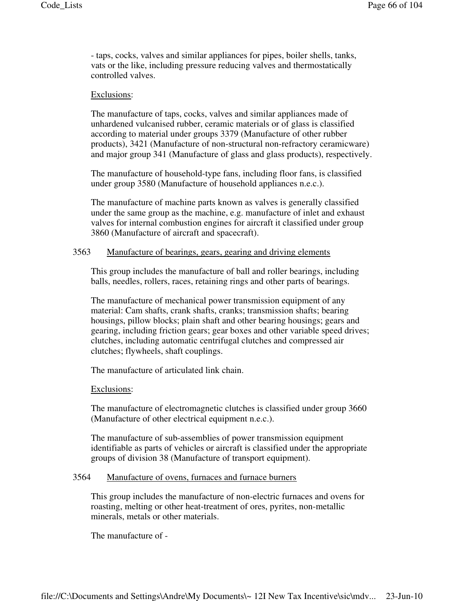- taps, cocks, valves and similar appliances for pipes, boiler shells, tanks, vats or the like, including pressure reducing valves and thermostatically controlled valves.

### Exclusions:

The manufacture of taps, cocks, valves and similar appliances made of unhardened vulcanised rubber, ceramic materials or of glass is classified according to material under groups 3379 (Manufacture of other rubber products), 3421 (Manufacture of non-structural non-refractory ceramicware) and major group 341 (Manufacture of glass and glass products), respectively.

The manufacture of household-type fans, including floor fans, is classified under group 3580 (Manufacture of household appliances n.e.c.).

The manufacture of machine parts known as valves is generally classified under the same group as the machine, e.g. manufacture of inlet and exhaust valves for internal combustion engines for aircraft it classified under group 3860 (Manufacture of aircraft and spacecraft).

## 3563 Manufacture of bearings, gears, gearing and driving elements

This group includes the manufacture of ball and roller bearings, including balls, needles, rollers, races, retaining rings and other parts of bearings.

The manufacture of mechanical power transmission equipment of any material: Cam shafts, crank shafts, cranks; transmission shafts; bearing housings, pillow blocks; plain shaft and other bearing housings; gears and gearing, including friction gears; gear boxes and other variable speed drives; clutches, including automatic centrifugal clutches and compressed air clutches; flywheels, shaft couplings.

The manufacture of articulated link chain.

#### Exclusions:

The manufacture of electromagnetic clutches is classified under group 3660 (Manufacture of other electrical equipment n.e.c.).

The manufacture of sub-assemblies of power transmission equipment identifiable as parts of vehicles or aircraft is classified under the appropriate groups of division 38 (Manufacture of transport equipment).

## 3564 Manufacture of ovens, furnaces and furnace burners

This group includes the manufacture of non-electric furnaces and ovens for roasting, melting or other heat-treatment of ores, pyrites, non-metallic minerals, metals or other materials.

The manufacture of -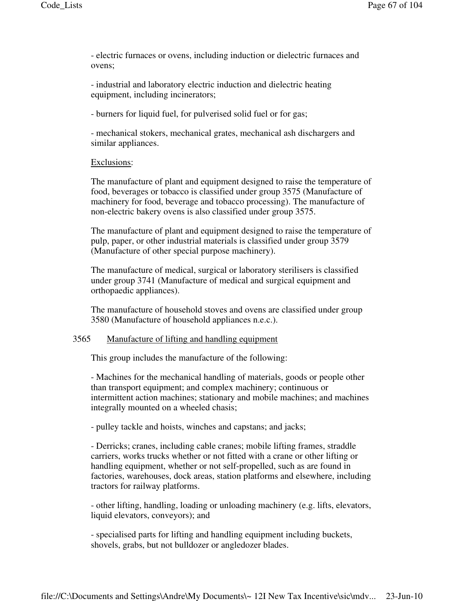- electric furnaces or ovens, including induction or dielectric furnaces and ovens;

- industrial and laboratory electric induction and dielectric heating equipment, including incinerators;

- burners for liquid fuel, for pulverised solid fuel or for gas;

- mechanical stokers, mechanical grates, mechanical ash dischargers and similar appliances.

### Exclusions:

The manufacture of plant and equipment designed to raise the temperature of food, beverages or tobacco is classified under group 3575 (Manufacture of machinery for food, beverage and tobacco processing). The manufacture of non-electric bakery ovens is also classified under group 3575.

The manufacture of plant and equipment designed to raise the temperature of pulp, paper, or other industrial materials is classified under group 3579 (Manufacture of other special purpose machinery).

The manufacture of medical, surgical or laboratory sterilisers is classified under group 3741 (Manufacture of medical and surgical equipment and orthopaedic appliances).

The manufacture of household stoves and ovens are classified under group 3580 (Manufacture of household appliances n.e.c.).

### 3565 Manufacture of lifting and handling equipment

This group includes the manufacture of the following:

- Machines for the mechanical handling of materials, goods or people other than transport equipment; and complex machinery; continuous or intermittent action machines; stationary and mobile machines; and machines integrally mounted on a wheeled chasis;

- pulley tackle and hoists, winches and capstans; and jacks;

- Derricks; cranes, including cable cranes; mobile lifting frames, straddle carriers, works trucks whether or not fitted with a crane or other lifting or handling equipment, whether or not self-propelled, such as are found in factories, warehouses, dock areas, station platforms and elsewhere, including tractors for railway platforms.

- other lifting, handling, loading or unloading machinery (e.g. lifts, elevators, liquid elevators, conveyors); and

- specialised parts for lifting and handling equipment including buckets, shovels, grabs, but not bulldozer or angledozer blades.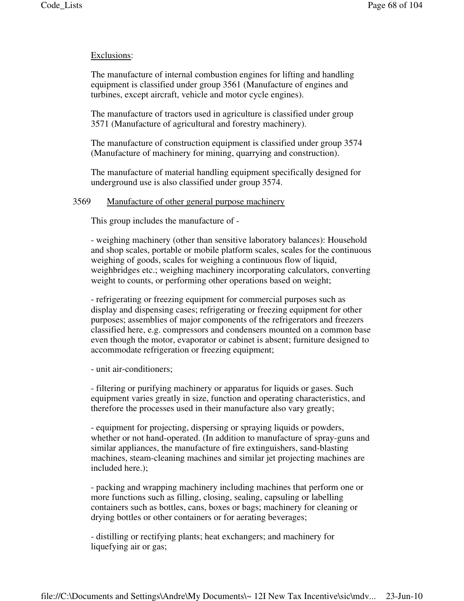## Exclusions:

The manufacture of internal combustion engines for lifting and handling equipment is classified under group 3561 (Manufacture of engines and turbines, except aircraft, vehicle and motor cycle engines).

The manufacture of tractors used in agriculture is classified under group 3571 (Manufacture of agricultural and forestry machinery).

The manufacture of construction equipment is classified under group 3574 (Manufacture of machinery for mining, quarrying and construction).

The manufacture of material handling equipment specifically designed for underground use is also classified under group 3574.

### 3569 Manufacture of other general purpose machinery

This group includes the manufacture of -

- weighing machinery (other than sensitive laboratory balances): Household and shop scales, portable or mobile platform scales, scales for the continuous weighing of goods, scales for weighing a continuous flow of liquid, weighbridges etc.; weighing machinery incorporating calculators, converting weight to counts, or performing other operations based on weight;

- refrigerating or freezing equipment for commercial purposes such as display and dispensing cases; refrigerating or freezing equipment for other purposes; assemblies of major components of the refrigerators and freezers classified here, e.g. compressors and condensers mounted on a common base even though the motor, evaporator or cabinet is absent; furniture designed to accommodate refrigeration or freezing equipment;

- unit air-conditioners;

- filtering or purifying machinery or apparatus for liquids or gases. Such equipment varies greatly in size, function and operating characteristics, and therefore the processes used in their manufacture also vary greatly;

- equipment for projecting, dispersing or spraying liquids or powders, whether or not hand-operated. (In addition to manufacture of spray-guns and similar appliances, the manufacture of fire extinguishers, sand-blasting machines, steam-cleaning machines and similar jet projecting machines are included here.);

- packing and wrapping machinery including machines that perform one or more functions such as filling, closing, sealing, capsuling or labelling containers such as bottles, cans, boxes or bags; machinery for cleaning or drying bottles or other containers or for aerating beverages;

- distilling or rectifying plants; heat exchangers; and machinery for liquefying air or gas;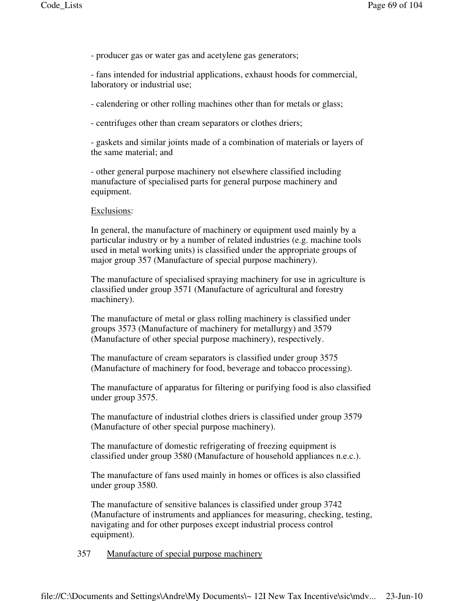- producer gas or water gas and acetylene gas generators;

- fans intended for industrial applications, exhaust hoods for commercial, laboratory or industrial use;

- calendering or other rolling machines other than for metals or glass;

- centrifuges other than cream separators or clothes driers;

- gaskets and similar joints made of a combination of materials or layers of the same material; and

- other general purpose machinery not elsewhere classified including manufacture of specialised parts for general purpose machinery and equipment.

### Exclusions:

In general, the manufacture of machinery or equipment used mainly by a particular industry or by a number of related industries (e.g. machine tools used in metal working units) is classified under the appropriate groups of major group 357 (Manufacture of special purpose machinery).

The manufacture of specialised spraying machinery for use in agriculture is classified under group 3571 (Manufacture of agricultural and forestry machinery).

The manufacture of metal or glass rolling machinery is classified under groups 3573 (Manufacture of machinery for metallurgy) and 3579 (Manufacture of other special purpose machinery), respectively.

The manufacture of cream separators is classified under group 3575 (Manufacture of machinery for food, beverage and tobacco processing).

The manufacture of apparatus for filtering or purifying food is also classified under group 3575.

The manufacture of industrial clothes driers is classified under group 3579 (Manufacture of other special purpose machinery).

The manufacture of domestic refrigerating of freezing equipment is classified under group 3580 (Manufacture of household appliances n.e.c.).

The manufacture of fans used mainly in homes or offices is also classified under group 3580.

The manufacture of sensitive balances is classified under group 3742 (Manufacture of instruments and appliances for measuring, checking, testing, navigating and for other purposes except industrial process control equipment).

357 Manufacture of special purpose machinery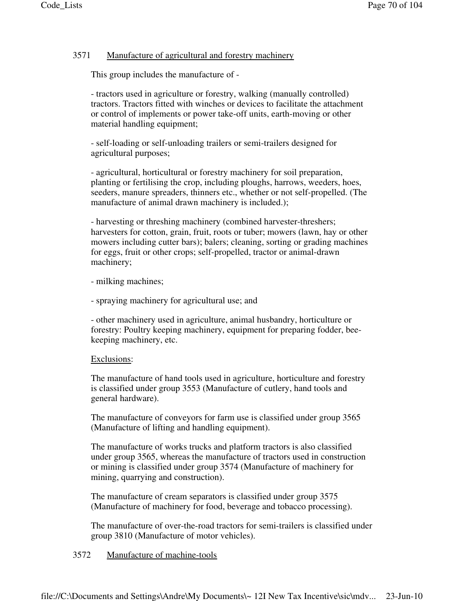# 3571 Manufacture of agricultural and forestry machinery

This group includes the manufacture of -

- tractors used in agriculture or forestry, walking (manually controlled) tractors. Tractors fitted with winches or devices to facilitate the attachment or control of implements or power take-off units, earth-moving or other material handling equipment;

- self-loading or self-unloading trailers or semi-trailers designed for agricultural purposes;

- agricultural, horticultural or forestry machinery for soil preparation, planting or fertilising the crop, including ploughs, harrows, weeders, hoes, seeders, manure spreaders, thinners etc., whether or not self-propelled. (The manufacture of animal drawn machinery is included.);

- harvesting or threshing machinery (combined harvester-threshers; harvesters for cotton, grain, fruit, roots or tuber; mowers (lawn, hay or other mowers including cutter bars); balers; cleaning, sorting or grading machines for eggs, fruit or other crops; self-propelled, tractor or animal-drawn machinery;

- milking machines;

- spraying machinery for agricultural use; and

- other machinery used in agriculture, animal husbandry, horticulture or forestry: Poultry keeping machinery, equipment for preparing fodder, beekeeping machinery, etc.

## Exclusions:

The manufacture of hand tools used in agriculture, horticulture and forestry is classified under group 3553 (Manufacture of cutlery, hand tools and general hardware).

The manufacture of conveyors for farm use is classified under group 3565 (Manufacture of lifting and handling equipment).

The manufacture of works trucks and platform tractors is also classified under group 3565, whereas the manufacture of tractors used in construction or mining is classified under group 3574 (Manufacture of machinery for mining, quarrying and construction).

The manufacture of cream separators is classified under group 3575 (Manufacture of machinery for food, beverage and tobacco processing).

The manufacture of over-the-road tractors for semi-trailers is classified under group 3810 (Manufacture of motor vehicles).

# 3572 Manufacture of machine-tools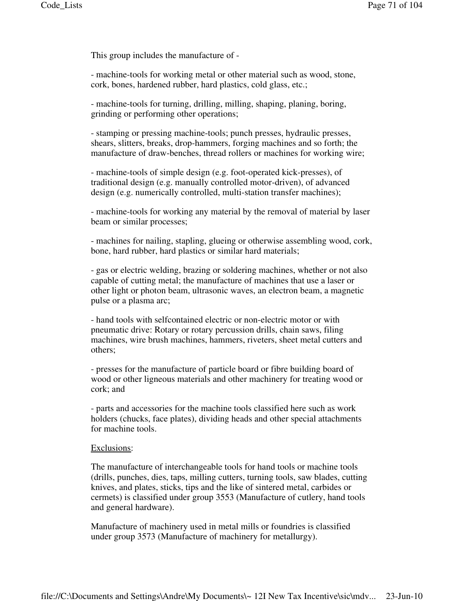This group includes the manufacture of -

- machine-tools for working metal or other material such as wood, stone, cork, bones, hardened rubber, hard plastics, cold glass, etc.;

- machine-tools for turning, drilling, milling, shaping, planing, boring, grinding or performing other operations;

- stamping or pressing machine-tools; punch presses, hydraulic presses, shears, slitters, breaks, drop-hammers, forging machines and so forth; the manufacture of draw-benches, thread rollers or machines for working wire;

- machine-tools of simple design (e.g. foot-operated kick-presses), of traditional design (e.g. manually controlled motor-driven), of advanced design (e.g. numerically controlled, multi-station transfer machines);

- machine-tools for working any material by the removal of material by laser beam or similar processes;

- machines for nailing, stapling, glueing or otherwise assembling wood, cork, bone, hard rubber, hard plastics or similar hard materials;

- gas or electric welding, brazing or soldering machines, whether or not also capable of cutting metal; the manufacture of machines that use a laser or other light or photon beam, ultrasonic waves, an electron beam, a magnetic pulse or a plasma arc;

- hand tools with selfcontained electric or non-electric motor or with pneumatic drive: Rotary or rotary percussion drills, chain saws, filing machines, wire brush machines, hammers, riveters, sheet metal cutters and others;

- presses for the manufacture of particle board or fibre building board of wood or other ligneous materials and other machinery for treating wood or cork; and

- parts and accessories for the machine tools classified here such as work holders (chucks, face plates), dividing heads and other special attachments for machine tools.

#### Exclusions:

The manufacture of interchangeable tools for hand tools or machine tools (drills, punches, dies, taps, milling cutters, turning tools, saw blades, cutting knives, and plates, sticks, tips and the like of sintered metal, carbides or cermets) is classified under group 3553 (Manufacture of cutlery, hand tools and general hardware).

Manufacture of machinery used in metal mills or foundries is classified under group 3573 (Manufacture of machinery for metallurgy).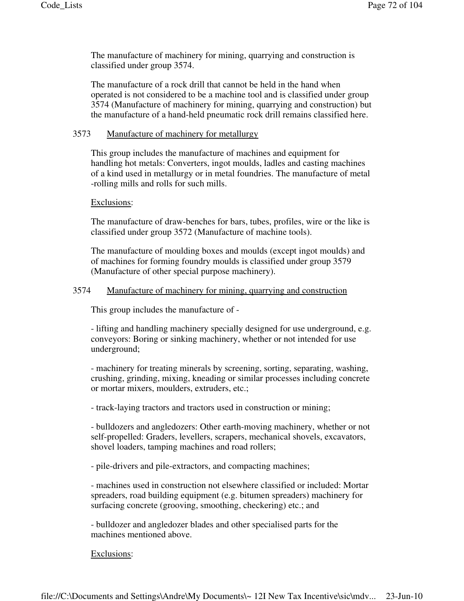The manufacture of machinery for mining, quarrying and construction is classified under group 3574.

The manufacture of a rock drill that cannot be held in the hand when operated is not considered to be a machine tool and is classified under group 3574 (Manufacture of machinery for mining, quarrying and construction) but the manufacture of a hand-held pneumatic rock drill remains classified here.

# 3573 Manufacture of machinery for metallurgy

This group includes the manufacture of machines and equipment for handling hot metals: Converters, ingot moulds, ladles and casting machines of a kind used in metallurgy or in metal foundries. The manufacture of metal -rolling mills and rolls for such mills.

## Exclusions:

The manufacture of draw-benches for bars, tubes, profiles, wire or the like is classified under group 3572 (Manufacture of machine tools).

The manufacture of moulding boxes and moulds (except ingot moulds) and of machines for forming foundry moulds is classified under group 3579 (Manufacture of other special purpose machinery).

# 3574 Manufacture of machinery for mining, quarrying and construction

This group includes the manufacture of -

- lifting and handling machinery specially designed for use underground, e.g. conveyors: Boring or sinking machinery, whether or not intended for use underground;

- machinery for treating minerals by screening, sorting, separating, washing, crushing, grinding, mixing, kneading or similar processes including concrete or mortar mixers, moulders, extruders, etc.;

- track-laying tractors and tractors used in construction or mining;

- bulldozers and angledozers: Other earth-moving machinery, whether or not self-propelled: Graders, levellers, scrapers, mechanical shovels, excavators, shovel loaders, tamping machines and road rollers;

- pile-drivers and pile-extractors, and compacting machines;

- machines used in construction not elsewhere classified or included: Mortar spreaders, road building equipment (e.g. bitumen spreaders) machinery for surfacing concrete (grooving, smoothing, checkering) etc.; and

- bulldozer and angledozer blades and other specialised parts for the machines mentioned above.

Exclusions: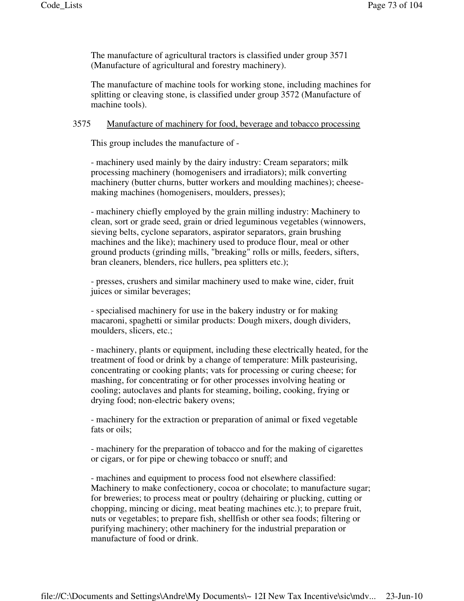The manufacture of agricultural tractors is classified under group 3571 (Manufacture of agricultural and forestry machinery).

The manufacture of machine tools for working stone, including machines for splitting or cleaving stone, is classified under group 3572 (Manufacture of machine tools).

### 3575 Manufacture of machinery for food, beverage and tobacco processing

This group includes the manufacture of -

- machinery used mainly by the dairy industry: Cream separators; milk processing machinery (homogenisers and irradiators); milk converting machinery (butter churns, butter workers and moulding machines); cheesemaking machines (homogenisers, moulders, presses);

- machinery chiefly employed by the grain milling industry: Machinery to clean, sort or grade seed, grain or dried leguminous vegetables (winnowers, sieving belts, cyclone separators, aspirator separators, grain brushing machines and the like); machinery used to produce flour, meal or other ground products (grinding mills, "breaking" rolls or mills, feeders, sifters, bran cleaners, blenders, rice hullers, pea splitters etc.);

- presses, crushers and similar machinery used to make wine, cider, fruit juices or similar beverages;

- specialised machinery for use in the bakery industry or for making macaroni, spaghetti or similar products: Dough mixers, dough dividers, moulders, slicers, etc.;

- machinery, plants or equipment, including these electrically heated, for the treatment of food or drink by a change of temperature: Milk pasteurising, concentrating or cooking plants; vats for processing or curing cheese; for mashing, for concentrating or for other processes involving heating or cooling; autoclaves and plants for steaming, boiling, cooking, frying or drying food; non-electric bakery ovens;

- machinery for the extraction or preparation of animal or fixed vegetable fats or oils;

- machinery for the preparation of tobacco and for the making of cigarettes or cigars, or for pipe or chewing tobacco or snuff; and

- machines and equipment to process food not elsewhere classified: Machinery to make confectionery, cocoa or chocolate; to manufacture sugar; for breweries; to process meat or poultry (dehairing or plucking, cutting or chopping, mincing or dicing, meat beating machines etc.); to prepare fruit, nuts or vegetables; to prepare fish, shellfish or other sea foods; filtering or purifying machinery; other machinery for the industrial preparation or manufacture of food or drink.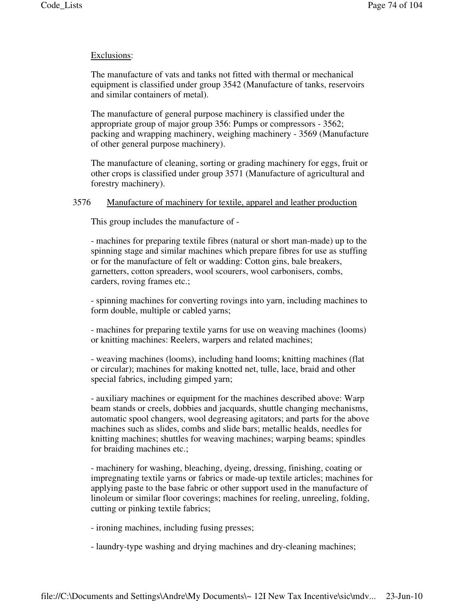### Exclusions:

The manufacture of vats and tanks not fitted with thermal or mechanical equipment is classified under group 3542 (Manufacture of tanks, reservoirs and similar containers of metal).

The manufacture of general purpose machinery is classified under the appropriate group of major group 356: Pumps or compressors - 3562; packing and wrapping machinery, weighing machinery - 3569 (Manufacture of other general purpose machinery).

The manufacture of cleaning, sorting or grading machinery for eggs, fruit or other crops is classified under group 3571 (Manufacture of agricultural and forestry machinery).

### 3576 Manufacture of machinery for textile, apparel and leather production

This group includes the manufacture of -

- machines for preparing textile fibres (natural or short man-made) up to the spinning stage and similar machines which prepare fibres for use as stuffing or for the manufacture of felt or wadding: Cotton gins, bale breakers, garnetters, cotton spreaders, wool scourers, wool carbonisers, combs, carders, roving frames etc.;

- spinning machines for converting rovings into yarn, including machines to form double, multiple or cabled yarns;

- machines for preparing textile yarns for use on weaving machines (looms) or knitting machines: Reelers, warpers and related machines;

- weaving machines (looms), including hand looms; knitting machines (flat or circular); machines for making knotted net, tulle, lace, braid and other special fabrics, including gimped yarn;

- auxiliary machines or equipment for the machines described above: Warp beam stands or creels, dobbies and jacquards, shuttle changing mechanisms, automatic spool changers, wool degreasing agitators; and parts for the above machines such as slides, combs and slide bars; metallic healds, needles for knitting machines; shuttles for weaving machines; warping beams; spindles for braiding machines etc.;

- machinery for washing, bleaching, dyeing, dressing, finishing, coating or impregnating textile yarns or fabrics or made-up textile articles; machines for applying paste to the base fabric or other support used in the manufacture of linoleum or similar floor coverings; machines for reeling, unreeling, folding, cutting or pinking textile fabrics;

- ironing machines, including fusing presses;

- laundry-type washing and drying machines and dry-cleaning machines;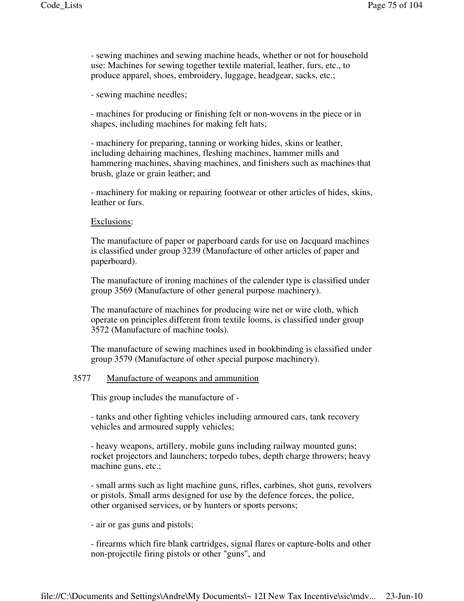- sewing machines and sewing machine heads, whether or not for household use: Machines for sewing together textile material, leather, furs, etc., to produce apparel, shoes, embroidery, luggage, headgear, sacks, etc.;

- sewing machine needles;

- machines for producing or finishing felt or non-wovens in the piece or in shapes, including machines for making felt hats;

- machinery for preparing, tanning or working hides, skins or leather, including dehairing machines, fleshing machines, hammer mills and hammering machines, shaving machines, and finishers such as machines that brush, glaze or grain leather; and

- machinery for making or repairing footwear or other articles of hides, skins, leather or furs.

#### Exclusions:

The manufacture of paper or paperboard cards for use on Jacquard machines is classified under group 3239 (Manufacture of other articles of paper and paperboard).

The manufacture of ironing machines of the calender type is classified under group 3569 (Manufacture of other general purpose machinery).

The manufacture of machines for producing wire net or wire cloth, which operate on principles different from textile looms, is classified under group 3572 (Manufacture of machine tools).

The manufacture of sewing machines used in bookbinding is classified under group 3579 (Manufacture of other special purpose machinery).

#### 3577 Manufacture of weapons and ammunition

This group includes the manufacture of -

- tanks and other fighting vehicles including armoured cars, tank recovery vehicles and armoured supply vehicles;

- heavy weapons, artillery, mobile guns including railway mounted guns; rocket projectors and launchers; torpedo tubes, depth charge throwers; heavy machine guns, etc.;

- small arms such as light machine guns, rifles, carbines, shot guns, revolvers or pistols. Small arms designed for use by the defence forces, the police, other organised services, or by hunters or sports persons;

- air or gas guns and pistols;

- firearms which fire blank cartridges, signal flares or capture-bolts and other non-projectile firing pistols or other "guns", and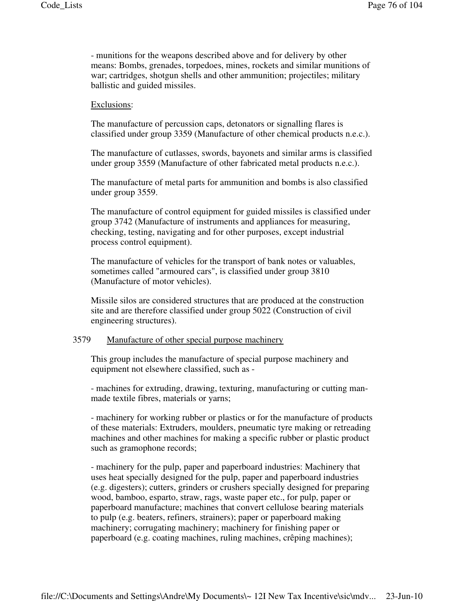- munitions for the weapons described above and for delivery by other means: Bombs, grenades, torpedoes, mines, rockets and similar munitions of war; cartridges, shotgun shells and other ammunition; projectiles; military ballistic and guided missiles.

### Exclusions:

The manufacture of percussion caps, detonators or signalling flares is classified under group 3359 (Manufacture of other chemical products n.e.c.).

The manufacture of cutlasses, swords, bayonets and similar arms is classified under group 3559 (Manufacture of other fabricated metal products n.e.c.).

The manufacture of metal parts for ammunition and bombs is also classified under group 3559.

The manufacture of control equipment for guided missiles is classified under group 3742 (Manufacture of instruments and appliances for measuring, checking, testing, navigating and for other purposes, except industrial process control equipment).

The manufacture of vehicles for the transport of bank notes or valuables, sometimes called "armoured cars", is classified under group 3810 (Manufacture of motor vehicles).

Missile silos are considered structures that are produced at the construction site and are therefore classified under group 5022 (Construction of civil engineering structures).

# 3579 Manufacture of other special purpose machinery

This group includes the manufacture of special purpose machinery and equipment not elsewhere classified, such as -

- machines for extruding, drawing, texturing, manufacturing or cutting manmade textile fibres, materials or yarns;

- machinery for working rubber or plastics or for the manufacture of products of these materials: Extruders, moulders, pneumatic tyre making or retreading machines and other machines for making a specific rubber or plastic product such as gramophone records;

- machinery for the pulp, paper and paperboard industries: Machinery that uses heat specially designed for the pulp, paper and paperboard industries (e.g. digesters); cutters, grinders or crushers specially designed for preparing wood, bamboo, esparto, straw, rags, waste paper etc., for pulp, paper or paperboard manufacture; machines that convert cellulose bearing materials to pulp (e.g. beaters, refiners, strainers); paper or paperboard making machinery; corrugating machinery; machinery for finishing paper or paperboard (e.g. coating machines, ruling machines, crêping machines);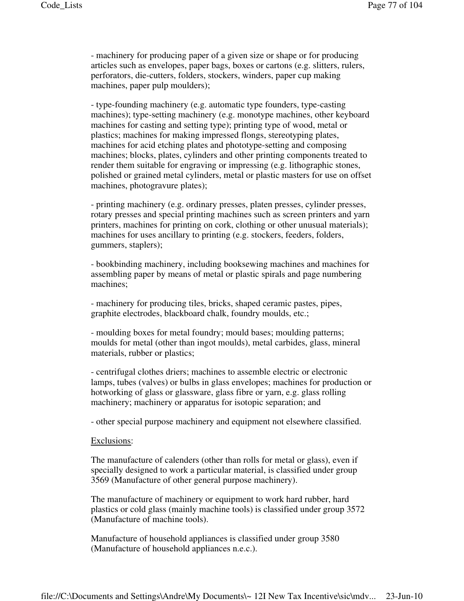- machinery for producing paper of a given size or shape or for producing articles such as envelopes, paper bags, boxes or cartons (e.g. slitters, rulers, perforators, die-cutters, folders, stockers, winders, paper cup making machines, paper pulp moulders);

- type-founding machinery (e.g. automatic type founders, type-casting machines); type-setting machinery (e.g. monotype machines, other keyboard machines for casting and setting type); printing type of wood, metal or plastics; machines for making impressed flongs, stereotyping plates, machines for acid etching plates and phototype-setting and composing machines; blocks, plates, cylinders and other printing components treated to render them suitable for engraving or impressing (e.g. lithographic stones, polished or grained metal cylinders, metal or plastic masters for use on offset machines, photogravure plates);

- printing machinery (e.g. ordinary presses, platen presses, cylinder presses, rotary presses and special printing machines such as screen printers and yarn printers, machines for printing on cork, clothing or other unusual materials); machines for uses ancillary to printing (e.g. stockers, feeders, folders, gummers, staplers);

- bookbinding machinery, including booksewing machines and machines for assembling paper by means of metal or plastic spirals and page numbering machines;

- machinery for producing tiles, bricks, shaped ceramic pastes, pipes, graphite electrodes, blackboard chalk, foundry moulds, etc.;

- moulding boxes for metal foundry; mould bases; moulding patterns; moulds for metal (other than ingot moulds), metal carbides, glass, mineral materials, rubber or plastics;

- centrifugal clothes driers; machines to assemble electric or electronic lamps, tubes (valves) or bulbs in glass envelopes; machines for production or hotworking of glass or glassware, glass fibre or yarn, e.g. glass rolling machinery; machinery or apparatus for isotopic separation; and

- other special purpose machinery and equipment not elsewhere classified.

#### Exclusions:

The manufacture of calenders (other than rolls for metal or glass), even if specially designed to work a particular material, is classified under group 3569 (Manufacture of other general purpose machinery).

The manufacture of machinery or equipment to work hard rubber, hard plastics or cold glass (mainly machine tools) is classified under group 3572 (Manufacture of machine tools).

Manufacture of household appliances is classified under group 3580 (Manufacture of household appliances n.e.c.).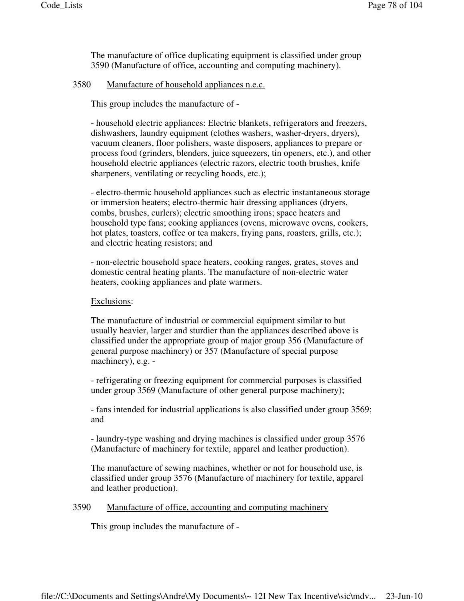The manufacture of office duplicating equipment is classified under group 3590 (Manufacture of office, accounting and computing machinery).

# 3580 Manufacture of household appliances n.e.c.

This group includes the manufacture of -

- household electric appliances: Electric blankets, refrigerators and freezers, dishwashers, laundry equipment (clothes washers, washer-dryers, dryers), vacuum cleaners, floor polishers, waste disposers, appliances to prepare or process food (grinders, blenders, juice squeezers, tin openers, etc.), and other household electric appliances (electric razors, electric tooth brushes, knife sharpeners, ventilating or recycling hoods, etc.);

- electro-thermic household appliances such as electric instantaneous storage or immersion heaters; electro-thermic hair dressing appliances (dryers, combs, brushes, curlers); electric smoothing irons; space heaters and household type fans; cooking appliances (ovens, microwave ovens, cookers, hot plates, toasters, coffee or tea makers, frying pans, roasters, grills, etc.); and electric heating resistors; and

- non-electric household space heaters, cooking ranges, grates, stoves and domestic central heating plants. The manufacture of non-electric water heaters, cooking appliances and plate warmers.

# Exclusions:

The manufacture of industrial or commercial equipment similar to but usually heavier, larger and sturdier than the appliances described above is classified under the appropriate group of major group 356 (Manufacture of general purpose machinery) or 357 (Manufacture of special purpose machinery), e.g. -

- refrigerating or freezing equipment for commercial purposes is classified under group 3569 (Manufacture of other general purpose machinery);

- fans intended for industrial applications is also classified under group 3569; and

- laundry-type washing and drying machines is classified under group 3576 (Manufacture of machinery for textile, apparel and leather production).

The manufacture of sewing machines, whether or not for household use, is classified under group 3576 (Manufacture of machinery for textile, apparel and leather production).

# 3590 Manufacture of office, accounting and computing machinery

This group includes the manufacture of -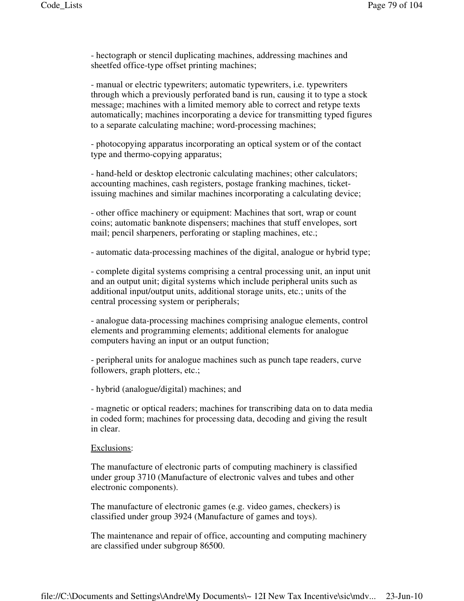- hectograph or stencil duplicating machines, addressing machines and sheetfed office-type offset printing machines;

- manual or electric typewriters; automatic typewriters, i.e. typewriters through which a previously perforated band is run, causing it to type a stock message; machines with a limited memory able to correct and retype texts automatically; machines incorporating a device for transmitting typed figures to a separate calculating machine; word-processing machines;

- photocopying apparatus incorporating an optical system or of the contact type and thermo-copying apparatus;

- hand-held or desktop electronic calculating machines; other calculators; accounting machines, cash registers, postage franking machines, ticketissuing machines and similar machines incorporating a calculating device;

- other office machinery or equipment: Machines that sort, wrap or count coins; automatic banknote dispensers; machines that stuff envelopes, sort mail; pencil sharpeners, perforating or stapling machines, etc.;

- automatic data-processing machines of the digital, analogue or hybrid type;

- complete digital systems comprising a central processing unit, an input unit and an output unit; digital systems which include peripheral units such as additional input/output units, additional storage units, etc.; units of the central processing system or peripherals;

- analogue data-processing machines comprising analogue elements, control elements and programming elements; additional elements for analogue computers having an input or an output function;

- peripheral units for analogue machines such as punch tape readers, curve followers, graph plotters, etc.;

- hybrid (analogue/digital) machines; and

- magnetic or optical readers; machines for transcribing data on to data media in coded form; machines for processing data, decoding and giving the result in clear.

#### Exclusions:

The manufacture of electronic parts of computing machinery is classified under group 3710 (Manufacture of electronic valves and tubes and other electronic components).

The manufacture of electronic games (e.g. video games, checkers) is classified under group 3924 (Manufacture of games and toys).

The maintenance and repair of office, accounting and computing machinery are classified under subgroup 86500.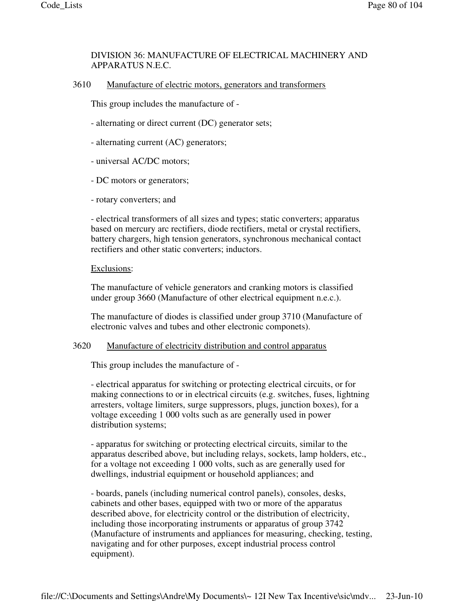# DIVISION 36: MANUFACTURE OF ELECTRICAL MACHINERY AND APPARATUS N.E.C.

3610 Manufacture of electric motors, generators and transformers

This group includes the manufacture of -

- alternating or direct current (DC) generator sets;
- alternating current (AC) generators;
- universal AC/DC motors;
- DC motors or generators;
- rotary converters; and

- electrical transformers of all sizes and types; static converters; apparatus based on mercury arc rectifiers, diode rectifiers, metal or crystal rectifiers, battery chargers, high tension generators, synchronous mechanical contact rectifiers and other static converters; inductors.

#### Exclusions:

The manufacture of vehicle generators and cranking motors is classified under group 3660 (Manufacture of other electrical equipment n.e.c.).

The manufacture of diodes is classified under group 3710 (Manufacture of electronic valves and tubes and other electronic componets).

# 3620 Manufacture of electricity distribution and control apparatus

This group includes the manufacture of -

- electrical apparatus for switching or protecting electrical circuits, or for making connections to or in electrical circuits (e.g. switches, fuses, lightning arresters, voltage limiters, surge suppressors, plugs, junction boxes), for a voltage exceeding 1 000 volts such as are generally used in power distribution systems;

- apparatus for switching or protecting electrical circuits, similar to the apparatus described above, but including relays, sockets, lamp holders, etc., for a voltage not exceeding 1 000 volts, such as are generally used for dwellings, industrial equipment or household appliances; and

- boards, panels (including numerical control panels), consoles, desks, cabinets and other bases, equipped with two or more of the apparatus described above, for electricity control or the distribution of electricity, including those incorporating instruments or apparatus of group 3742 (Manufacture of instruments and appliances for measuring, checking, testing, navigating and for other purposes, except industrial process control equipment).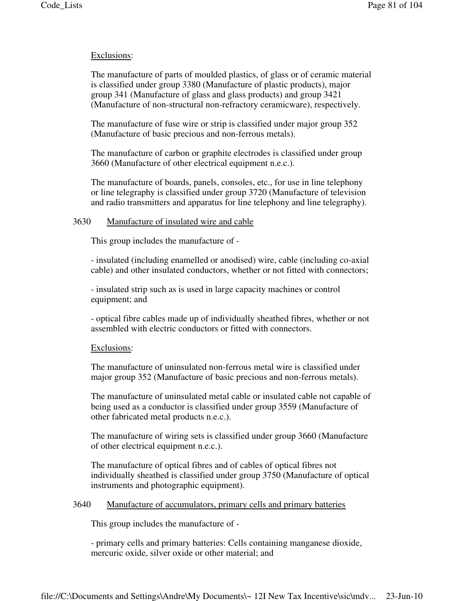# Exclusions:

The manufacture of parts of moulded plastics, of glass or of ceramic material is classified under group 3380 (Manufacture of plastic products), major group 341 (Manufacture of glass and glass products) and group 3421 (Manufacture of non-structural non-refractory ceramicware), respectively.

The manufacture of fuse wire or strip is classified under major group 352 (Manufacture of basic precious and non-ferrous metals).

The manufacture of carbon or graphite electrodes is classified under group 3660 (Manufacture of other electrical equipment n.e.c.).

The manufacture of boards, panels, consoles, etc., for use in line telephony or line telegraphy is classified under group 3720 (Manufacture of television and radio transmitters and apparatus for line telephony and line telegraphy).

### 3630 Manufacture of insulated wire and cable

This group includes the manufacture of -

- insulated (including enamelled or anodised) wire, cable (including co-axial cable) and other insulated conductors, whether or not fitted with connectors;

- insulated strip such as is used in large capacity machines or control equipment; and

- optical fibre cables made up of individually sheathed fibres, whether or not assembled with electric conductors or fitted with connectors.

# Exclusions:

The manufacture of uninsulated non-ferrous metal wire is classified under major group 352 (Manufacture of basic precious and non-ferrous metals).

The manufacture of uninsulated metal cable or insulated cable not capable of being used as a conductor is classified under group 3559 (Manufacture of other fabricated metal products n.e.c.).

The manufacture of wiring sets is classified under group 3660 (Manufacture of other electrical equipment n.e.c.).

The manufacture of optical fibres and of cables of optical fibres not individually sheathed is classified under group 3750 (Manufacture of optical instruments and photographic equipment).

# 3640 Manufacture of accumulators, primary cells and primary batteries

This group includes the manufacture of -

- primary cells and primary batteries: Cells containing manganese dioxide, mercuric oxide, silver oxide or other material; and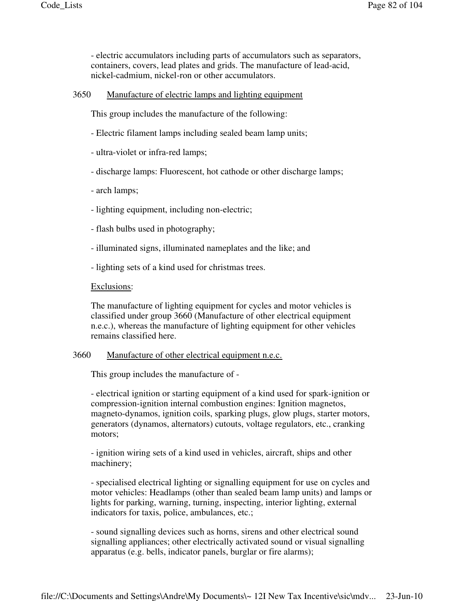- electric accumulators including parts of accumulators such as separators, containers, covers, lead plates and grids. The manufacture of lead-acid, nickel-cadmium, nickel-ron or other accumulators.

3650 Manufacture of electric lamps and lighting equipment

This group includes the manufacture of the following:

- Electric filament lamps including sealed beam lamp units;
- ultra-violet or infra-red lamps;
- discharge lamps: Fluorescent, hot cathode or other discharge lamps;
- arch lamps;
- lighting equipment, including non-electric;
- flash bulbs used in photography;
- illuminated signs, illuminated nameplates and the like; and
- lighting sets of a kind used for christmas trees.

#### Exclusions:

The manufacture of lighting equipment for cycles and motor vehicles is classified under group 3660 (Manufacture of other electrical equipment n.e.c.), whereas the manufacture of lighting equipment for other vehicles remains classified here.

### 3660 Manufacture of other electrical equipment n.e.c.

This group includes the manufacture of -

- electrical ignition or starting equipment of a kind used for spark-ignition or compression-ignition internal combustion engines: Ignition magnetos, magneto-dynamos, ignition coils, sparking plugs, glow plugs, starter motors, generators (dynamos, alternators) cutouts, voltage regulators, etc., cranking motors;

- ignition wiring sets of a kind used in vehicles, aircraft, ships and other machinery;

- specialised electrical lighting or signalling equipment for use on cycles and motor vehicles: Headlamps (other than sealed beam lamp units) and lamps or lights for parking, warning, turning, inspecting, interior lighting, external indicators for taxis, police, ambulances, etc.;

- sound signalling devices such as horns, sirens and other electrical sound signalling appliances; other electrically activated sound or visual signalling apparatus (e.g. bells, indicator panels, burglar or fire alarms);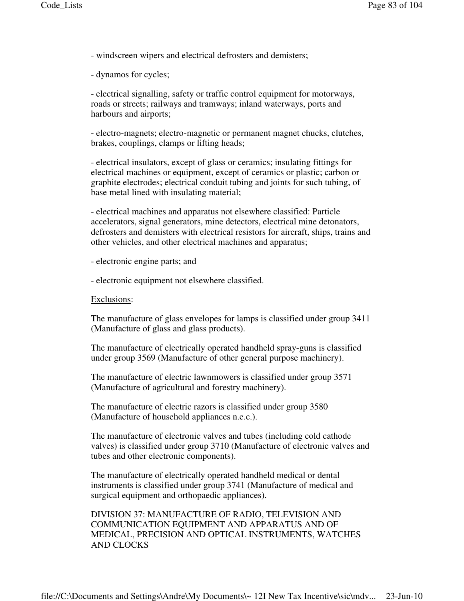- windscreen wipers and electrical defrosters and demisters;

- dynamos for cycles;

- electrical signalling, safety or traffic control equipment for motorways, roads or streets; railways and tramways; inland waterways, ports and harbours and airports;

- electro-magnets; electro-magnetic or permanent magnet chucks, clutches, brakes, couplings, clamps or lifting heads;

- electrical insulators, except of glass or ceramics; insulating fittings for electrical machines or equipment, except of ceramics or plastic; carbon or graphite electrodes; electrical conduit tubing and joints for such tubing, of base metal lined with insulating material;

- electrical machines and apparatus not elsewhere classified: Particle accelerators, signal generators, mine detectors, electrical mine detonators, defrosters and demisters with electrical resistors for aircraft, ships, trains and other vehicles, and other electrical machines and apparatus;

- electronic engine parts; and

- electronic equipment not elsewhere classified.

#### Exclusions:

The manufacture of glass envelopes for lamps is classified under group 3411 (Manufacture of glass and glass products).

The manufacture of electrically operated handheld spray-guns is classified under group 3569 (Manufacture of other general purpose machinery).

The manufacture of electric lawnmowers is classified under group 3571 (Manufacture of agricultural and forestry machinery).

The manufacture of electric razors is classified under group 3580 (Manufacture of household appliances n.e.c.).

The manufacture of electronic valves and tubes (including cold cathode valves) is classified under group 3710 (Manufacture of electronic valves and tubes and other electronic components).

The manufacture of electrically operated handheld medical or dental instruments is classified under group 3741 (Manufacture of medical and surgical equipment and orthopaedic appliances).

DIVISION 37: MANUFACTURE OF RADIO, TELEVISION AND COMMUNICATION EQUIPMENT AND APPARATUS AND OF MEDICAL, PRECISION AND OPTICAL INSTRUMENTS, WATCHES AND CLOCKS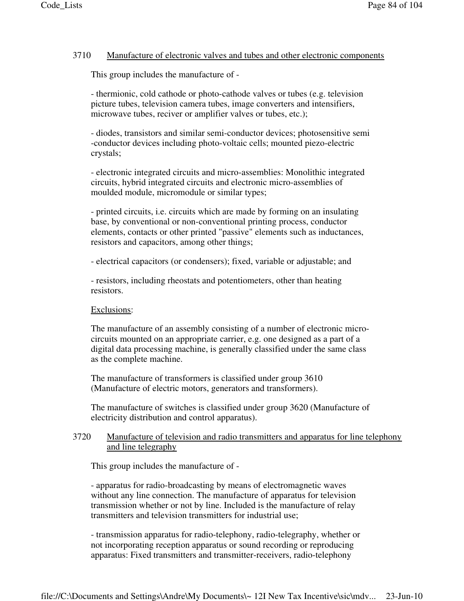# 3710 Manufacture of electronic valves and tubes and other electronic components

This group includes the manufacture of -

- thermionic, cold cathode or photo-cathode valves or tubes (e.g. television picture tubes, television camera tubes, image converters and intensifiers, microwave tubes, reciver or amplifier valves or tubes, etc.);

- diodes, transistors and similar semi-conductor devices; photosensitive semi -conductor devices including photo-voltaic cells; mounted piezo-electric crystals;

- electronic integrated circuits and micro-assemblies: Monolithic integrated circuits, hybrid integrated circuits and electronic micro-assemblies of moulded module, micromodule or similar types;

- printed circuits, i.e. circuits which are made by forming on an insulating base, by conventional or non-conventional printing process, conductor elements, contacts or other printed "passive" elements such as inductances, resistors and capacitors, among other things;

- electrical capacitors (or condensers); fixed, variable or adjustable; and

- resistors, including rheostats and potentiometers, other than heating resistors.

# Exclusions:

The manufacture of an assembly consisting of a number of electronic microcircuits mounted on an appropriate carrier, e.g. one designed as a part of a digital data processing machine, is generally classified under the same class as the complete machine.

The manufacture of transformers is classified under group 3610 (Manufacture of electric motors, generators and transformers).

The manufacture of switches is classified under group 3620 (Manufacture of electricity distribution and control apparatus).

# 3720 Manufacture of television and radio transmitters and apparatus for line telephony and line telegraphy

This group includes the manufacture of -

- apparatus for radio-broadcasting by means of electromagnetic waves without any line connection. The manufacture of apparatus for television transmission whether or not by line. Included is the manufacture of relay transmitters and television transmitters for industrial use;

- transmission apparatus for radio-telephony, radio-telegraphy, whether or not incorporating reception apparatus or sound recording or reproducing apparatus: Fixed transmitters and transmitter-receivers, radio-telephony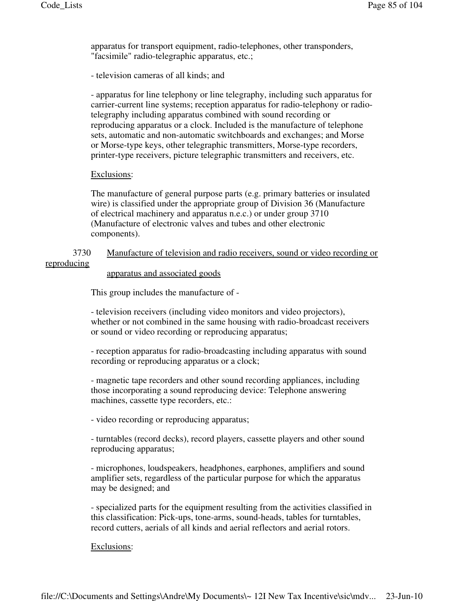apparatus for transport equipment, radio-telephones, other transponders, "facsimile" radio-telegraphic apparatus, etc.;

- television cameras of all kinds; and

- apparatus for line telephony or line telegraphy, including such apparatus for carrier-current line systems; reception apparatus for radio-telephony or radiotelegraphy including apparatus combined with sound recording or reproducing apparatus or a clock. Included is the manufacture of telephone sets, automatic and non-automatic switchboards and exchanges; and Morse or Morse-type keys, other telegraphic transmitters, Morse-type recorders, printer-type receivers, picture telegraphic transmitters and receivers, etc.

### Exclusions:

The manufacture of general purpose parts (e.g. primary batteries or insulated wire) is classified under the appropriate group of Division 36 (Manufacture of electrical machinery and apparatus n.e.c.) or under group 3710 (Manufacture of electronic valves and tubes and other electronic components).

# 3730 Manufacture of television and radio receivers, sound or video recording or reproducing

#### apparatus and associated goods

This group includes the manufacture of -

- television receivers (including video monitors and video projectors), whether or not combined in the same housing with radio-broadcast receivers or sound or video recording or reproducing apparatus;

- reception apparatus for radio-broadcasting including apparatus with sound recording or reproducing apparatus or a clock;

- magnetic tape recorders and other sound recording appliances, including those incorporating a sound reproducing device: Telephone answering machines, cassette type recorders, etc.:

- video recording or reproducing apparatus;

- turntables (record decks), record players, cassette players and other sound reproducing apparatus;

- microphones, loudspeakers, headphones, earphones, amplifiers and sound amplifier sets, regardless of the particular purpose for which the apparatus may be designed; and

- specialized parts for the equipment resulting from the activities classified in this classification: Pick-ups, tone-arms, sound-heads, tables for turntables, record cutters, aerials of all kinds and aerial reflectors and aerial rotors.

#### Exclusions: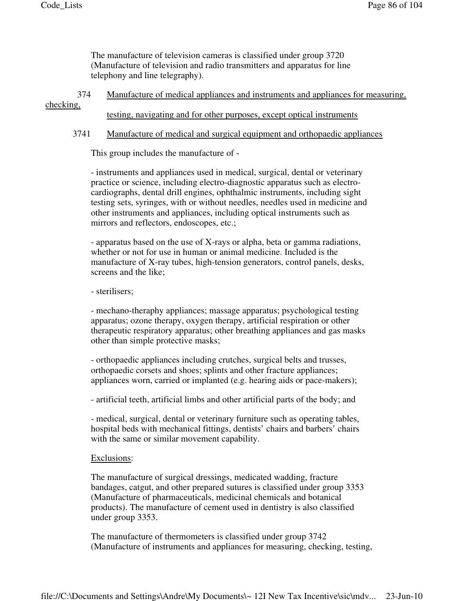The manufacture of television cameras is classified under group 3720 (Manufacture of television and radio transmitters and apparatus for line telephony and line telegraphy).

 374 Manufacture of medical appliances and instruments and appliances for measuring, checking,

testing, navigating and for other purposes, except optical instruments

# 3741 Manufacture of medical and surgical equipment and orthopaedic appliances

This group includes the manufacture of -

- instruments and appliances used in medical, surgical, dental or veterinary practice or science, including electro-diagnostic apparatus such as electrocardiographs, dental drill engines, ophthalmic instruments, including sight testing sets, syringes, with or without needles, needles used in medicine and other instruments and appliances, including optical instruments such as mirrors and reflectors, endoscopes, etc.;

- apparatus based on the use of X-rays or alpha, beta or gamma radiations, whether or not for use in human or animal medicine. Included is the manufacture of X-ray tubes, high-tension generators, control panels, desks, screens and the like;

# - sterilisers;

- mechano-theraphy appliances; massage apparatus; psychological testing apparatus; ozone therapy, oxygen therapy, artificial respiration or other therapeutic respiratory apparatus; other breathing appliances and gas masks other than simple protective masks;

- orthopaedic appliances including crutches, surgical belts and trusses, orthopaedic corsets and shoes; splints and other fracture appliances; appliances worn, carried or implanted (e.g. hearing aids or pace-makers);

- artificial teeth, artificial limbs and other artificial parts of the body; and

- medical, surgical, dental or veterinary furniture such as operating tables, hospital beds with mechanical fittings, dentists' chairs and barbers' chairs with the same or similar movement capability.

# Exclusions:

The manufacture of surgical dressings, medicated wadding, fracture bandages, catgut, and other prepared sutures is classified under group 3353 (Manufacture of pharmaceuticals, medicinal chemicals and botanical products). The manufacture of cement used in dentistry is also classified under group 3353.

The manufacture of thermometers is classified under group 3742 (Manufacture of instruments and appliances for measuring, checking, testing,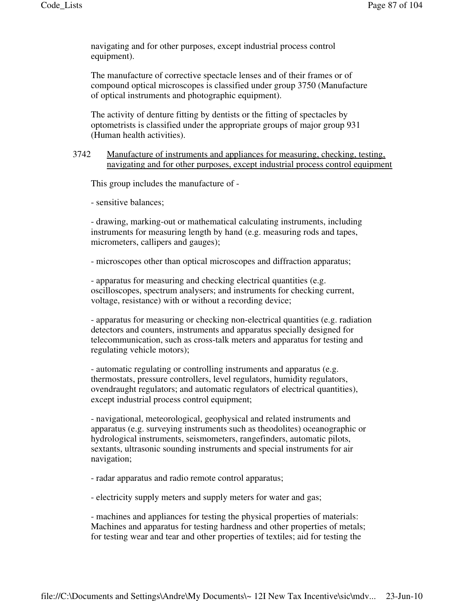navigating and for other purposes, except industrial process control equipment).

The manufacture of corrective spectacle lenses and of their frames or of compound optical microscopes is classified under group 3750 (Manufacture of optical instruments and photographic equipment).

The activity of denture fitting by dentists or the fitting of spectacles by optometrists is classified under the appropriate groups of major group 931 (Human health activities).

# 3742 Manufacture of instruments and appliances for measuring, checking, testing, navigating and for other purposes, except industrial process control equipment

This group includes the manufacture of -

- sensitive balances;

- drawing, marking-out or mathematical calculating instruments, including instruments for measuring length by hand (e.g. measuring rods and tapes, micrometers, callipers and gauges);

- microscopes other than optical microscopes and diffraction apparatus;

- apparatus for measuring and checking electrical quantities (e.g. oscilloscopes, spectrum analysers; and instruments for checking current, voltage, resistance) with or without a recording device;

- apparatus for measuring or checking non-electrical quantities (e.g. radiation detectors and counters, instruments and apparatus specially designed for telecommunication, such as cross-talk meters and apparatus for testing and regulating vehicle motors);

- automatic regulating or controlling instruments and apparatus (e.g. thermostats, pressure controllers, level regulators, humidity regulators, ovendraught regulators; and automatic regulators of electrical quantities), except industrial process control equipment;

- navigational, meteorological, geophysical and related instruments and apparatus (e.g. surveying instruments such as theodolites) oceanographic or hydrological instruments, seismometers, rangefinders, automatic pilots, sextants, ultrasonic sounding instruments and special instruments for air navigation;

- radar apparatus and radio remote control apparatus;

- electricity supply meters and supply meters for water and gas;

- machines and appliances for testing the physical properties of materials: Machines and apparatus for testing hardness and other properties of metals; for testing wear and tear and other properties of textiles; aid for testing the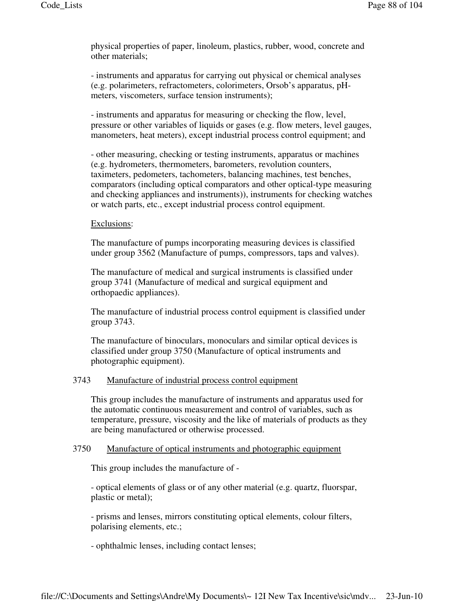physical properties of paper, linoleum, plastics, rubber, wood, concrete and other materials;

- instruments and apparatus for carrying out physical or chemical analyses (e.g. polarimeters, refractometers, colorimeters, Orsob's apparatus, pHmeters, viscometers, surface tension instruments);

- instruments and apparatus for measuring or checking the flow, level, pressure or other variables of liquids or gases (e.g. flow meters, level gauges, manometers, heat meters), except industrial process control equipment; and

- other measuring, checking or testing instruments, apparatus or machines (e.g. hydrometers, thermometers, barometers, revolution counters, taximeters, pedometers, tachometers, balancing machines, test benches, comparators (including optical comparators and other optical-type measuring and checking appliances and instruments)), instruments for checking watches or watch parts, etc., except industrial process control equipment.

# Exclusions:

The manufacture of pumps incorporating measuring devices is classified under group 3562 (Manufacture of pumps, compressors, taps and valves).

The manufacture of medical and surgical instruments is classified under group 3741 (Manufacture of medical and surgical equipment and orthopaedic appliances).

The manufacture of industrial process control equipment is classified under group 3743.

The manufacture of binoculars, monoculars and similar optical devices is classified under group 3750 (Manufacture of optical instruments and photographic equipment).

# 3743 Manufacture of industrial process control equipment

This group includes the manufacture of instruments and apparatus used for the automatic continuous measurement and control of variables, such as temperature, pressure, viscosity and the like of materials of products as they are being manufactured or otherwise processed.

# 3750 Manufacture of optical instruments and photographic equipment

This group includes the manufacture of -

- optical elements of glass or of any other material (e.g. quartz, fluorspar, plastic or metal);

- prisms and lenses, mirrors constituting optical elements, colour filters, polarising elements, etc.;

- ophthalmic lenses, including contact lenses;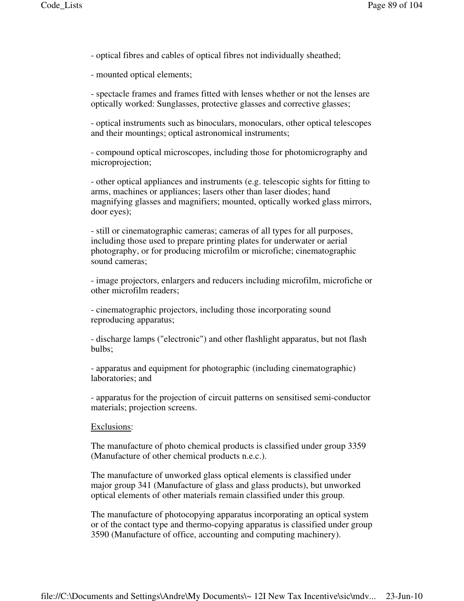- optical fibres and cables of optical fibres not individually sheathed;

- mounted optical elements;

- spectacle frames and frames fitted with lenses whether or not the lenses are optically worked: Sunglasses, protective glasses and corrective glasses;

- optical instruments such as binoculars, monoculars, other optical telescopes and their mountings; optical astronomical instruments;

- compound optical microscopes, including those for photomicrography and microprojection;

- other optical appliances and instruments (e.g. telescopic sights for fitting to arms, machines or appliances; lasers other than laser diodes; hand magnifying glasses and magnifiers; mounted, optically worked glass mirrors, door eyes);

- still or cinematographic cameras; cameras of all types for all purposes, including those used to prepare printing plates for underwater or aerial photography, or for producing microfilm or microfiche; cinematographic sound cameras;

- image projectors, enlargers and reducers including microfilm, microfiche or other microfilm readers;

- cinematographic projectors, including those incorporating sound reproducing apparatus;

- discharge lamps ("electronic") and other flashlight apparatus, but not flash bulbs;

- apparatus and equipment for photographic (including cinematographic) laboratories; and

- apparatus for the projection of circuit patterns on sensitised semi-conductor materials; projection screens.

#### Exclusions:

The manufacture of photo chemical products is classified under group 3359 (Manufacture of other chemical products n.e.c.).

The manufacture of unworked glass optical elements is classified under major group 341 (Manufacture of glass and glass products), but unworked optical elements of other materials remain classified under this group.

The manufacture of photocopying apparatus incorporating an optical system or of the contact type and thermo-copying apparatus is classified under group 3590 (Manufacture of office, accounting and computing machinery).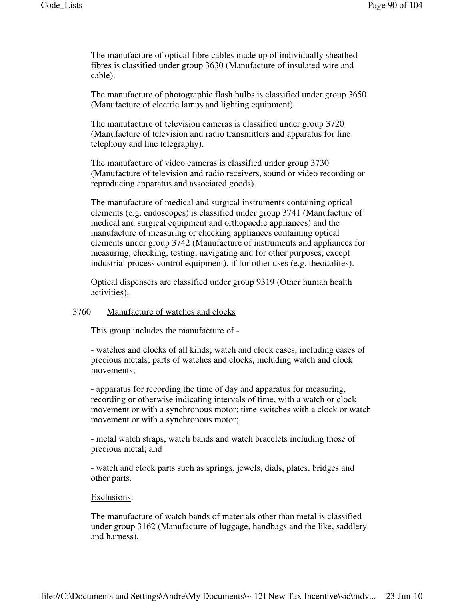The manufacture of optical fibre cables made up of individually sheathed fibres is classified under group 3630 (Manufacture of insulated wire and cable).

The manufacture of photographic flash bulbs is classified under group 3650 (Manufacture of electric lamps and lighting equipment).

The manufacture of television cameras is classified under group 3720 (Manufacture of television and radio transmitters and apparatus for line telephony and line telegraphy).

The manufacture of video cameras is classified under group 3730 (Manufacture of television and radio receivers, sound or video recording or reproducing apparatus and associated goods).

The manufacture of medical and surgical instruments containing optical elements (e.g. endoscopes) is classified under group 3741 (Manufacture of medical and surgical equipment and orthopaedic appliances) and the manufacture of measuring or checking appliances containing optical elements under group 3742 (Manufacture of instruments and appliances for measuring, checking, testing, navigating and for other purposes, except industrial process control equipment), if for other uses (e.g. theodolites).

Optical dispensers are classified under group 9319 (Other human health activities).

#### 3760 Manufacture of watches and clocks

This group includes the manufacture of -

- watches and clocks of all kinds; watch and clock cases, including cases of precious metals; parts of watches and clocks, including watch and clock movements;

- apparatus for recording the time of day and apparatus for measuring, recording or otherwise indicating intervals of time, with a watch or clock movement or with a synchronous motor; time switches with a clock or watch movement or with a synchronous motor;

- metal watch straps, watch bands and watch bracelets including those of precious metal; and

- watch and clock parts such as springs, jewels, dials, plates, bridges and other parts.

#### Exclusions:

The manufacture of watch bands of materials other than metal is classified under group 3162 (Manufacture of luggage, handbags and the like, saddlery and harness).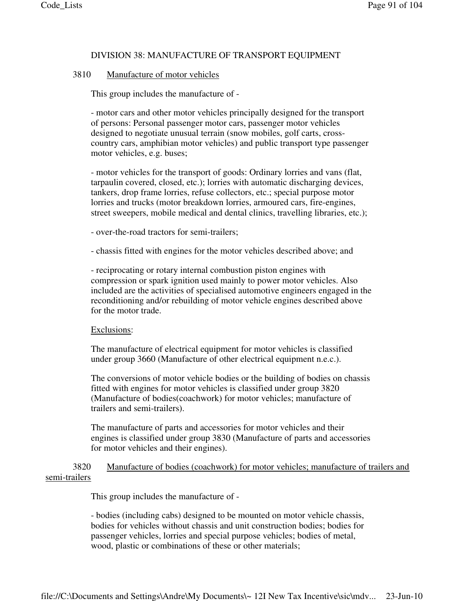### DIVISION 38: MANUFACTURE OF TRANSPORT EQUIPMENT

#### 3810 Manufacture of motor vehicles

This group includes the manufacture of -

- motor cars and other motor vehicles principally designed for the transport of persons: Personal passenger motor cars, passenger motor vehicles designed to negotiate unusual terrain (snow mobiles, golf carts, crosscountry cars, amphibian motor vehicles) and public transport type passenger motor vehicles, e.g. buses;

- motor vehicles for the transport of goods: Ordinary lorries and vans (flat, tarpaulin covered, closed, etc.); lorries with automatic discharging devices, tankers, drop frame lorries, refuse collectors, etc.; special purpose motor lorries and trucks (motor breakdown lorries, armoured cars, fire-engines, street sweepers, mobile medical and dental clinics, travelling libraries, etc.);

- over-the-road tractors for semi-trailers;

- chassis fitted with engines for the motor vehicles described above; and

- reciprocating or rotary internal combustion piston engines with compression or spark ignition used mainly to power motor vehicles. Also included are the activities of specialised automotive engineers engaged in the reconditioning and/or rebuilding of motor vehicle engines described above for the motor trade.

#### Exclusions:

The manufacture of electrical equipment for motor vehicles is classified under group 3660 (Manufacture of other electrical equipment n.e.c.).

The conversions of motor vehicle bodies or the building of bodies on chassis fitted with engines for motor vehicles is classified under group 3820 (Manufacture of bodies(coachwork) for motor vehicles; manufacture of trailers and semi-trailers).

The manufacture of parts and accessories for motor vehicles and their engines is classified under group 3830 (Manufacture of parts and accessories for motor vehicles and their engines).

# 3820 Manufacture of bodies (coachwork) for motor vehicles; manufacture of trailers and semi-trailers

This group includes the manufacture of -

- bodies (including cabs) designed to be mounted on motor vehicle chassis, bodies for vehicles without chassis and unit construction bodies; bodies for passenger vehicles, lorries and special purpose vehicles; bodies of metal, wood, plastic or combinations of these or other materials;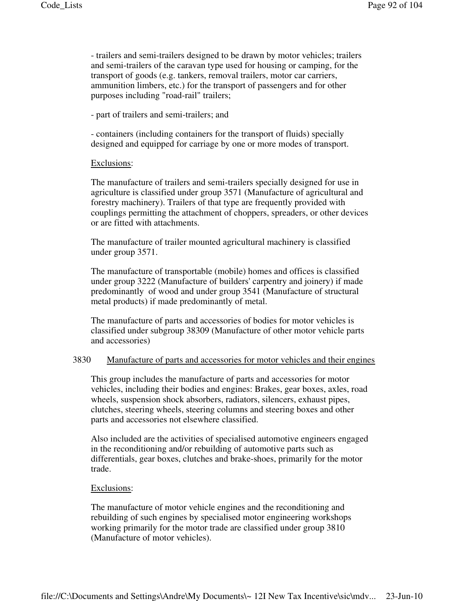- trailers and semi-trailers designed to be drawn by motor vehicles; trailers and semi-trailers of the caravan type used for housing or camping, for the transport of goods (e.g. tankers, removal trailers, motor car carriers, ammunition limbers, etc.) for the transport of passengers and for other purposes including "road-rail" trailers;

- part of trailers and semi-trailers; and

- containers (including containers for the transport of fluids) specially designed and equipped for carriage by one or more modes of transport.

# Exclusions:

The manufacture of trailers and semi-trailers specially designed for use in agriculture is classified under group 3571 (Manufacture of agricultural and forestry machinery). Trailers of that type are frequently provided with couplings permitting the attachment of choppers, spreaders, or other devices or are fitted with attachments.

The manufacture of trailer mounted agricultural machinery is classified under group 3571.

The manufacture of transportable (mobile) homes and offices is classified under group 3222 (Manufacture of builders' carpentry and joinery) if made predominantly of wood and under group 3541 (Manufacture of structural metal products) if made predominantly of metal.

The manufacture of parts and accessories of bodies for motor vehicles is classified under subgroup 38309 (Manufacture of other motor vehicle parts and accessories)

# 3830 Manufacture of parts and accessories for motor vehicles and their engines

This group includes the manufacture of parts and accessories for motor vehicles, including their bodies and engines: Brakes, gear boxes, axles, road wheels, suspension shock absorbers, radiators, silencers, exhaust pipes, clutches, steering wheels, steering columns and steering boxes and other parts and accessories not elsewhere classified.

Also included are the activities of specialised automotive engineers engaged in the reconditioning and/or rebuilding of automotive parts such as differentials, gear boxes, clutches and brake-shoes, primarily for the motor trade.

# Exclusions:

The manufacture of motor vehicle engines and the reconditioning and rebuilding of such engines by specialised motor engineering workshops working primarily for the motor trade are classified under group 3810 (Manufacture of motor vehicles).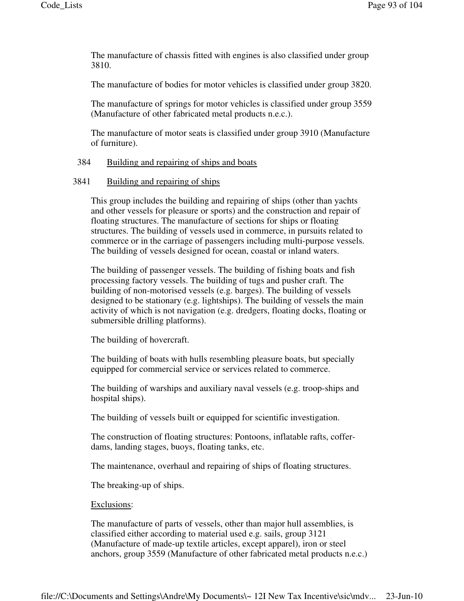The manufacture of chassis fitted with engines is also classified under group 3810.

The manufacture of bodies for motor vehicles is classified under group 3820.

The manufacture of springs for motor vehicles is classified under group 3559 (Manufacture of other fabricated metal products n.e.c.).

The manufacture of motor seats is classified under group 3910 (Manufacture of furniture).

# 384 Building and repairing of ships and boats

## 3841 Building and repairing of ships

This group includes the building and repairing of ships (other than yachts and other vessels for pleasure or sports) and the construction and repair of floating structures. The manufacture of sections for ships or floating structures. The building of vessels used in commerce, in pursuits related to commerce or in the carriage of passengers including multi-purpose vessels. The building of vessels designed for ocean, coastal or inland waters.

The building of passenger vessels. The building of fishing boats and fish processing factory vessels. The building of tugs and pusher craft. The building of non-motorised vessels (e.g. barges). The building of vessels designed to be stationary (e.g. lightships). The building of vessels the main activity of which is not navigation (e.g. dredgers, floating docks, floating or submersible drilling platforms).

The building of hovercraft.

The building of boats with hulls resembling pleasure boats, but specially equipped for commercial service or services related to commerce.

The building of warships and auxiliary naval vessels (e.g. troop-ships and hospital ships).

The building of vessels built or equipped for scientific investigation.

The construction of floating structures: Pontoons, inflatable rafts, cofferdams, landing stages, buoys, floating tanks, etc.

The maintenance, overhaul and repairing of ships of floating structures.

The breaking-up of ships.

#### Exclusions:

The manufacture of parts of vessels, other than major hull assemblies, is classified either according to material used e.g. sails, group 3121 (Manufacture of made-up textile articles, except apparel), iron or steel anchors, group 3559 (Manufacture of other fabricated metal products n.e.c.)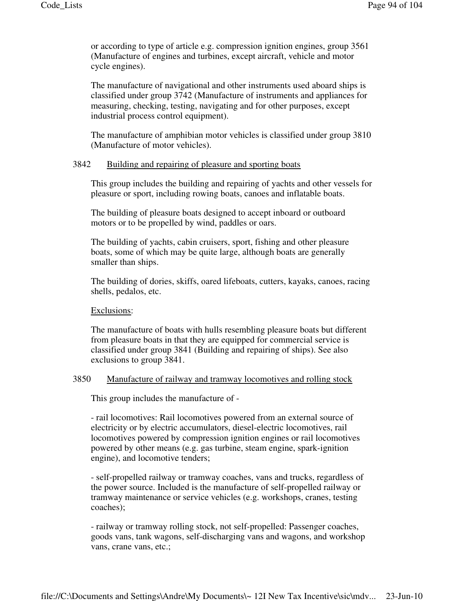or according to type of article e.g. compression ignition engines, group 3561 (Manufacture of engines and turbines, except aircraft, vehicle and motor cycle engines).

The manufacture of navigational and other instruments used aboard ships is classified under group 3742 (Manufacture of instruments and appliances for measuring, checking, testing, navigating and for other purposes, except industrial process control equipment).

The manufacture of amphibian motor vehicles is classified under group 3810 (Manufacture of motor vehicles).

# 3842 Building and repairing of pleasure and sporting boats

This group includes the building and repairing of yachts and other vessels for pleasure or sport, including rowing boats, canoes and inflatable boats.

The building of pleasure boats designed to accept inboard or outboard motors or to be propelled by wind, paddles or oars.

The building of yachts, cabin cruisers, sport, fishing and other pleasure boats, some of which may be quite large, although boats are generally smaller than ships.

The building of dories, skiffs, oared lifeboats, cutters, kayaks, canoes, racing shells, pedalos, etc.

Exclusions:

The manufacture of boats with hulls resembling pleasure boats but different from pleasure boats in that they are equipped for commercial service is classified under group 3841 (Building and repairing of ships). See also exclusions to group 3841.

### 3850 Manufacture of railway and tramway locomotives and rolling stock

This group includes the manufacture of -

- rail locomotives: Rail locomotives powered from an external source of electricity or by electric accumulators, diesel-electric locomotives, rail locomotives powered by compression ignition engines or rail locomotives powered by other means (e.g. gas turbine, steam engine, spark-ignition engine), and locomotive tenders;

- self-propelled railway or tramway coaches, vans and trucks, regardless of the power source. Included is the manufacture of self-propelled railway or tramway maintenance or service vehicles (e.g. workshops, cranes, testing coaches);

- railway or tramway rolling stock, not self-propelled: Passenger coaches, goods vans, tank wagons, self-discharging vans and wagons, and workshop vans, crane vans, etc.;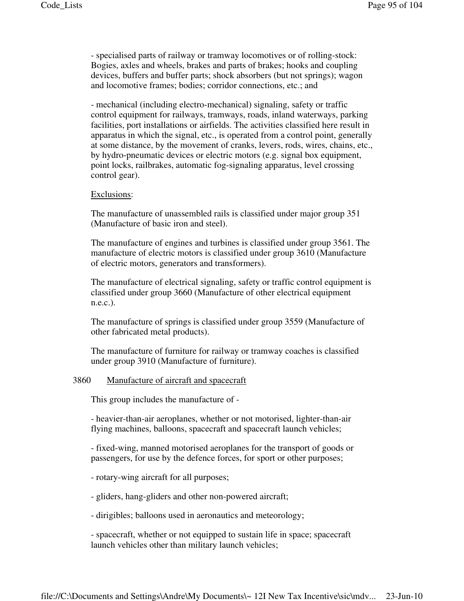- specialised parts of railway or tramway locomotives or of rolling-stock: Bogies, axles and wheels, brakes and parts of brakes; hooks and coupling devices, buffers and buffer parts; shock absorbers (but not springs); wagon and locomotive frames; bodies; corridor connections, etc.; and

- mechanical (including electro-mechanical) signaling, safety or traffic control equipment for railways, tramways, roads, inland waterways, parking facilities, port installations or airfields. The activities classified here result in apparatus in which the signal, etc., is operated from a control point, generally at some distance, by the movement of cranks, levers, rods, wires, chains, etc., by hydro-pneumatic devices or electric motors (e.g. signal box equipment, point locks, railbrakes, automatic fog-signaling apparatus, level crossing control gear).

#### Exclusions:

The manufacture of unassembled rails is classified under major group 351 (Manufacture of basic iron and steel).

The manufacture of engines and turbines is classified under group 3561. The manufacture of electric motors is classified under group 3610 (Manufacture of electric motors, generators and transformers).

The manufacture of electrical signaling, safety or traffic control equipment is classified under group 3660 (Manufacture of other electrical equipment n.e.c.).

The manufacture of springs is classified under group 3559 (Manufacture of other fabricated metal products).

The manufacture of furniture for railway or tramway coaches is classified under group 3910 (Manufacture of furniture).

### 3860 Manufacture of aircraft and spacecraft

This group includes the manufacture of -

- heavier-than-air aeroplanes, whether or not motorised, lighter-than-air flying machines, balloons, spacecraft and spacecraft launch vehicles;

- fixed-wing, manned motorised aeroplanes for the transport of goods or passengers, for use by the defence forces, for sport or other purposes;

- rotary-wing aircraft for all purposes;

- gliders, hang-gliders and other non-powered aircraft;

- dirigibles; balloons used in aeronautics and meteorology;

- spacecraft, whether or not equipped to sustain life in space; spacecraft launch vehicles other than military launch vehicles;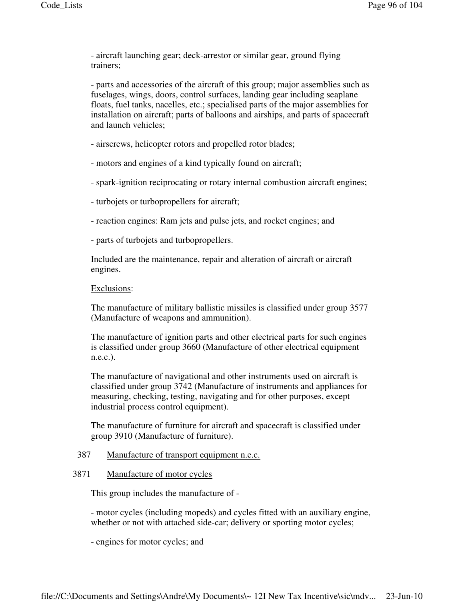- aircraft launching gear; deck-arrestor or similar gear, ground flying trainers;

- parts and accessories of the aircraft of this group; major assemblies such as fuselages, wings, doors, control surfaces, landing gear including seaplane floats, fuel tanks, nacelles, etc.; specialised parts of the major assemblies for installation on aircraft; parts of balloons and airships, and parts of spacecraft and launch vehicles;

- airscrews, helicopter rotors and propelled rotor blades;

- motors and engines of a kind typically found on aircraft;

- spark-ignition reciprocating or rotary internal combustion aircraft engines;
- turbojets or turbopropellers for aircraft;
- reaction engines: Ram jets and pulse jets, and rocket engines; and
- parts of turbojets and turbopropellers.

Included are the maintenance, repair and alteration of aircraft or aircraft engines.

### Exclusions:

The manufacture of military ballistic missiles is classified under group 3577 (Manufacture of weapons and ammunition).

The manufacture of ignition parts and other electrical parts for such engines is classified under group 3660 (Manufacture of other electrical equipment n.e.c.).

The manufacture of navigational and other instruments used on aircraft is classified under group 3742 (Manufacture of instruments and appliances for measuring, checking, testing, navigating and for other purposes, except industrial process control equipment).

The manufacture of furniture for aircraft and spacecraft is classified under group 3910 (Manufacture of furniture).

# 387 Manufacture of transport equipment n.e.c.

# 3871 Manufacture of motor cycles

This group includes the manufacture of -

- motor cycles (including mopeds) and cycles fitted with an auxiliary engine, whether or not with attached side-car; delivery or sporting motor cycles;

- engines for motor cycles; and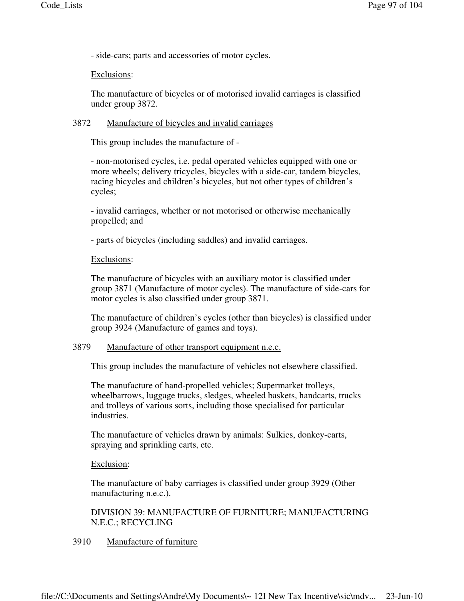- side-cars; parts and accessories of motor cycles.

### Exclusions:

The manufacture of bicycles or of motorised invalid carriages is classified under group 3872.

## 3872 Manufacture of bicycles and invalid carriages

This group includes the manufacture of -

- non-motorised cycles, i.e. pedal operated vehicles equipped with one or more wheels; delivery tricycles, bicycles with a side-car, tandem bicycles, racing bicycles and children's bicycles, but not other types of children's cycles;

- invalid carriages, whether or not motorised or otherwise mechanically propelled; and

- parts of bicycles (including saddles) and invalid carriages.

### Exclusions:

The manufacture of bicycles with an auxiliary motor is classified under group 3871 (Manufacture of motor cycles). The manufacture of side-cars for motor cycles is also classified under group 3871.

The manufacture of children's cycles (other than bicycles) is classified under group 3924 (Manufacture of games and toys).

### 3879 Manufacture of other transport equipment n.e.c.

This group includes the manufacture of vehicles not elsewhere classified.

The manufacture of hand-propelled vehicles; Supermarket trolleys, wheelbarrows, luggage trucks, sledges, wheeled baskets, handcarts, trucks and trolleys of various sorts, including those specialised for particular industries.

The manufacture of vehicles drawn by animals: Sulkies, donkey-carts, spraying and sprinkling carts, etc.

#### Exclusion:

The manufacture of baby carriages is classified under group 3929 (Other manufacturing n.e.c.).

DIVISION 39: MANUFACTURE OF FURNITURE; MANUFACTURING N.E.C.; RECYCLING

#### 3910 Manufacture of furniture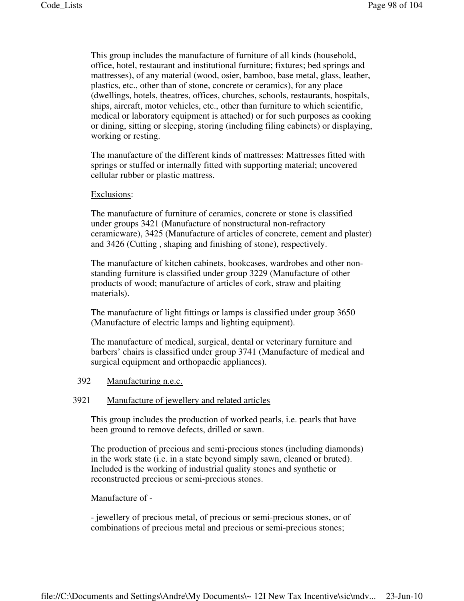This group includes the manufacture of furniture of all kinds (household, office, hotel, restaurant and institutional furniture; fixtures; bed springs and mattresses), of any material (wood, osier, bamboo, base metal, glass, leather, plastics, etc., other than of stone, concrete or ceramics), for any place (dwellings, hotels, theatres, offices, churches, schools, restaurants, hospitals, ships, aircraft, motor vehicles, etc., other than furniture to which scientific, medical or laboratory equipment is attached) or for such purposes as cooking or dining, sitting or sleeping, storing (including filing cabinets) or displaying, working or resting.

The manufacture of the different kinds of mattresses: Mattresses fitted with springs or stuffed or internally fitted with supporting material; uncovered cellular rubber or plastic mattress.

#### Exclusions:

The manufacture of furniture of ceramics, concrete or stone is classified under groups 3421 (Manufacture of nonstructural non-refractory ceramicware), 3425 (Manufacture of articles of concrete, cement and plaster) and 3426 (Cutting , shaping and finishing of stone), respectively.

The manufacture of kitchen cabinets, bookcases, wardrobes and other nonstanding furniture is classified under group 3229 (Manufacture of other products of wood; manufacture of articles of cork, straw and plaiting materials).

The manufacture of light fittings or lamps is classified under group 3650 (Manufacture of electric lamps and lighting equipment).

The manufacture of medical, surgical, dental or veterinary furniture and barbers' chairs is classified under group 3741 (Manufacture of medical and surgical equipment and orthopaedic appliances).

# 392 Manufacturing n.e.c.

### 3921 Manufacture of jewellery and related articles

This group includes the production of worked pearls, i.e. pearls that have been ground to remove defects, drilled or sawn.

The production of precious and semi-precious stones (including diamonds) in the work state (i.e. in a state beyond simply sawn, cleaned or bruted). Included is the working of industrial quality stones and synthetic or reconstructed precious or semi-precious stones.

Manufacture of -

- jewellery of precious metal, of precious or semi-precious stones, or of combinations of precious metal and precious or semi-precious stones;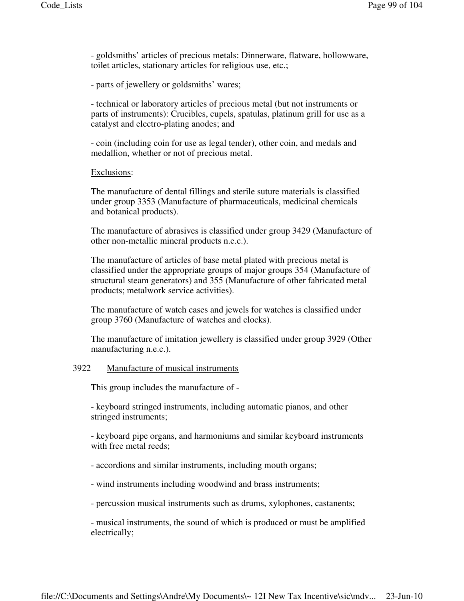- goldsmiths' articles of precious metals: Dinnerware, flatware, hollowware, toilet articles, stationary articles for religious use, etc.;

- parts of jewellery or goldsmiths' wares;

- technical or laboratory articles of precious metal (but not instruments or parts of instruments): Crucibles, cupels, spatulas, platinum grill for use as a catalyst and electro-plating anodes; and

- coin (including coin for use as legal tender), other coin, and medals and medallion, whether or not of precious metal.

### Exclusions:

The manufacture of dental fillings and sterile suture materials is classified under group 3353 (Manufacture of pharmaceuticals, medicinal chemicals and botanical products).

The manufacture of abrasives is classified under group 3429 (Manufacture of other non-metallic mineral products n.e.c.).

The manufacture of articles of base metal plated with precious metal is classified under the appropriate groups of major groups 354 (Manufacture of structural steam generators) and 355 (Manufacture of other fabricated metal products; metalwork service activities).

The manufacture of watch cases and jewels for watches is classified under group 3760 (Manufacture of watches and clocks).

The manufacture of imitation jewellery is classified under group 3929 (Other manufacturing n.e.c.).

# 3922 Manufacture of musical instruments

This group includes the manufacture of -

- keyboard stringed instruments, including automatic pianos, and other stringed instruments;

- keyboard pipe organs, and harmoniums and similar keyboard instruments with free metal reeds;

- accordions and similar instruments, including mouth organs;

- wind instruments including woodwind and brass instruments;

- percussion musical instruments such as drums, xylophones, castanents;

- musical instruments, the sound of which is produced or must be amplified electrically;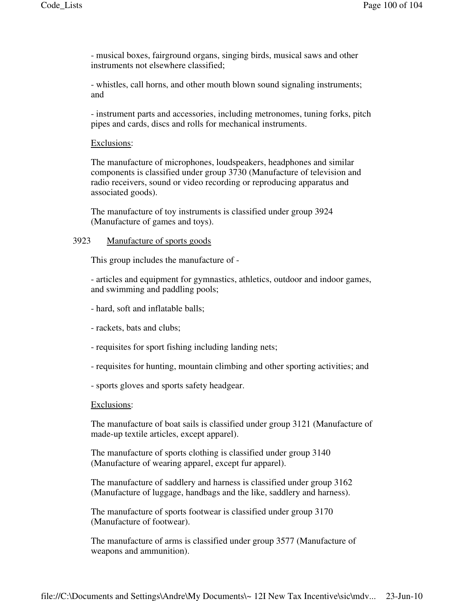- musical boxes, fairground organs, singing birds, musical saws and other instruments not elsewhere classified;

- whistles, call horns, and other mouth blown sound signaling instruments; and

- instrument parts and accessories, including metronomes, tuning forks, pitch pipes and cards, discs and rolls for mechanical instruments.

# Exclusions:

The manufacture of microphones, loudspeakers, headphones and similar components is classified under group 3730 (Manufacture of television and radio receivers, sound or video recording or reproducing apparatus and associated goods).

The manufacture of toy instruments is classified under group 3924 (Manufacture of games and toys).

# 3923 Manufacture of sports goods

This group includes the manufacture of -

- articles and equipment for gymnastics, athletics, outdoor and indoor games, and swimming and paddling pools;

- hard, soft and inflatable balls;
- rackets, bats and clubs;
- requisites for sport fishing including landing nets;
- requisites for hunting, mountain climbing and other sporting activities; and
- sports gloves and sports safety headgear.

#### Exclusions:

The manufacture of boat sails is classified under group 3121 (Manufacture of made-up textile articles, except apparel).

The manufacture of sports clothing is classified under group 3140 (Manufacture of wearing apparel, except fur apparel).

The manufacture of saddlery and harness is classified under group 3162 (Manufacture of luggage, handbags and the like, saddlery and harness).

The manufacture of sports footwear is classified under group 3170 (Manufacture of footwear).

The manufacture of arms is classified under group 3577 (Manufacture of weapons and ammunition).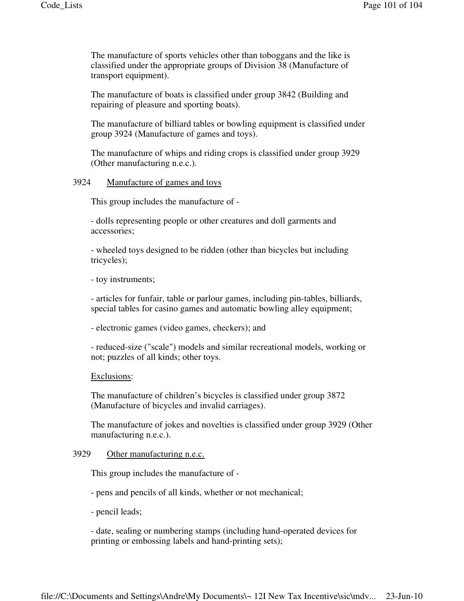The manufacture of sports vehicles other than toboggans and the like is classified under the appropriate groups of Division 38 (Manufacture of transport equipment).

The manufacture of boats is classified under group 3842 (Building and repairing of pleasure and sporting boats).

The manufacture of billiard tables or bowling equipment is classified under group 3924 (Manufacture of games and toys).

The manufacture of whips and riding crops is classified under group 3929 (Other manufacturing n.e.c.).

# 3924 Manufacture of games and toys

This group includes the manufacture of -

- dolls representing people or other creatures and doll garments and accessories;

- wheeled toys designed to be ridden (other than bicycles but including tricycles);

- toy instruments;

- articles for funfair, table or parlour games, including pin-tables, billiards, special tables for casino games and automatic bowling alley equipment;

- electronic games (video games, checkers); and

- reduced-size ("scale") models and similar recreational models, working or not; puzzles of all kinds; other toys.

#### Exclusions:

The manufacture of children's bicycles is classified under group 3872 (Manufacture of bicycles and invalid carriages).

The manufacture of jokes and novelties is classified under group 3929 (Other manufacturing n.e.c.).

### 3929 Other manufacturing n.e.c.

This group includes the manufacture of -

- pens and pencils of all kinds, whether or not mechanical;

- pencil leads;

- date, sealing or numbering stamps (including hand-operated devices for printing or embossing labels and hand-printing sets);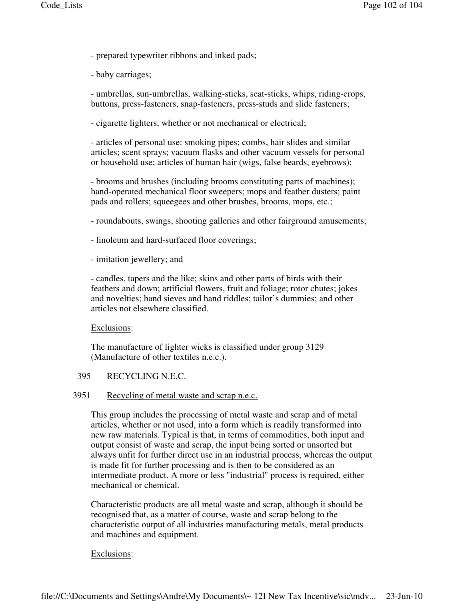- prepared typewriter ribbons and inked pads;
- baby carriages;

- umbrellas, sun-umbrellas, walking-sticks, seat-sticks, whips, riding-crops, buttons, press-fasteners, snap-fasteners, press-studs and slide fasteners;

- cigarette lighters, whether or not mechanical or electrical;

- articles of personal use: smoking pipes; combs, hair slides and similar articles; scent sprays; vacuum flasks and other vacuum vessels for personal or household use; articles of human hair (wigs, false beards, eyebrows);

- brooms and brushes (including brooms constituting parts of machines); hand-operated mechanical floor sweepers; mops and feather dusters; paint pads and rollers; squeegees and other brushes, brooms, mops, etc.;

- roundabouts, swings, shooting galleries and other fairground amusements;

- linoleum and hard-surfaced floor coverings;
- imitation jewellery; and

- candles, tapers and the like; skins and other parts of birds with their feathers and down; artificial flowers, fruit and foliage; rotor chutes; jokes and novelties; hand sieves and hand riddles; tailor's dummies; and other articles not elsewhere classified.

#### Exclusions:

The manufacture of lighter wicks is classified under group 3129 (Manufacture of other textiles n.e.c.).

# 395 RECYCLING N.E.C.

#### 3951 Recycling of metal waste and scrap n.e.c.

This group includes the processing of metal waste and scrap and of metal articles, whether or not used, into a form which is readily transformed into new raw materials. Typical is that, in terms of commodities, both input and output consist of waste and scrap, the input being sorted or unsorted but always unfit for further direct use in an industrial process, whereas the output is made fit for further processing and is then to be considered as an intermediate product. A more or less "industrial" process is required, either mechanical or chemical.

Characteristic products are all metal waste and scrap, although it should be recognised that, as a matter of course, waste and scrap belong to the characteristic output of all industries manufacturing metals, metal products and machines and equipment.

#### Exclusions: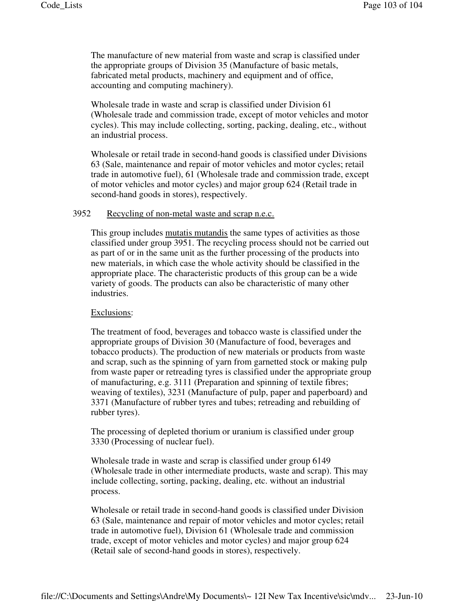The manufacture of new material from waste and scrap is classified under the appropriate groups of Division 35 (Manufacture of basic metals, fabricated metal products, machinery and equipment and of office, accounting and computing machinery).

Wholesale trade in waste and scrap is classified under Division 61 (Wholesale trade and commission trade, except of motor vehicles and motor cycles). This may include collecting, sorting, packing, dealing, etc., without an industrial process.

Wholesale or retail trade in second-hand goods is classified under Divisions 63 (Sale, maintenance and repair of motor vehicles and motor cycles; retail trade in automotive fuel), 61 (Wholesale trade and commission trade, except of motor vehicles and motor cycles) and major group 624 (Retail trade in second-hand goods in stores), respectively.

# 3952 Recycling of non-metal waste and scrap n.e.c.

This group includes mutatis mutandis the same types of activities as those classified under group 3951. The recycling process should not be carried out as part of or in the same unit as the further processing of the products into new materials, in which case the whole activity should be classified in the appropriate place. The characteristic products of this group can be a wide variety of goods. The products can also be characteristic of many other industries.

# Exclusions:

The treatment of food, beverages and tobacco waste is classified under the appropriate groups of Division 30 (Manufacture of food, beverages and tobacco products). The production of new materials or products from waste and scrap, such as the spinning of yarn from garnetted stock or making pulp from waste paper or retreading tyres is classified under the appropriate group of manufacturing, e.g. 3111 (Preparation and spinning of textile fibres; weaving of textiles), 3231 (Manufacture of pulp, paper and paperboard) and 3371 (Manufacture of rubber tyres and tubes; retreading and rebuilding of rubber tyres).

The processing of depleted thorium or uranium is classified under group 3330 (Processing of nuclear fuel).

Wholesale trade in waste and scrap is classified under group 6149 (Wholesale trade in other intermediate products, waste and scrap). This may include collecting, sorting, packing, dealing, etc. without an industrial process.

Wholesale or retail trade in second-hand goods is classified under Division 63 (Sale, maintenance and repair of motor vehicles and motor cycles; retail trade in automotive fuel), Division 61 (Wholesale trade and commission trade, except of motor vehicles and motor cycles) and major group 624 (Retail sale of second-hand goods in stores), respectively.